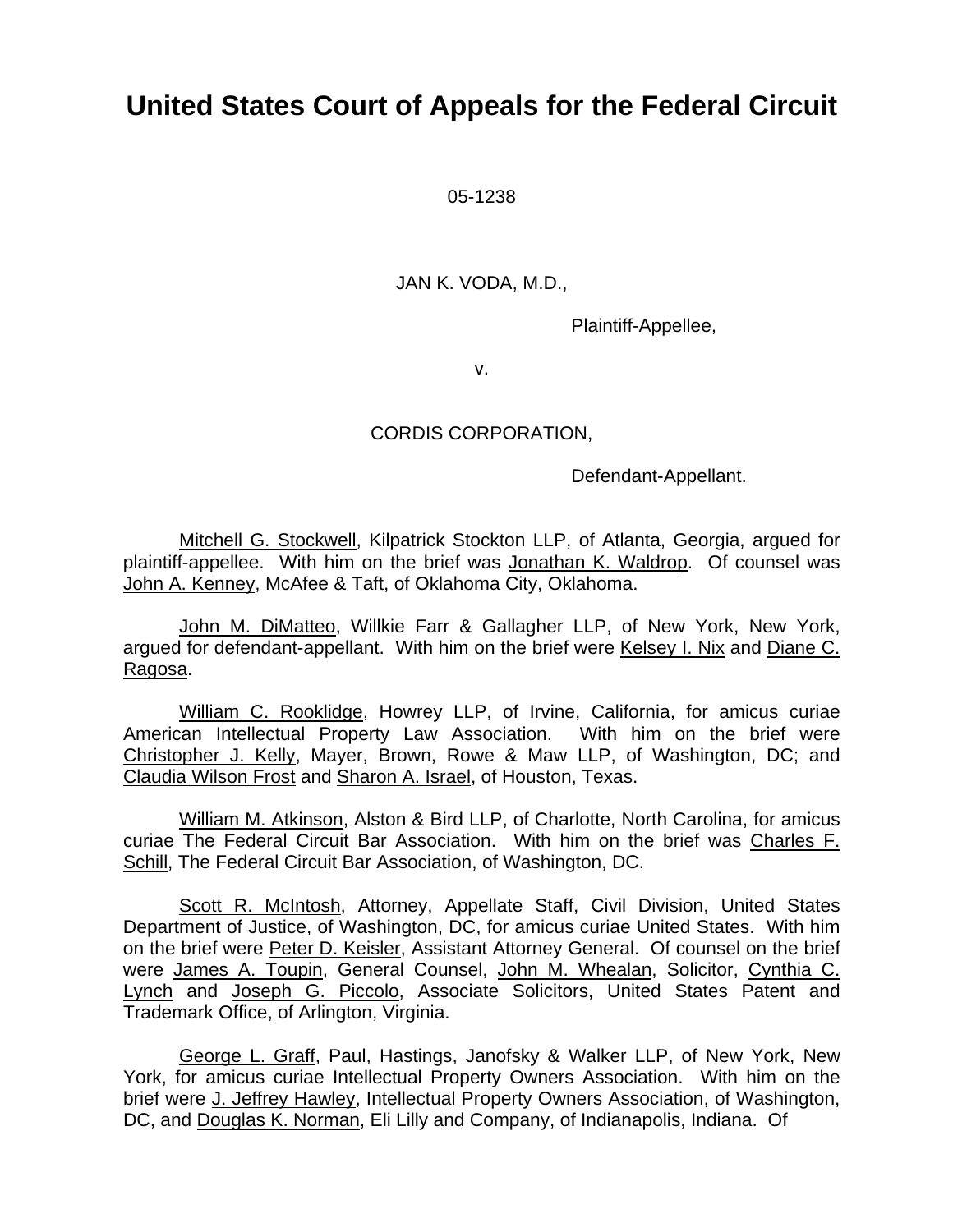# **United States Court of Appeals for the Federal Circuit**

05-1238

JAN K. VODA, M.D.,

Plaintiff-Appellee,

v.

# CORDIS CORPORATION,

Defendant-Appellant.

Mitchell G. Stockwell, Kilpatrick Stockton LLP, of Atlanta, Georgia, argued for plaintiff-appellee. With him on the brief was Jonathan K. Waldrop. Of counsel was John A. Kenney, McAfee & Taft, of Oklahoma City, Oklahoma.

John M. DiMatteo, Willkie Farr & Gallagher LLP, of New York, New York, argued for defendant-appellant. With him on the brief were Kelsey I. Nix and Diane C. Ragosa.

William C. Rooklidge, Howrey LLP, of Irvine, California, for amicus curiae American Intellectual Property Law Association. With him on the brief were Christopher J. Kelly, Mayer, Brown, Rowe & Maw LLP, of Washington, DC; and Claudia Wilson Frost and Sharon A. Israel, of Houston, Texas.

William M. Atkinson, Alston & Bird LLP, of Charlotte, North Carolina, for amicus curiae The Federal Circuit Bar Association. With him on the brief was Charles F. Schill, The Federal Circuit Bar Association, of Washington, DC.

Scott R. McIntosh, Attorney, Appellate Staff, Civil Division, United States Department of Justice, of Washington, DC, for amicus curiae United States. With him on the brief were Peter D. Keisler, Assistant Attorney General. Of counsel on the brief were James A. Toupin, General Counsel, John M. Whealan, Solicitor, Cynthia C. Lynch and Joseph G. Piccolo, Associate Solicitors, United States Patent and Trademark Office, of Arlington, Virginia.

George L. Graff, Paul, Hastings, Janofsky & Walker LLP, of New York, New York, for amicus curiae Intellectual Property Owners Association. With him on the brief were J. Jeffrey Hawley, Intellectual Property Owners Association, of Washington, DC, and Douglas K. Norman, Eli Lilly and Company, of Indianapolis, Indiana. Of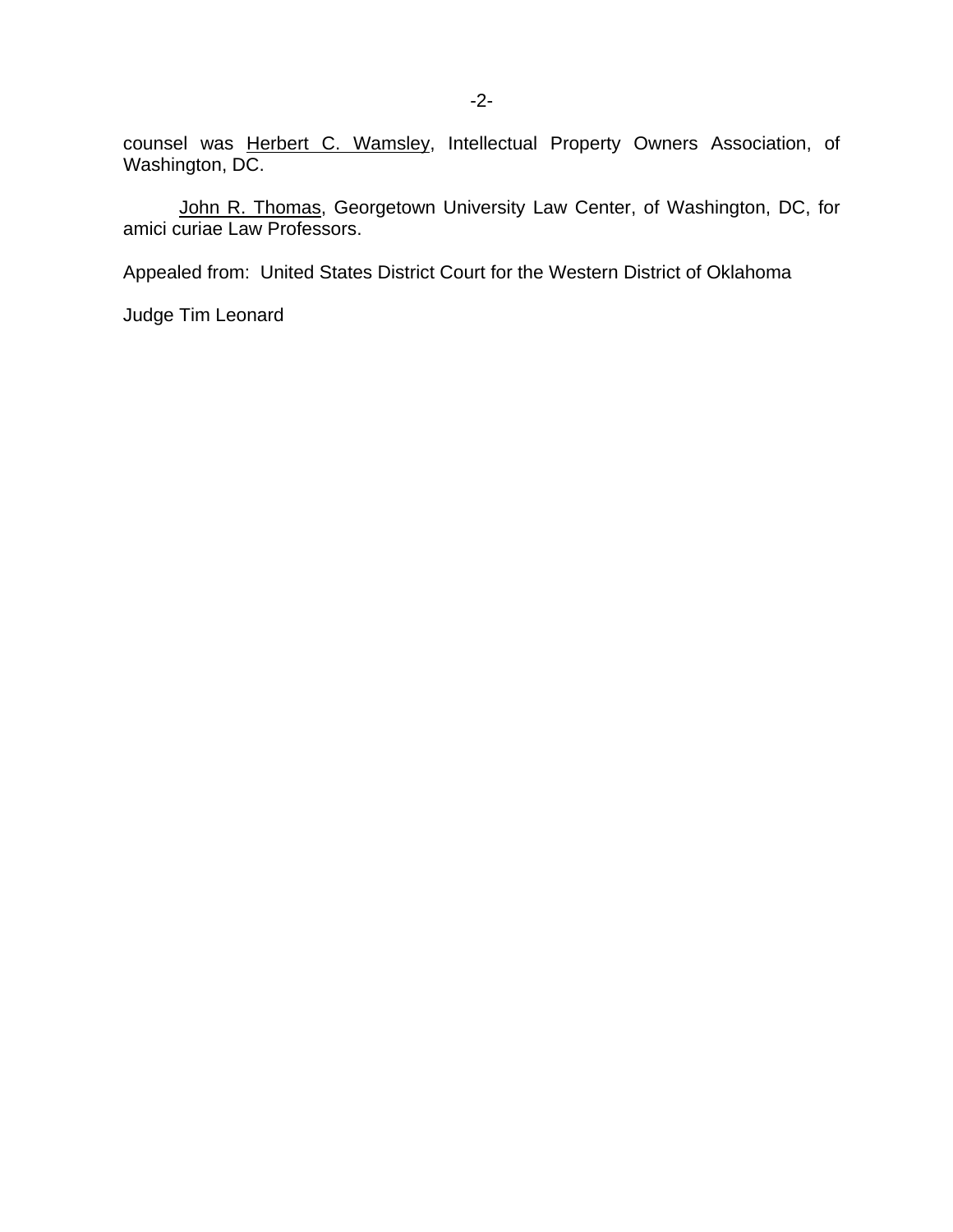counsel was Herbert C. Wamsley, Intellectual Property Owners Association, of Washington, DC.

John R. Thomas, Georgetown University Law Center, of Washington, DC, for amici curiae Law Professors.

Appealed from: United States District Court for the Western District of Oklahoma

Judge Tim Leonard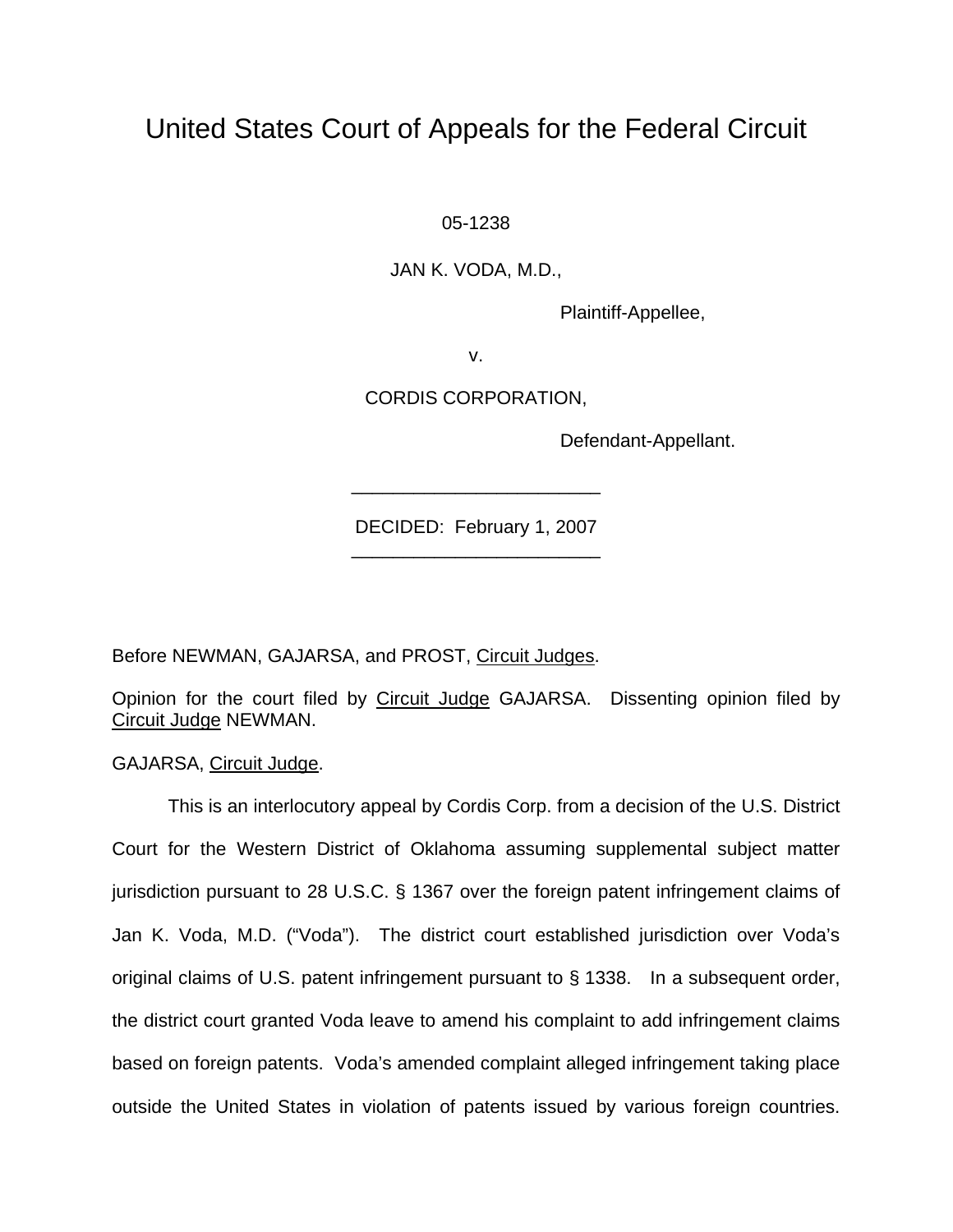# United States Court of Appeals for the Federal Circuit

05-1238

JAN K. VODA, M.D.,

Plaintiff-Appellee,

v.

CORDIS CORPORATION,

Defendant-Appellant.

DECIDED: February 1, 2007 \_\_\_\_\_\_\_\_\_\_\_\_\_\_\_\_\_\_\_\_\_\_\_\_

\_\_\_\_\_\_\_\_\_\_\_\_\_\_\_\_\_\_\_\_\_\_\_\_

Before NEWMAN, GAJARSA, and PROST, Circuit Judges.

Opinion for the court filed by Circuit Judge GAJARSA. Dissenting opinion filed by Circuit Judge NEWMAN.

GAJARSA, Circuit Judge.

This is an interlocutory appeal by Cordis Corp. from a decision of the U.S. District Court for the Western District of Oklahoma assuming supplemental subject matter jurisdiction pursuant to 28 U.S.C. § 1367 over the foreign patent infringement claims of Jan K. Voda, M.D. ("Voda"). The district court established jurisdiction over Voda's original claims of U.S. patent infringement pursuant to § 1338. In a subsequent order, the district court granted Voda leave to amend his complaint to add infringement claims based on foreign patents. Voda's amended complaint alleged infringement taking place outside the United States in violation of patents issued by various foreign countries.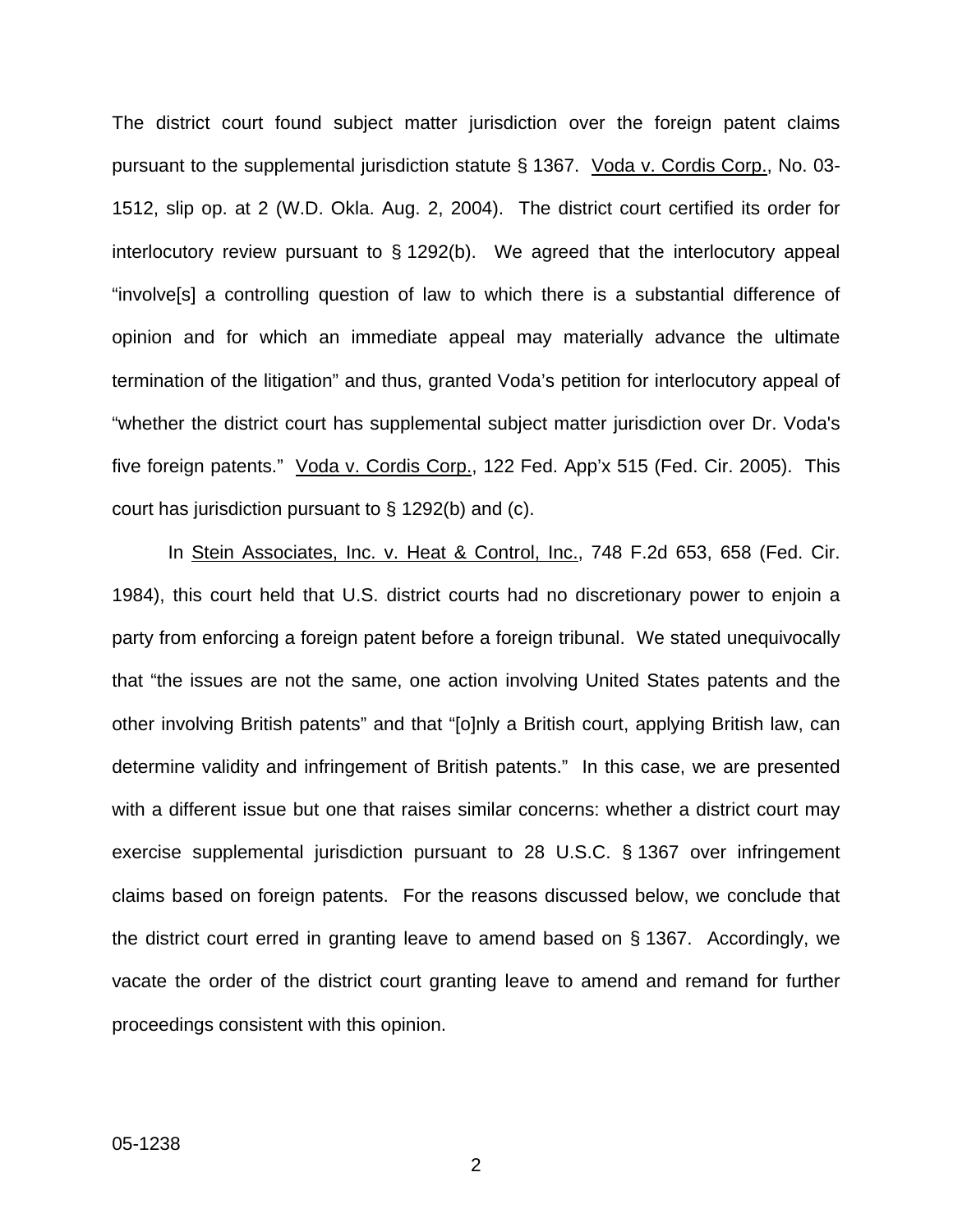The district court found subject matter jurisdiction over the foreign patent claims pursuant to the supplemental jurisdiction statute § 1367. Voda v. Cordis Corp., No. 03- 1512, slip op. at 2 (W.D. Okla. Aug. 2, 2004). The district court certified its order for interlocutory review pursuant to § 1292(b). We agreed that the interlocutory appeal "involve[s] a controlling question of law to which there is a substantial difference of opinion and for which an immediate appeal may materially advance the ultimate termination of the litigation" and thus, granted Voda's petition for interlocutory appeal of "whether the district court has supplemental subject matter jurisdiction over Dr. Voda's five foreign patents." Voda v. Cordis Corp., 122 Fed. App'x 515 (Fed. Cir. 2005). This court has jurisdiction pursuant to § 1292(b) and (c).

In Stein Associates, Inc. v. Heat & Control, Inc., 748 F.2d 653, 658 (Fed. Cir. 1984), this court held that U.S. district courts had no discretionary power to enjoin a party from enforcing a foreign patent before a foreign tribunal. We stated unequivocally that "the issues are not the same, one action involving United States patents and the other involving British patents" and that "[o]nly a British court, applying British law, can determine validity and infringement of British patents." In this case, we are presented with a different issue but one that raises similar concerns: whether a district court may exercise supplemental jurisdiction pursuant to 28 U.S.C. § 1367 over infringement claims based on foreign patents. For the reasons discussed below, we conclude that the district court erred in granting leave to amend based on § 1367. Accordingly, we vacate the order of the district court granting leave to amend and remand for further proceedings consistent with this opinion.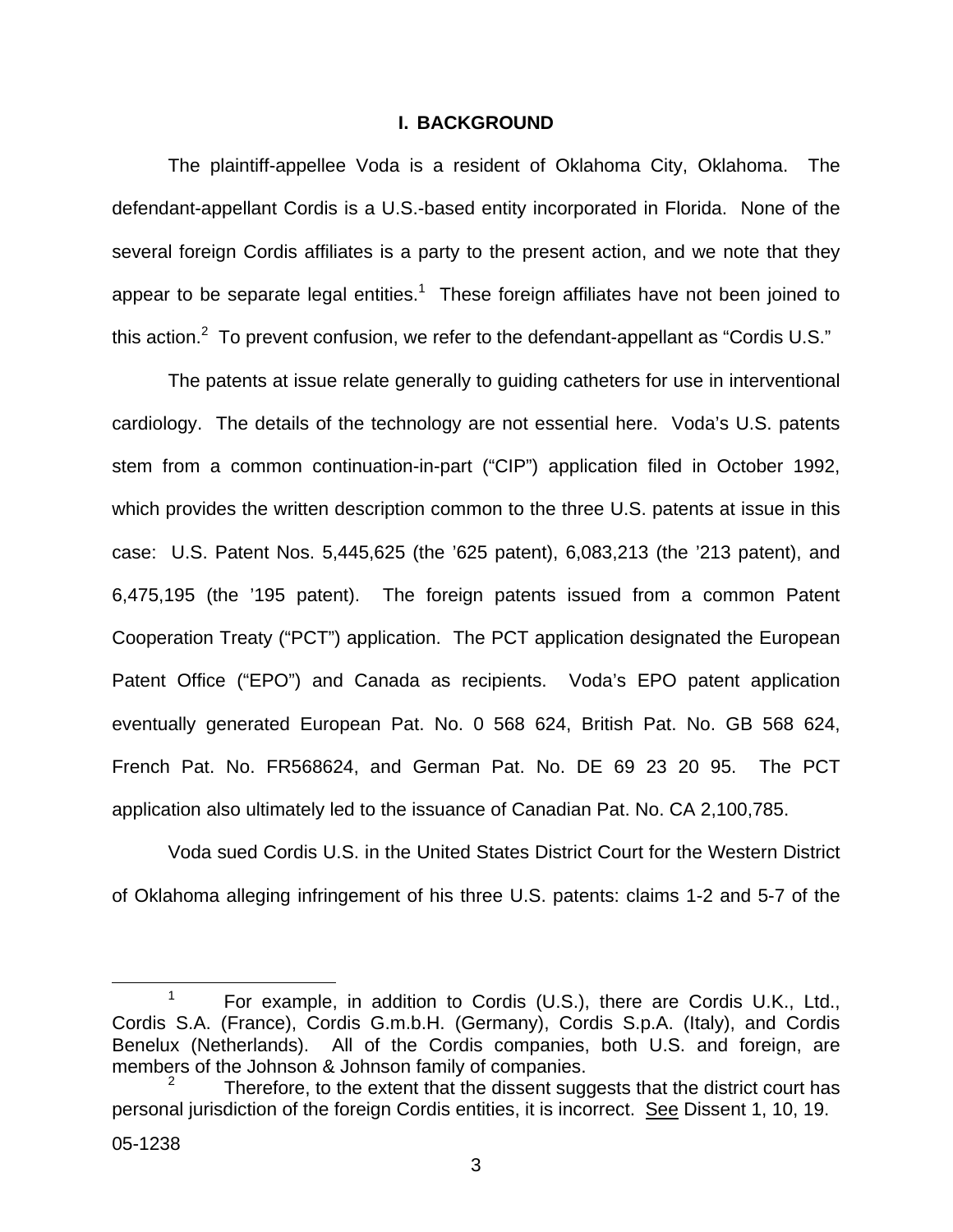#### **I. BACKGROUND**

The plaintiff-appellee Voda is a resident of Oklahoma City, Oklahoma. The defendant-appellant Cordis is a U.S.-based entity incorporated in Florida. None of the several foreign Cordis affiliates is a party to the present action, and we note that they appear to be separate legal entities.<sup>[1](#page-4-0)</sup> These foreign affiliates have not been joined to this action.<sup>[2](#page-4-1)</sup> To prevent confusion, we refer to the defendant-appellant as "Cordis U.S."

The patents at issue relate generally to guiding catheters for use in interventional cardiology. The details of the technology are not essential here. Voda's U.S. patents stem from a common continuation-in-part ("CIP") application filed in October 1992, which provides the written description common to the three U.S. patents at issue in this case: U.S. Patent Nos. 5,445,625 (the '625 patent), 6,083,213 (the '213 patent), and 6,475,195 (the '195 patent). The foreign patents issued from a common Patent Cooperation Treaty ("PCT") application. The PCT application designated the European Patent Office ("EPO") and Canada as recipients. Voda's EPO patent application eventually generated European Pat. No. 0 568 624, British Pat. No. GB 568 624, French Pat. No. FR568624, and German Pat. No. DE 69 23 20 95. The PCT application also ultimately led to the issuance of Canadian Pat. No. CA 2,100,785.

Voda sued Cordis U.S. in the United States District Court for the Western District of Oklahoma alleging infringement of his three U.S. patents: claims 1-2 and 5-7 of the

<span id="page-4-0"></span><sup>&</sup>lt;sup>1</sup> For example, in addition to Cordis (U.S.), there are Cordis U.K., Ltd., Cordis S.A. (France), Cordis G.m.b.H. (Germany), Cordis S.p.A. (Italy), and Cordis Benelux (Netherlands). All of the Cordis companies, both U.S. and foreign, are members of the Johnson & Johnson family of companies.

<span id="page-4-1"></span>Therefore, to the extent that the dissent suggests that the district court has personal jurisdiction of the foreign Cordis entities, it is incorrect. See Dissent 1, 10, 19.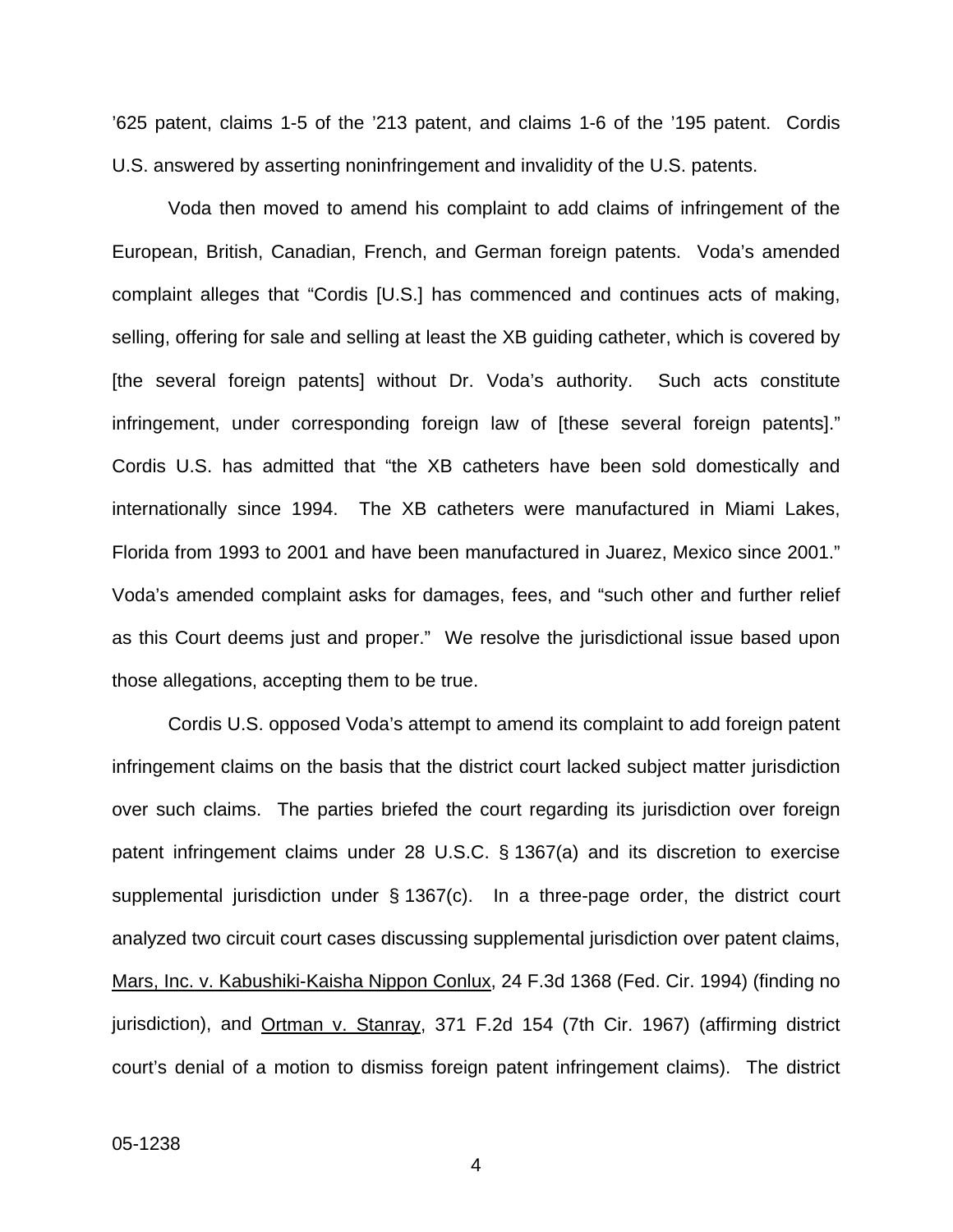'625 patent, claims 1-5 of the '213 patent, and claims 1-6 of the '195 patent. Cordis U.S. answered by asserting noninfringement and invalidity of the U.S. patents.

Voda then moved to amend his complaint to add claims of infringement of the European, British, Canadian, French, and German foreign patents. Voda's amended complaint alleges that "Cordis [U.S.] has commenced and continues acts of making, selling, offering for sale and selling at least the XB guiding catheter, which is covered by [the several foreign patents] without Dr. Voda's authority. Such acts constitute infringement, under corresponding foreign law of [these several foreign patents]." Cordis U.S. has admitted that "the XB catheters have been sold domestically and internationally since 1994. The XB catheters were manufactured in Miami Lakes, Florida from 1993 to 2001 and have been manufactured in Juarez, Mexico since 2001." Voda's amended complaint asks for damages, fees, and "such other and further relief as this Court deems just and proper." We resolve the jurisdictional issue based upon those allegations, accepting them to be true.

Cordis U.S. opposed Voda's attempt to amend its complaint to add foreign patent infringement claims on the basis that the district court lacked subject matter jurisdiction over such claims. The parties briefed the court regarding its jurisdiction over foreign patent infringement claims under 28 U.S.C. § 1367(a) and its discretion to exercise supplemental jurisdiction under § 1367(c). In a three-page order, the district court analyzed two circuit court cases discussing supplemental jurisdiction over patent claims, Mars, Inc. v. Kabushiki-Kaisha Nippon Conlux, 24 F.3d 1368 (Fed. Cir. 1994) (finding no jurisdiction), and Ortman v. Stanray, 371 F.2d 154 (7th Cir. 1967) (affirming district court's denial of a motion to dismiss foreign patent infringement claims). The district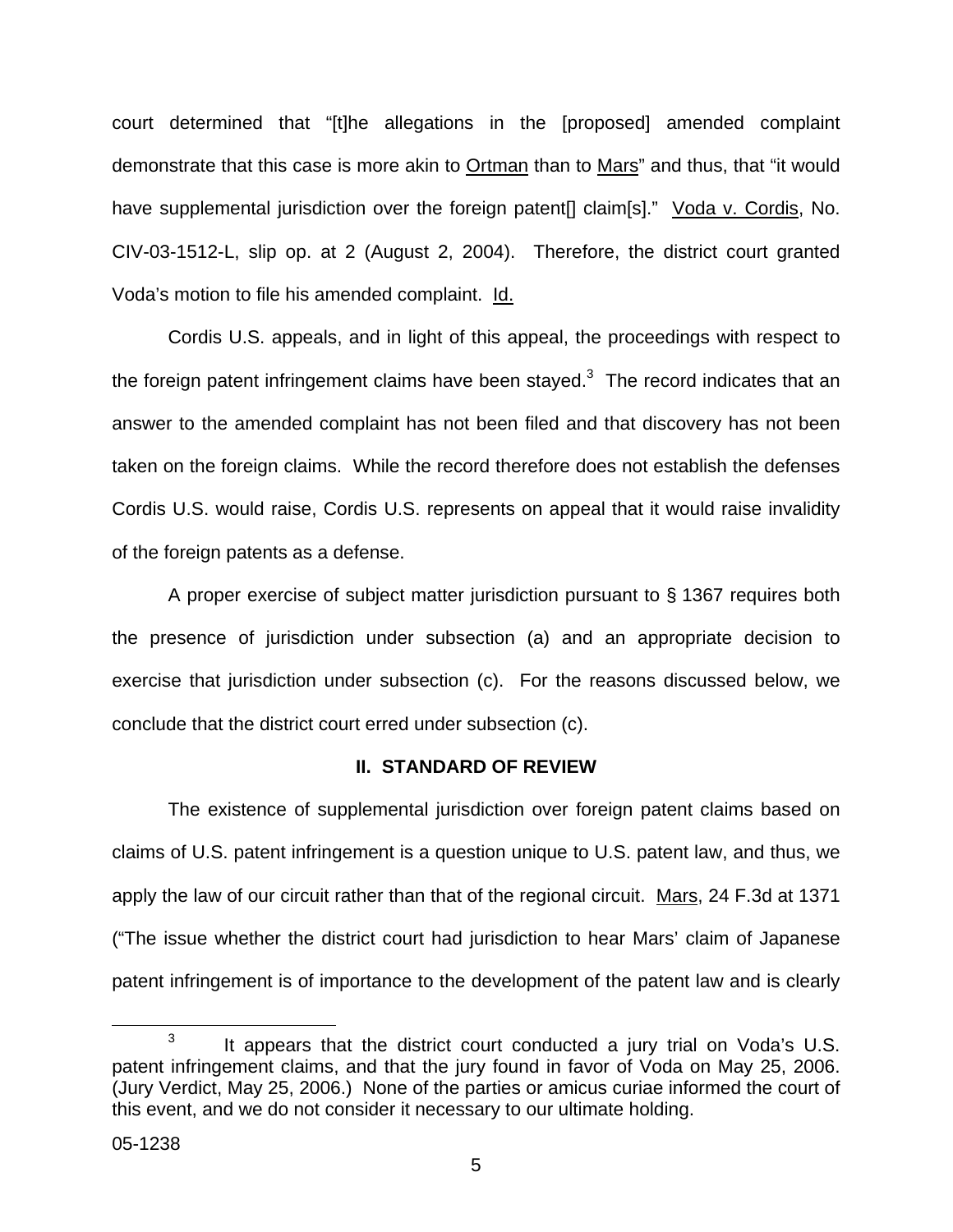court determined that "[t]he allegations in the [proposed] amended complaint demonstrate that this case is more akin to Ortman than to Mars" and thus, that "it would have supplemental jurisdiction over the foreign patent[] claim[s]." Voda v. Cordis, No. CIV-03-1512-L, slip op. at 2 (August 2, 2004). Therefore, the district court granted Voda's motion to file his amended complaint. Id.

Cordis U.S. appeals, and in light of this appeal, the proceedings with respect to the foreign patent infringement claims have been stayed.<sup>[3](#page-6-0)</sup> The record indicates that an answer to the amended complaint has not been filed and that discovery has not been taken on the foreign claims. While the record therefore does not establish the defenses Cordis U.S. would raise, Cordis U.S. represents on appeal that it would raise invalidity of the foreign patents as a defense.

A proper exercise of subject matter jurisdiction pursuant to § 1367 requires both the presence of jurisdiction under subsection (a) and an appropriate decision to exercise that jurisdiction under subsection (c). For the reasons discussed below, we conclude that the district court erred under subsection (c).

# **II. STANDARD OF REVIEW**

The existence of supplemental jurisdiction over foreign patent claims based on claims of U.S. patent infringement is a question unique to U.S. patent law, and thus, we apply the law of our circuit rather than that of the regional circuit. Mars, 24 F.3d at 1371 ("The issue whether the district court had jurisdiction to hear Mars' claim of Japanese patent infringement is of importance to the development of the patent law and is clearly

<span id="page-6-0"></span> $3$  It appears that the district court conducted a jury trial on Voda's U.S. patent infringement claims, and that the jury found in favor of Voda on May 25, 2006. (Jury Verdict, May 25, 2006.) None of the parties or amicus curiae informed the court of this event, and we do not consider it necessary to our ultimate holding.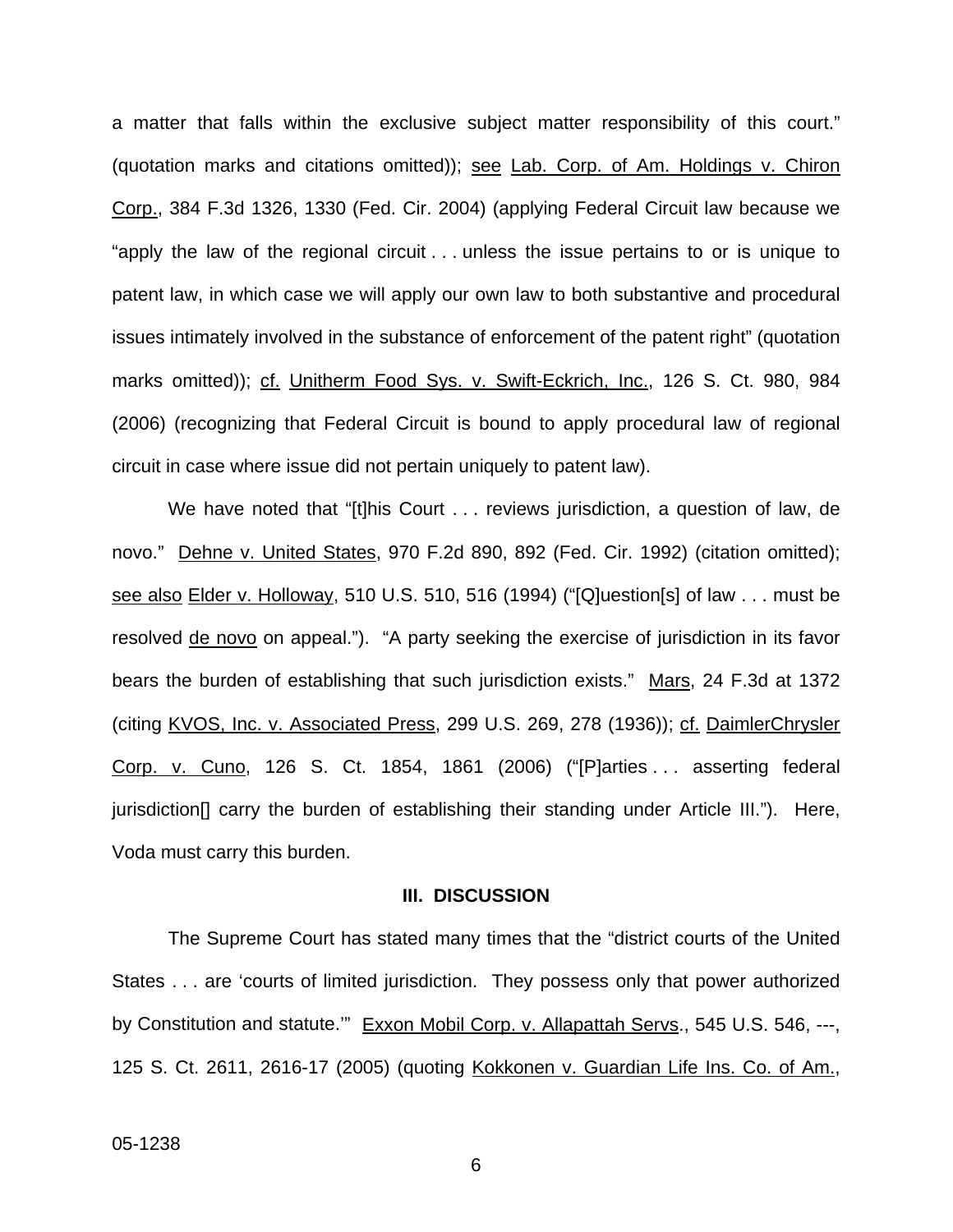a matter that falls within the exclusive subject matter responsibility of this court." (quotation marks and citations omitted)); see Lab. Corp. of Am. Holdings v. Chiron Corp., 384 F.3d 1326, 1330 (Fed. Cir. 2004) (applying Federal Circuit law because we "apply the law of the regional circuit . . . unless the issue pertains to or is unique to patent law, in which case we will apply our own law to both substantive and procedural issues intimately involved in the substance of enforcement of the patent right" (quotation marks omitted)); cf. Unitherm Food Sys. v. Swift-Eckrich, Inc., 126 S. Ct. 980, 984 (2006) (recognizing that Federal Circuit is bound to apply procedural law of regional circuit in case where issue did not pertain uniquely to patent law).

We have noted that "[t]his Court . . . reviews jurisdiction, a question of law, de novo." Dehne v. United States, 970 F.2d 890, 892 (Fed. Cir. 1992) (citation omitted); see also Elder v. Holloway, 510 U.S. 510, 516 (1994) ("[Q]uestion[s] of law . . . must be resolved de novo on appeal."). "A party seeking the exercise of jurisdiction in its favor bears the burden of establishing that such jurisdiction exists." Mars, 24 F.3d at 1372 (citing KVOS, Inc. v. Associated Press, 299 U.S. 269, 278 (1936)); cf. DaimlerChrysler Corp. v. Cuno, 126 S. Ct. 1854, 1861 (2006) ("[P]arties . . . asserting federal jurisdiction[] carry the burden of establishing their standing under Article III."). Here, Voda must carry this burden.

#### **III. DISCUSSION**

The Supreme Court has stated many times that the "district courts of the United States . . . are 'courts of limited jurisdiction. They possess only that power authorized by Constitution and statute." Exxon Mobil Corp. v. Allapattah Servs., 545 U.S. 546, ---, 125 S. Ct. 2611, 2616-17 (2005) (quoting Kokkonen v. Guardian Life Ins. Co. of Am.,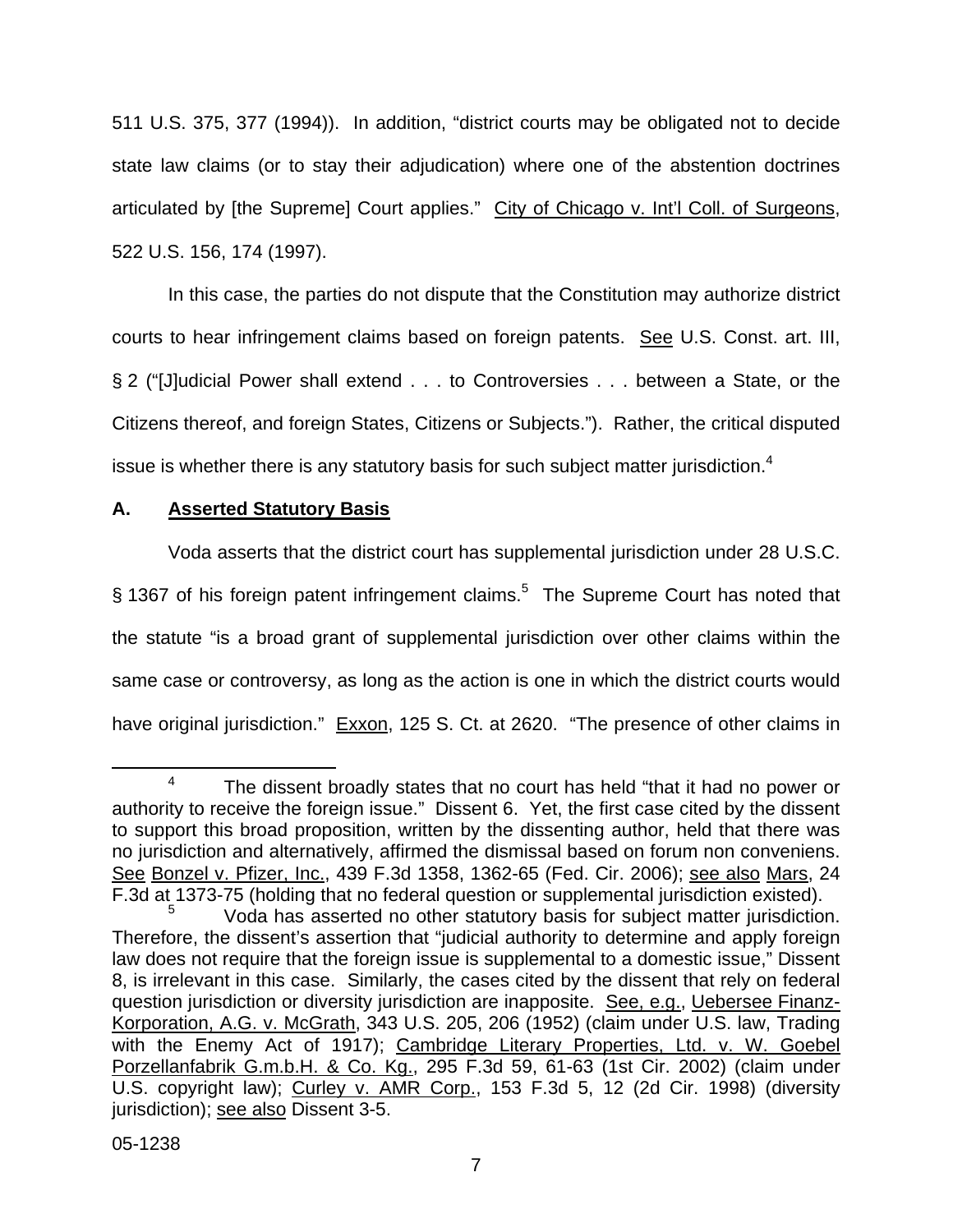511 U.S. 375, 377 (1994)). In addition, "district courts may be obligated not to decide state law claims (or to stay their adjudication) where one of the abstention doctrines articulated by [the Supreme] Court applies." City of Chicago v. Int'l Coll. of Surgeons, 522 U.S. 156, 174 (1997).

In this case, the parties do not dispute that the Constitution may authorize district courts to hear infringement claims based on foreign patents. See U.S. Const. art. III, § 2 ("[J]udicial Power shall extend . . . to Controversies . . . between a State, or the Citizens thereof, and foreign States, Citizens or Subjects."). Rather, the critical disputed issue is whether there is any statutory basis for such subject matter jurisdiction.<sup>[4](#page-8-0)</sup>

# **A. Asserted Statutory Basis**

Voda asserts that the district court has supplemental jurisdiction under 28 U.S.C. § 1367 of his foreign patent infringement claims.<sup>[5](#page-8-1)</sup> The Supreme Court has noted that the statute "is a broad grant of supplemental jurisdiction over other claims within the same case or controversy, as long as the action is one in which the district courts would

have original jurisdiction." Exxon, 125 S. Ct. at 2620. "The presence of other claims in

<span id="page-8-0"></span>The dissent broadly states that no court has held "that it had no power or authority to receive the foreign issue." Dissent 6. Yet, the first case cited by the dissent to support this broad proposition, written by the dissenting author, held that there was no jurisdiction and alternatively, affirmed the dismissal based on forum non conveniens. See Bonzel v. Pfizer, Inc., 439 F.3d 1358, 1362-65 (Fed. Cir. 2006); see also Mars, 24 F.3d at 1373-75 (holding that no federal question or supplemental jurisdiction existed).

<span id="page-8-1"></span>Voda has asserted no other statutory basis for subject matter jurisdiction. Therefore, the dissent's assertion that "judicial authority to determine and apply foreign law does not require that the foreign issue is supplemental to a domestic issue," Dissent 8, is irrelevant in this case. Similarly, the cases cited by the dissent that rely on federal question jurisdiction or diversity jurisdiction are inapposite. See, e.g., Uebersee Finanz-Korporation, A.G. v. McGrath, 343 U.S. 205, 206 (1952) (claim under U.S. law, Trading with the Enemy Act of 1917); Cambridge Literary Properties, Ltd. v. W. Goebel Porzellanfabrik G.m.b.H. & Co. Kg., 295 F.3d 59, 61-63 (1st Cir. 2002) (claim under U.S. copyright law); Curley v. AMR Corp., 153 F.3d 5, 12 (2d Cir. 1998) (diversity iurisdiction); see also Dissent 3-5.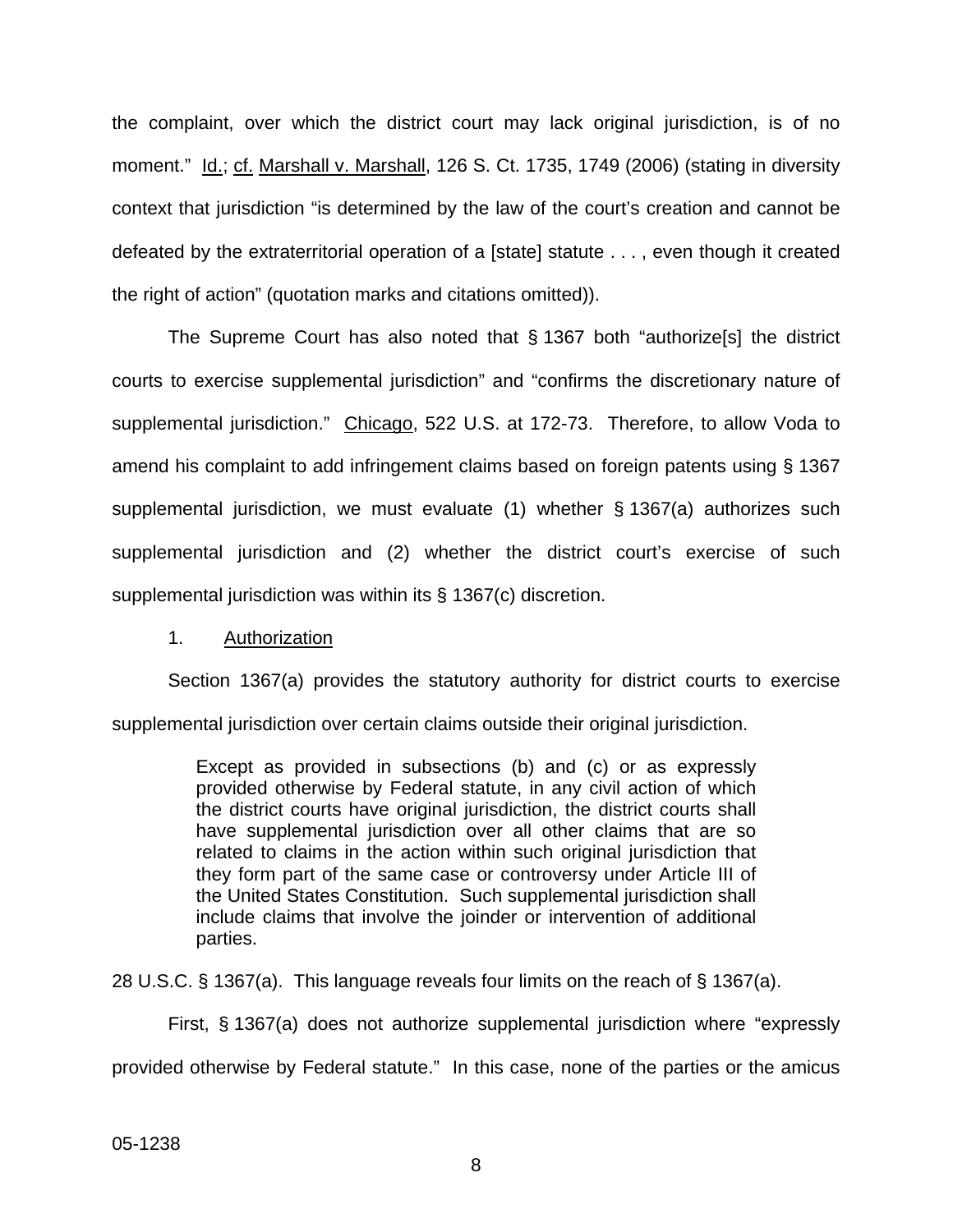the complaint, over which the district court may lack original jurisdiction, is of no moment." Id.; cf. Marshall v. Marshall, 126 S. Ct. 1735, 1749 (2006) (stating in diversity context that jurisdiction "is determined by the law of the court's creation and cannot be defeated by the extraterritorial operation of a [state] statute . . . , even though it created the right of action" (quotation marks and citations omitted)).

The Supreme Court has also noted that § 1367 both "authorize[s] the district courts to exercise supplemental jurisdiction" and "confirms the discretionary nature of supplemental jurisdiction." Chicago, 522 U.S. at 172-73. Therefore, to allow Voda to amend his complaint to add infringement claims based on foreign patents using § 1367 supplemental jurisdiction, we must evaluate (1) whether § 1367(a) authorizes such supplemental jurisdiction and (2) whether the district court's exercise of such supplemental jurisdiction was within its § 1367(c) discretion.

## 1. Authorization

Section 1367(a) provides the statutory authority for district courts to exercise supplemental jurisdiction over certain claims outside their original jurisdiction.

> Except as provided in subsections (b) and (c) or as expressly provided otherwise by Federal statute, in any civil action of which the district courts have original jurisdiction, the district courts shall have supplemental jurisdiction over all other claims that are so related to claims in the action within such original jurisdiction that they form part of the same case or controversy under Article III of the United States Constitution. Such supplemental jurisdiction shall include claims that involve the joinder or intervention of additional parties.

28 U.S.C. § 1367(a). This language reveals four limits on the reach of § 1367(a).

First, § 1367(a) does not authorize supplemental jurisdiction where "expressly provided otherwise by Federal statute." In this case, none of the parties or the amicus

05-1238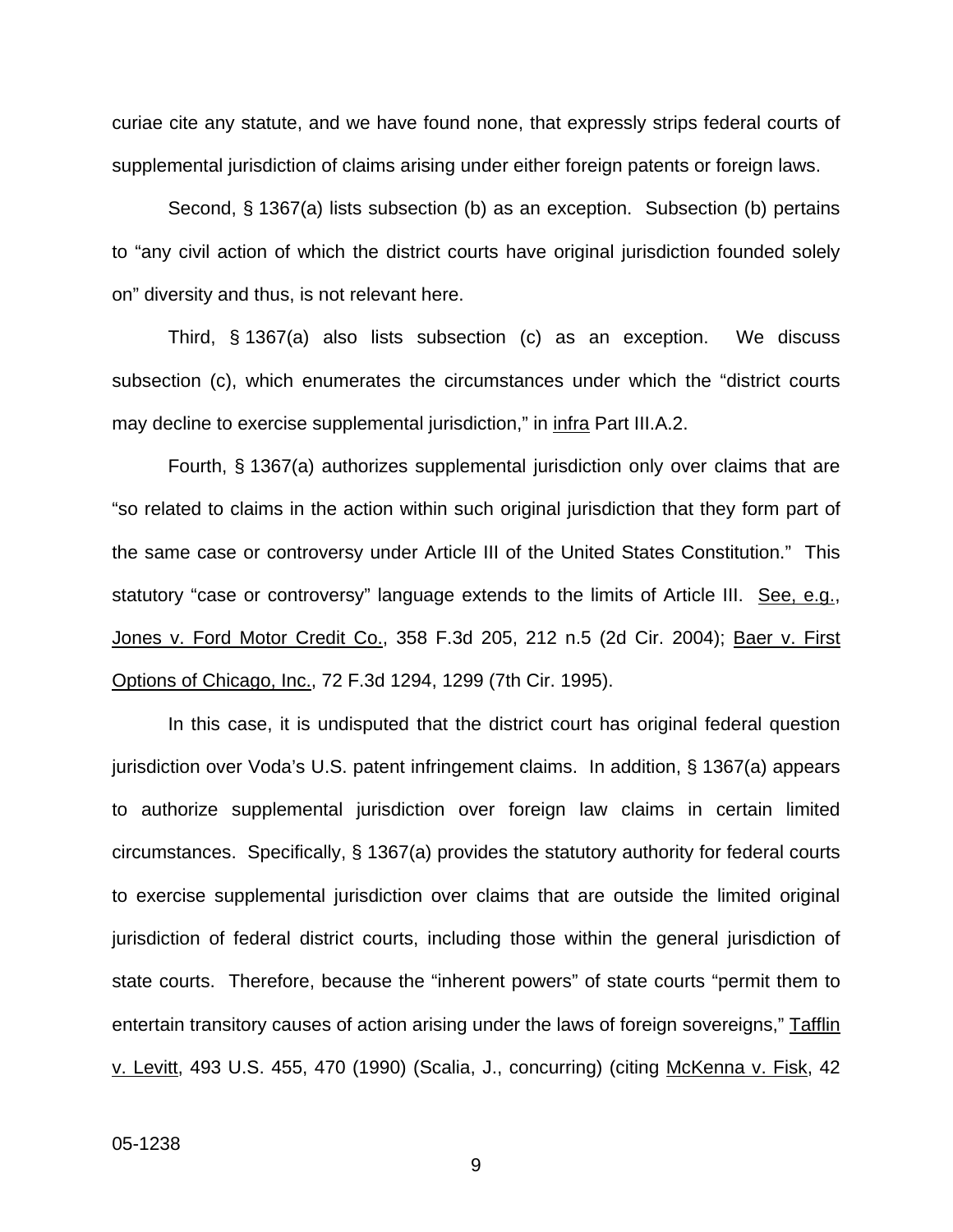curiae cite any statute, and we have found none, that expressly strips federal courts of supplemental jurisdiction of claims arising under either foreign patents or foreign laws.

Second, § 1367(a) lists subsection (b) as an exception. Subsection (b) pertains to "any civil action of which the district courts have original jurisdiction founded solely on" diversity and thus, is not relevant here.

Third, § 1367(a) also lists subsection (c) as an exception. We discuss subsection (c), which enumerates the circumstances under which the "district courts may decline to exercise supplemental jurisdiction," in infra Part III.A.2.

Fourth, § 1367(a) authorizes supplemental jurisdiction only over claims that are "so related to claims in the action within such original jurisdiction that they form part of the same case or controversy under Article III of the United States Constitution." This statutory "case or controversy" language extends to the limits of Article III. See, e.g., Jones v. Ford Motor Credit Co., 358 F.3d 205, 212 n.5 (2d Cir. 2004); Baer v. First Options of Chicago, Inc., 72 F.3d 1294, 1299 (7th Cir. 1995).

In this case, it is undisputed that the district court has original federal question jurisdiction over Voda's U.S. patent infringement claims. In addition, § 1367(a) appears to authorize supplemental jurisdiction over foreign law claims in certain limited circumstances. Specifically, § 1367(a) provides the statutory authority for federal courts to exercise supplemental jurisdiction over claims that are outside the limited original jurisdiction of federal district courts, including those within the general jurisdiction of state courts. Therefore, because the "inherent powers" of state courts "permit them to entertain transitory causes of action arising under the laws of foreign sovereigns," Tafflin v. Levitt, 493 U.S. 455, 470 (1990) (Scalia, J., concurring) (citing McKenna v. Fisk, 42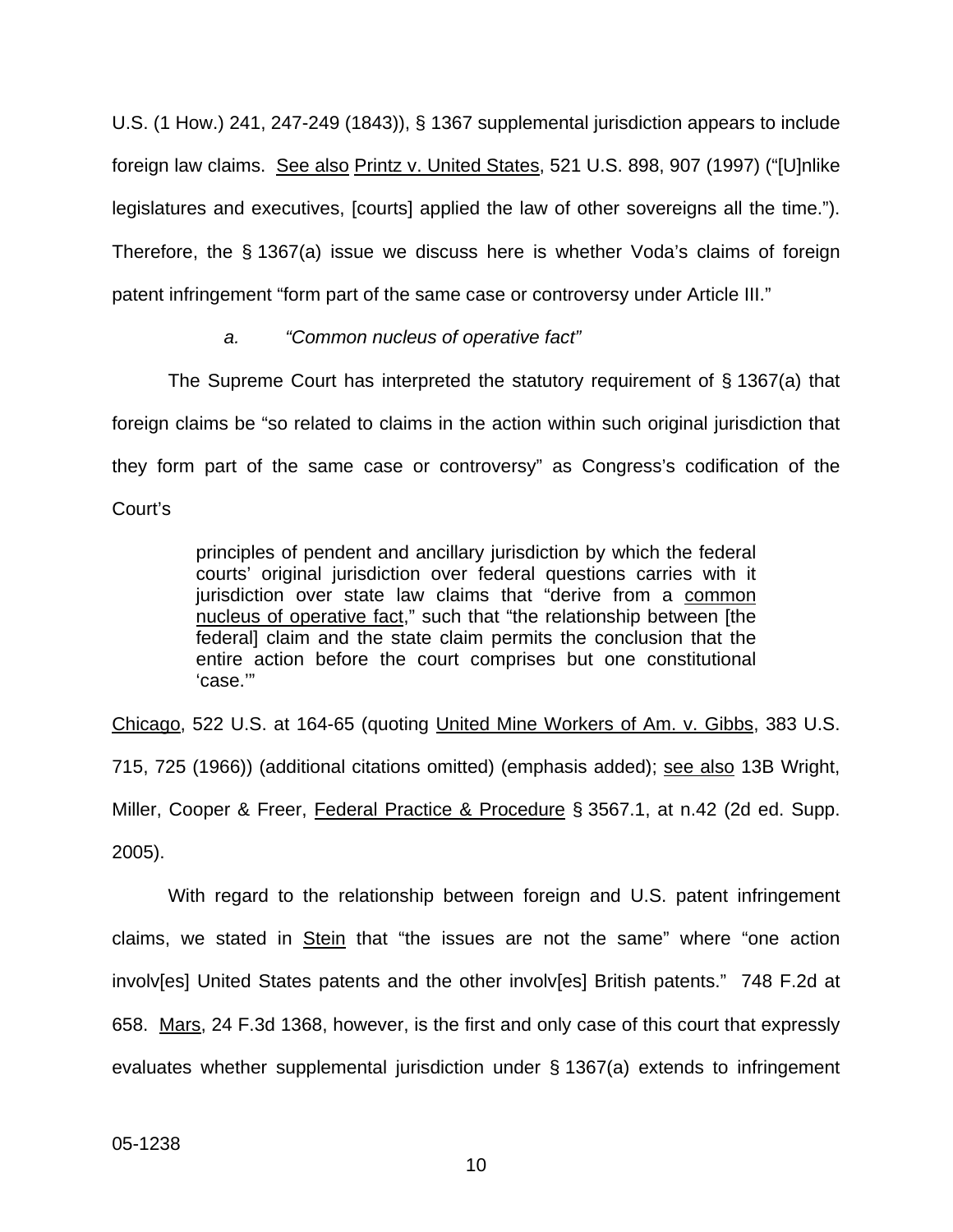U.S. (1 How.) 241, 247-249 (1843)), § 1367 supplemental jurisdiction appears to include foreign law claims. See also Printz v. United States, 521 U.S. 898, 907 (1997) ("[U]nlike legislatures and executives, [courts] applied the law of other sovereigns all the time."). Therefore, the § 1367(a) issue we discuss here is whether Voda's claims of foreign patent infringement "form part of the same case or controversy under Article III."

# *a. "Common nucleus of operative fact"*

The Supreme Court has interpreted the statutory requirement of § 1367(a) that foreign claims be "so related to claims in the action within such original jurisdiction that they form part of the same case or controversy" as Congress's codification of the Court's

> principles of pendent and ancillary jurisdiction by which the federal courts' original jurisdiction over federal questions carries with it jurisdiction over state law claims that "derive from a common nucleus of operative fact," such that "the relationship between [the federal] claim and the state claim permits the conclusion that the entire action before the court comprises but one constitutional 'case.'"

Chicago, 522 U.S. at 164-65 (quoting United Mine Workers of Am. v. Gibbs, 383 U.S. 715, 725 (1966)) (additional citations omitted) (emphasis added); see also 13B Wright, Miller, Cooper & Freer, Federal Practice & Procedure § 3567.1, at n.42 (2d ed. Supp. 2005).

With regard to the relationship between foreign and U.S. patent infringement claims, we stated in Stein that "the issues are not the same" where "one action involv[es] United States patents and the other involv[es] British patents." 748 F.2d at 658. Mars, 24 F.3d 1368, however, is the first and only case of this court that expressly evaluates whether supplemental jurisdiction under § 1367(a) extends to infringement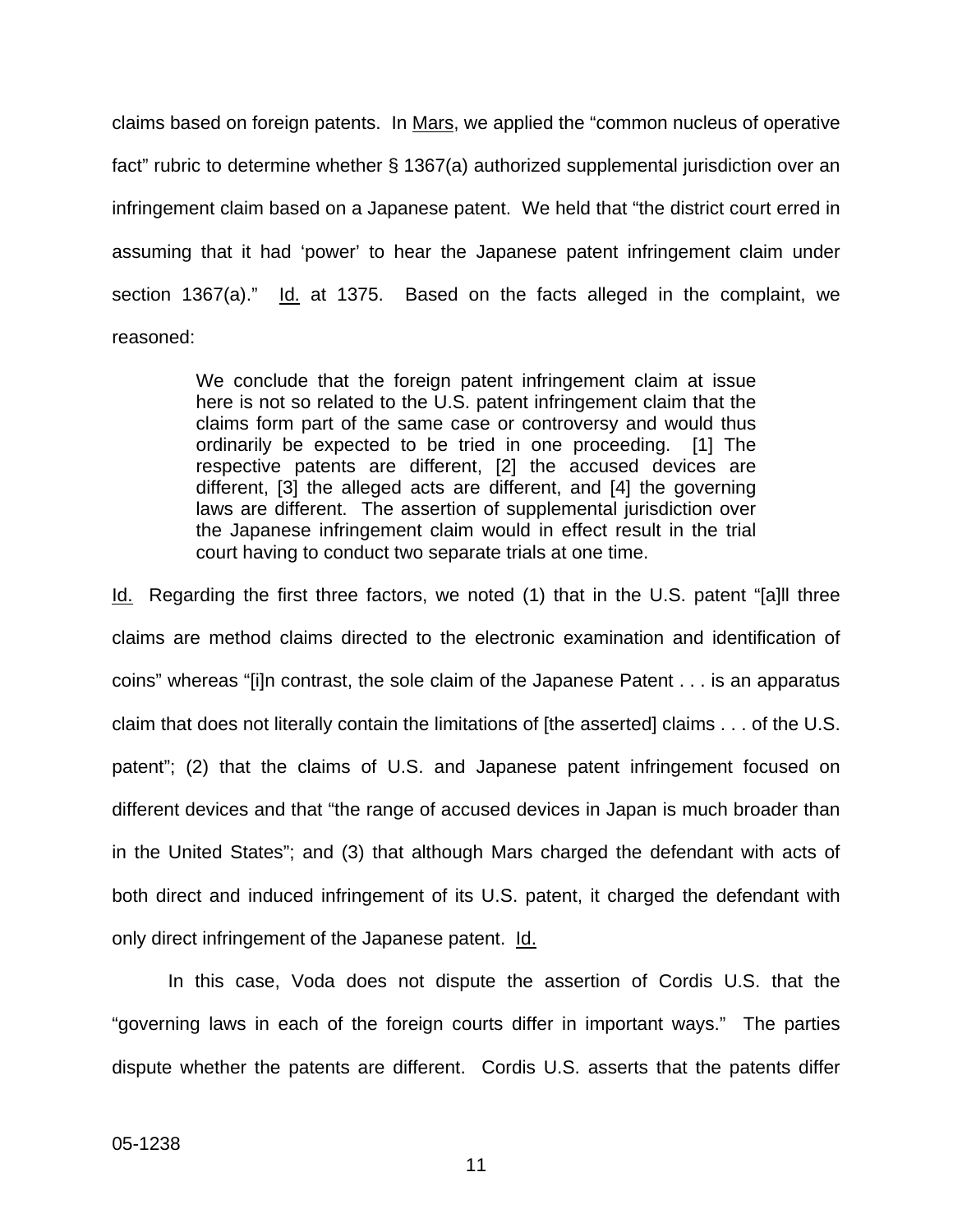claims based on foreign patents. In Mars, we applied the "common nucleus of operative fact" rubric to determine whether § 1367(a) authorized supplemental jurisdiction over an infringement claim based on a Japanese patent. We held that "the district court erred in assuming that it had 'power' to hear the Japanese patent infringement claim under section 1367(a)." Id. at 1375. Based on the facts alleged in the complaint, we reasoned:

> We conclude that the foreign patent infringement claim at issue here is not so related to the U.S. patent infringement claim that the claims form part of the same case or controversy and would thus ordinarily be expected to be tried in one proceeding. [1] The respective patents are different, [2] the accused devices are different, [3] the alleged acts are different, and [4] the governing laws are different. The assertion of supplemental jurisdiction over the Japanese infringement claim would in effect result in the trial court having to conduct two separate trials at one time.

Id. Regarding the first three factors, we noted (1) that in the U.S. patent "[a]ll three claims are method claims directed to the electronic examination and identification of coins" whereas "[i]n contrast, the sole claim of the Japanese Patent . . . is an apparatus claim that does not literally contain the limitations of [the asserted] claims . . . of the U.S. patent"; (2) that the claims of U.S. and Japanese patent infringement focused on different devices and that "the range of accused devices in Japan is much broader than in the United States"; and (3) that although Mars charged the defendant with acts of both direct and induced infringement of its U.S. patent, it charged the defendant with only direct infringement of the Japanese patent. Id.

In this case, Voda does not dispute the assertion of Cordis U.S. that the "governing laws in each of the foreign courts differ in important ways." The parties dispute whether the patents are different. Cordis U.S. asserts that the patents differ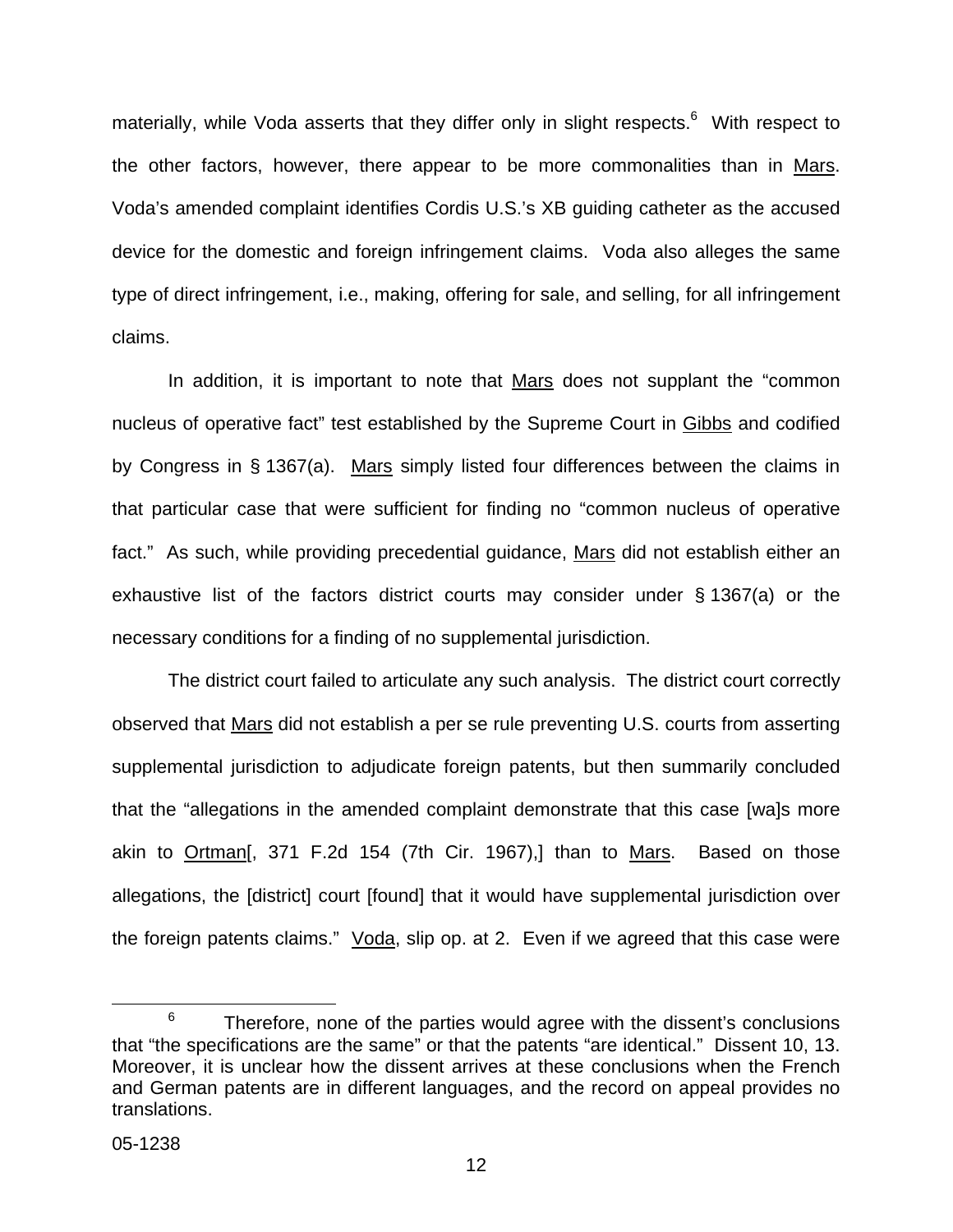materially, while Voda asserts that they differ only in slight respects.<sup>[6](#page-13-0)</sup> With respect to the other factors, however, there appear to be more commonalities than in Mars. Voda's amended complaint identifies Cordis U.S.'s XB guiding catheter as the accused device for the domestic and foreign infringement claims. Voda also alleges the same type of direct infringement, i.e., making, offering for sale, and selling, for all infringement claims.

In addition, it is important to note that Mars does not supplant the "common nucleus of operative fact" test established by the Supreme Court in Gibbs and codified by Congress in § 1367(a). Mars simply listed four differences between the claims in that particular case that were sufficient for finding no "common nucleus of operative fact." As such, while providing precedential guidance, Mars did not establish either an exhaustive list of the factors district courts may consider under § 1367(a) or the necessary conditions for a finding of no supplemental jurisdiction.

The district court failed to articulate any such analysis. The district court correctly observed that Mars did not establish a per se rule preventing U.S. courts from asserting supplemental jurisdiction to adjudicate foreign patents, but then summarily concluded that the "allegations in the amended complaint demonstrate that this case [wa]s more akin to Ortman[, 371 F.2d 154 (7th Cir. 1967),] than to Mars. Based on those allegations, the [district] court [found] that it would have supplemental jurisdiction over the foreign patents claims." Voda, slip op. at 2. Even if we agreed that this case were

<span id="page-13-0"></span> $6$  Therefore, none of the parties would agree with the dissent's conclusions that "the specifications are the same" or that the patents "are identical." Dissent 10, 13. Moreover, it is unclear how the dissent arrives at these conclusions when the French and German patents are in different languages, and the record on appeal provides no translations.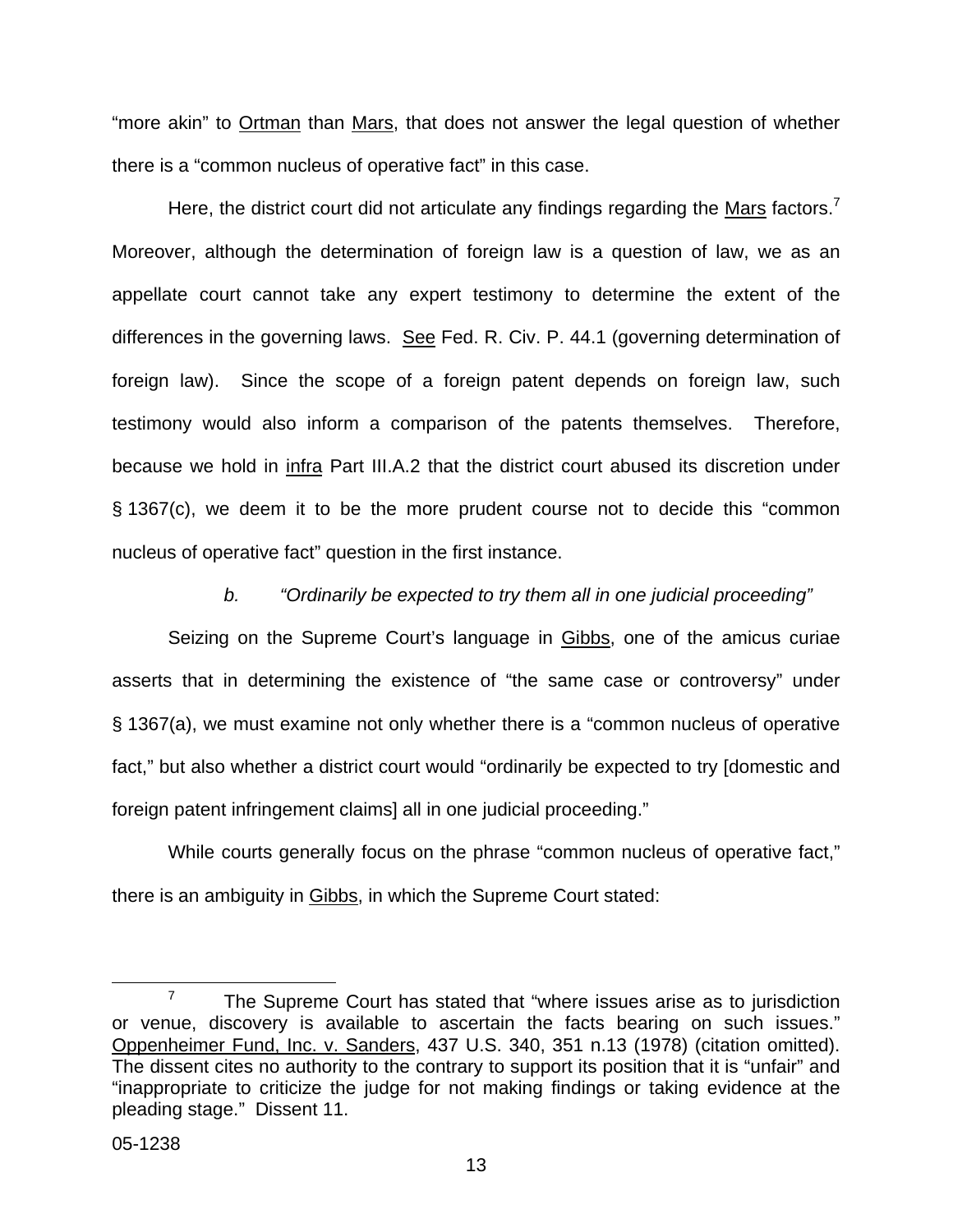"more akin" to Ortman than Mars, that does not answer the legal question of whether there is a "common nucleus of operative fact" in this case.

Here, the district court did not articulate any findings regarding the  $Mars$  factors.<sup>[7](#page-14-0)</sup> Moreover, although the determination of foreign law is a question of law, we as an appellate court cannot take any expert testimony to determine the extent of the differences in the governing laws. See Fed. R. Civ. P. 44.1 (governing determination of foreign law). Since the scope of a foreign patent depends on foreign law, such testimony would also inform a comparison of the patents themselves. Therefore, because we hold in infra Part III.A.2 that the district court abused its discretion under § 1367(c), we deem it to be the more prudent course not to decide this "common nucleus of operative fact" question in the first instance.

*b. "Ordinarily be expected to try them all in one judicial proceeding"* 

Seizing on the Supreme Court's language in Gibbs, one of the amicus curiae asserts that in determining the existence of "the same case or controversy" under § 1367(a), we must examine not only whether there is a "common nucleus of operative fact," but also whether a district court would "ordinarily be expected to try [domestic and foreign patent infringement claims] all in one judicial proceeding."

While courts generally focus on the phrase "common nucleus of operative fact," there is an ambiguity in Gibbs, in which the Supreme Court stated:

<span id="page-14-0"></span> $7$  The Supreme Court has stated that "where issues arise as to jurisdiction or venue, discovery is available to ascertain the facts bearing on such issues." Oppenheimer Fund, Inc. v. Sanders, 437 U.S. 340, 351 n.13 (1978) (citation omitted). The dissent cites no authority to the contrary to support its position that it is "unfair" and "inappropriate to criticize the judge for not making findings or taking evidence at the pleading stage." Dissent 11.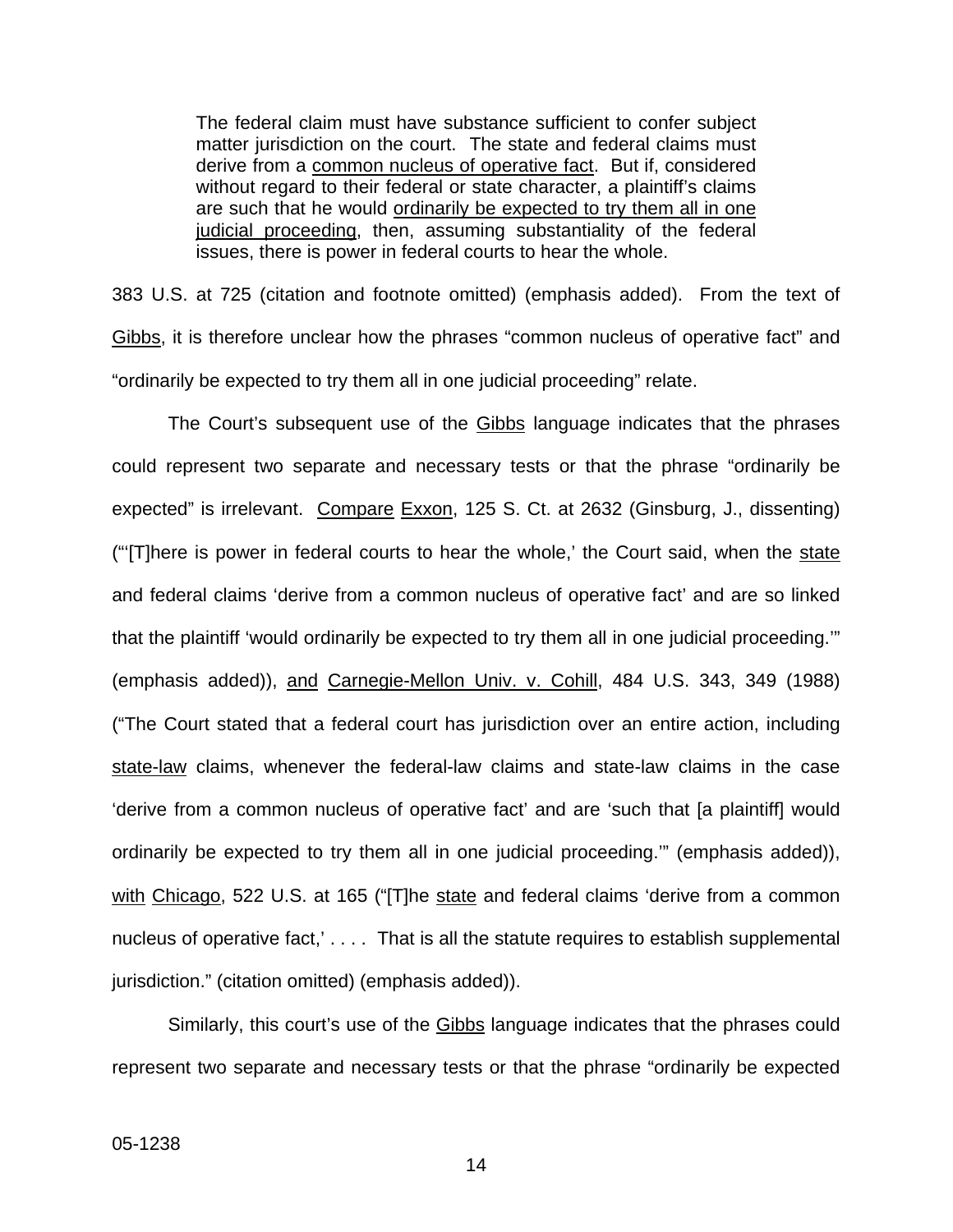The federal claim must have substance sufficient to confer subject matter jurisdiction on the court. The state and federal claims must derive from a common nucleus of operative fact. But if, considered without regard to their federal or state character, a plaintiff's claims are such that he would ordinarily be expected to try them all in one judicial proceeding, then, assuming substantiality of the federal issues, there is power in federal courts to hear the whole.

383 U.S. at 725 (citation and footnote omitted) (emphasis added). From the text of Gibbs, it is therefore unclear how the phrases "common nucleus of operative fact" and "ordinarily be expected to try them all in one judicial proceeding" relate.

The Court's subsequent use of the Gibbs language indicates that the phrases could represent two separate and necessary tests or that the phrase "ordinarily be expected" is irrelevant. Compare Exxon, 125 S. Ct. at 2632 (Ginsburg, J., dissenting) ("There is power in federal courts to hear the whole,' the Court said, when the state and federal claims 'derive from a common nucleus of operative fact' and are so linked that the plaintiff 'would ordinarily be expected to try them all in one judicial proceeding.'" (emphasis added)), and Carnegie-Mellon Univ. v. Cohill, 484 U.S. 343, 349 (1988) ("The Court stated that a federal court has jurisdiction over an entire action, including state-law claims, whenever the federal-law claims and state-law claims in the case 'derive from a common nucleus of operative fact' and are 'such that [a plaintiff] would ordinarily be expected to try them all in one judicial proceeding.'" (emphasis added)), with Chicago, 522 U.S. at 165 ("[T]he state and federal claims 'derive from a common nucleus of operative fact,' . . . . That is all the statute requires to establish supplemental jurisdiction." (citation omitted) (emphasis added)).

Similarly, this court's use of the **Gibbs** language indicates that the phrases could represent two separate and necessary tests or that the phrase "ordinarily be expected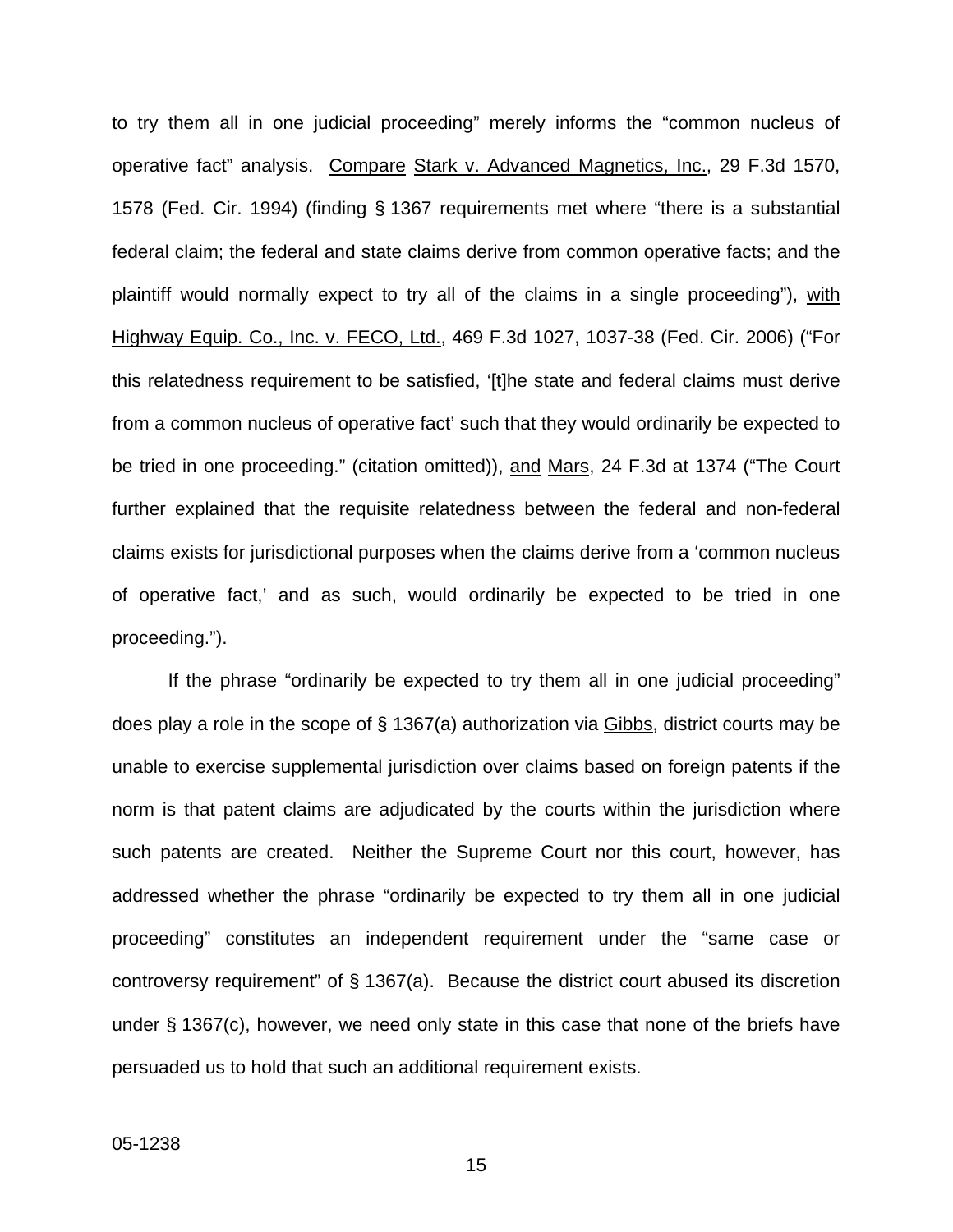to try them all in one judicial proceeding" merely informs the "common nucleus of operative fact" analysis. Compare Stark v. Advanced Magnetics, Inc., 29 F.3d 1570, 1578 (Fed. Cir. 1994) (finding § 1367 requirements met where "there is a substantial federal claim; the federal and state claims derive from common operative facts; and the plaintiff would normally expect to try all of the claims in a single proceeding"), with Highway Equip. Co., Inc. v. FECO, Ltd., 469 F.3d 1027, 1037-38 (Fed. Cir. 2006) ("For this relatedness requirement to be satisfied, '[t]he state and federal claims must derive from a common nucleus of operative fact' such that they would ordinarily be expected to be tried in one proceeding." (citation omitted)), and Mars, 24 F.3d at 1374 ("The Court further explained that the requisite relatedness between the federal and non-federal claims exists for jurisdictional purposes when the claims derive from a 'common nucleus of operative fact,' and as such, would ordinarily be expected to be tried in one proceeding.").

If the phrase "ordinarily be expected to try them all in one judicial proceeding" does play a role in the scope of § 1367(a) authorization via Gibbs, district courts may be unable to exercise supplemental jurisdiction over claims based on foreign patents if the norm is that patent claims are adjudicated by the courts within the jurisdiction where such patents are created. Neither the Supreme Court nor this court, however, has addressed whether the phrase "ordinarily be expected to try them all in one judicial proceeding" constitutes an independent requirement under the "same case or controversy requirement" of § 1367(a). Because the district court abused its discretion under § 1367(c), however, we need only state in this case that none of the briefs have persuaded us to hold that such an additional requirement exists.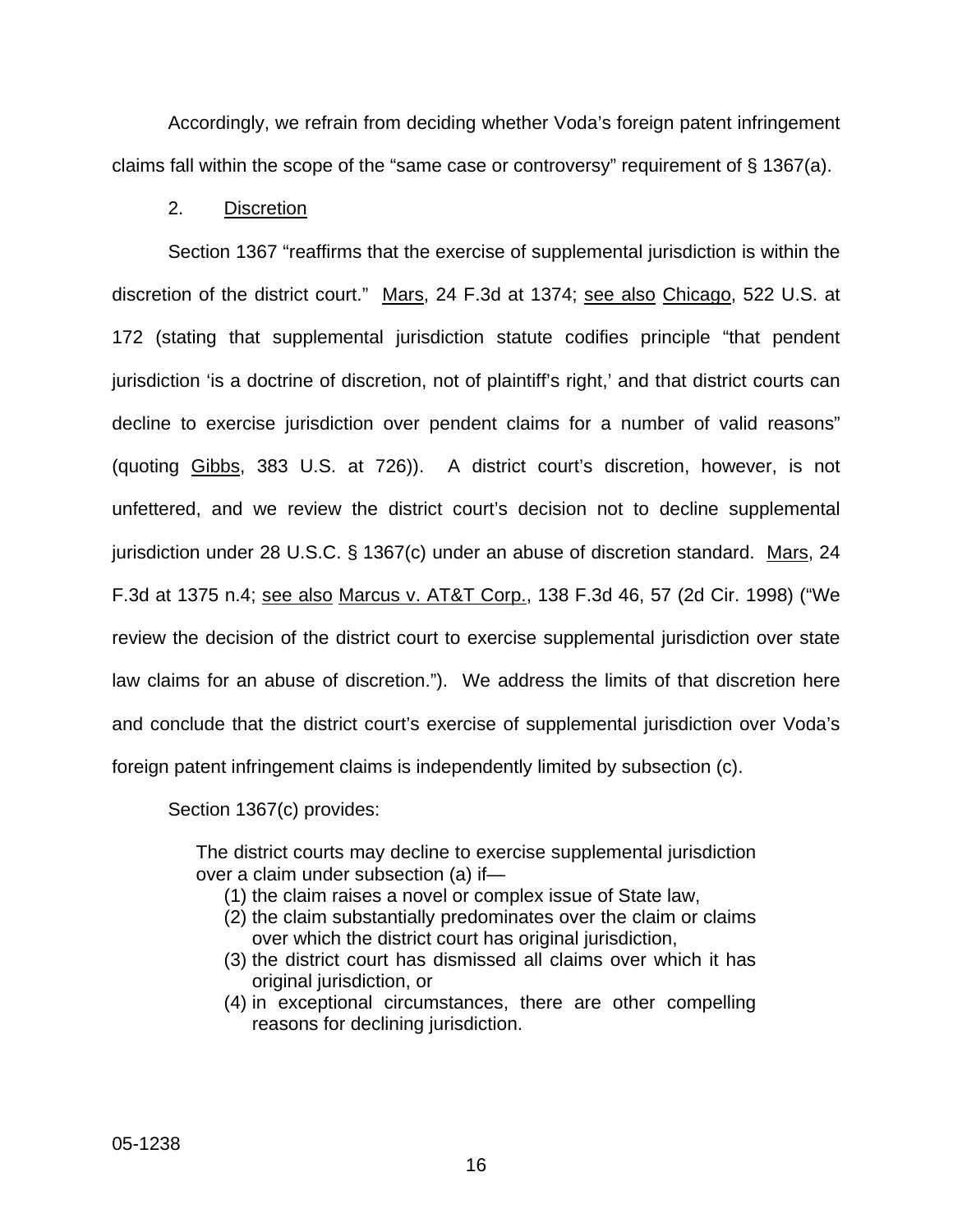Accordingly, we refrain from deciding whether Voda's foreign patent infringement claims fall within the scope of the "same case or controversy" requirement of § 1367(a).

# 2. Discretion

Section 1367 "reaffirms that the exercise of supplemental jurisdiction is within the discretion of the district court." Mars, 24 F.3d at 1374; see also Chicago, 522 U.S. at 172 (stating that supplemental jurisdiction statute codifies principle "that pendent jurisdiction 'is a doctrine of discretion, not of plaintiff's right,' and that district courts can decline to exercise jurisdiction over pendent claims for a number of valid reasons" (quoting Gibbs, 383 U.S. at 726)). A district court's discretion, however, is not unfettered, and we review the district court's decision not to decline supplemental jurisdiction under 28 U.S.C. § 1367(c) under an abuse of discretion standard. Mars, 24 F.3d at 1375 n.4; see also Marcus v. AT&T Corp., 138 F.3d 46, 57 (2d Cir. 1998) ("We review the decision of the district court to exercise supplemental jurisdiction over state law claims for an abuse of discretion."). We address the limits of that discretion here and conclude that the district court's exercise of supplemental jurisdiction over Voda's foreign patent infringement claims is independently limited by subsection (c).

Section 1367(c) provides:

The district courts may decline to exercise supplemental jurisdiction over a claim under subsection (a) if—

- (1) the claim raises a novel or complex issue of State law,
- (2) the claim substantially predominates over the claim or claims over which the district court has original jurisdiction,
- (3) the district court has dismissed all claims over which it has original jurisdiction, or
- (4) in exceptional circumstances, there are other compelling reasons for declining jurisdiction.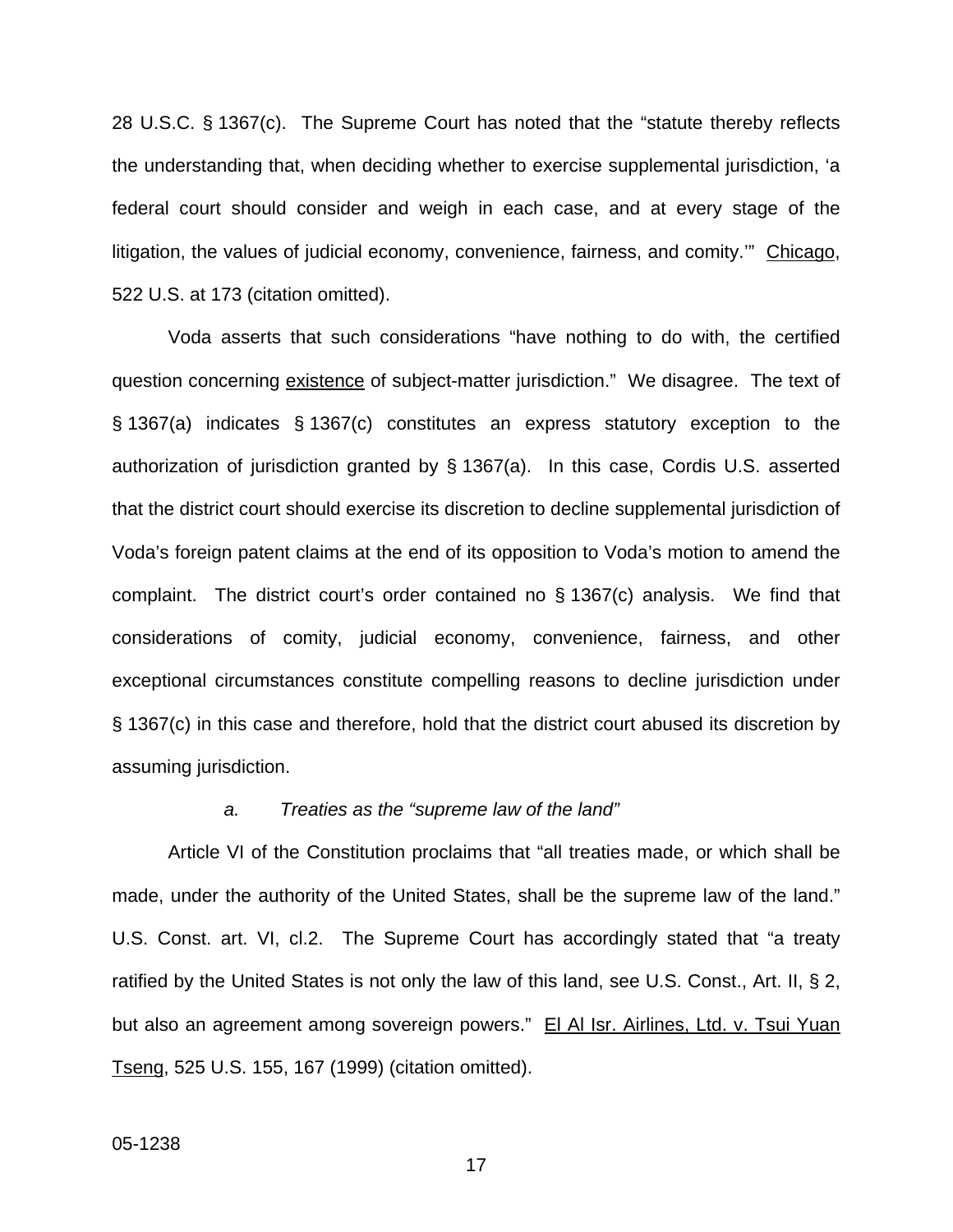28 U.S.C. § 1367(c). The Supreme Court has noted that the "statute thereby reflects the understanding that, when deciding whether to exercise supplemental jurisdiction, 'a federal court should consider and weigh in each case, and at every stage of the litigation, the values of judicial economy, convenience, fairness, and comity.'" Chicago, 522 U.S. at 173 (citation omitted).

Voda asserts that such considerations "have nothing to do with, the certified question concerning existence of subject-matter jurisdiction." We disagree. The text of § 1367(a) indicates § 1367(c) constitutes an express statutory exception to the authorization of jurisdiction granted by § 1367(a). In this case, Cordis U.S. asserted that the district court should exercise its discretion to decline supplemental jurisdiction of Voda's foreign patent claims at the end of its opposition to Voda's motion to amend the complaint. The district court's order contained no § 1367(c) analysis. We find that considerations of comity, judicial economy, convenience, fairness, and other exceptional circumstances constitute compelling reasons to decline jurisdiction under § 1367(c) in this case and therefore, hold that the district court abused its discretion by assuming jurisdiction.

#### *a. Treaties as the "supreme law of the land"*

Article VI of the Constitution proclaims that "all treaties made, or which shall be made, under the authority of the United States, shall be the supreme law of the land." U.S. Const. art. VI, cl.2. The Supreme Court has accordingly stated that "a treaty ratified by the United States is not only the law of this land, see U.S. Const., Art. II, § 2, but also an agreement among sovereign powers." El Al Isr. Airlines, Ltd. v. Tsui Yuan Tseng, 525 U.S. 155, 167 (1999) (citation omitted).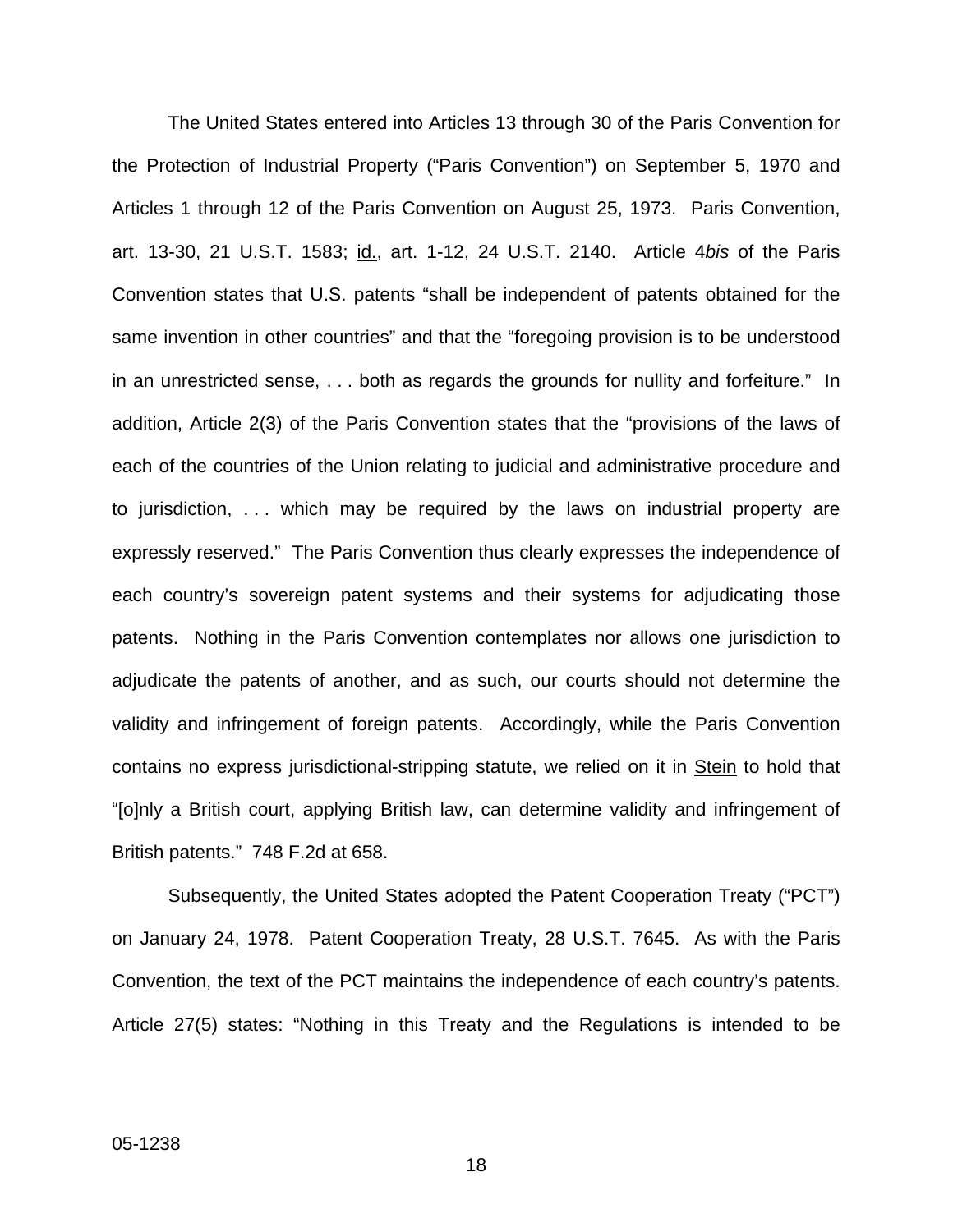The United States entered into Articles 13 through 30 of the Paris Convention for the Protection of Industrial Property ("Paris Convention") on September 5, 1970 and Articles 1 through 12 of the Paris Convention on August 25, 1973. Paris Convention, art. 13-30, 21 U.S.T. 1583; id., art. 1-12, 24 U.S.T. 2140. Article 4*bis* of the Paris Convention states that U.S. patents "shall be independent of patents obtained for the same invention in other countries" and that the "foregoing provision is to be understood in an unrestricted sense, . . . both as regards the grounds for nullity and forfeiture." In addition, Article 2(3) of the Paris Convention states that the "provisions of the laws of each of the countries of the Union relating to judicial and administrative procedure and to jurisdiction, . . . which may be required by the laws on industrial property are expressly reserved." The Paris Convention thus clearly expresses the independence of each country's sovereign patent systems and their systems for adjudicating those patents. Nothing in the Paris Convention contemplates nor allows one jurisdiction to adjudicate the patents of another, and as such, our courts should not determine the validity and infringement of foreign patents. Accordingly, while the Paris Convention contains no express jurisdictional-stripping statute, we relied on it in Stein to hold that "[o]nly a British court, applying British law, can determine validity and infringement of British patents." 748 F.2d at 658.

Subsequently, the United States adopted the Patent Cooperation Treaty ("PCT") on January 24, 1978. Patent Cooperation Treaty, 28 U.S.T. 7645. As with the Paris Convention, the text of the PCT maintains the independence of each country's patents. Article 27(5) states: "Nothing in this Treaty and the Regulations is intended to be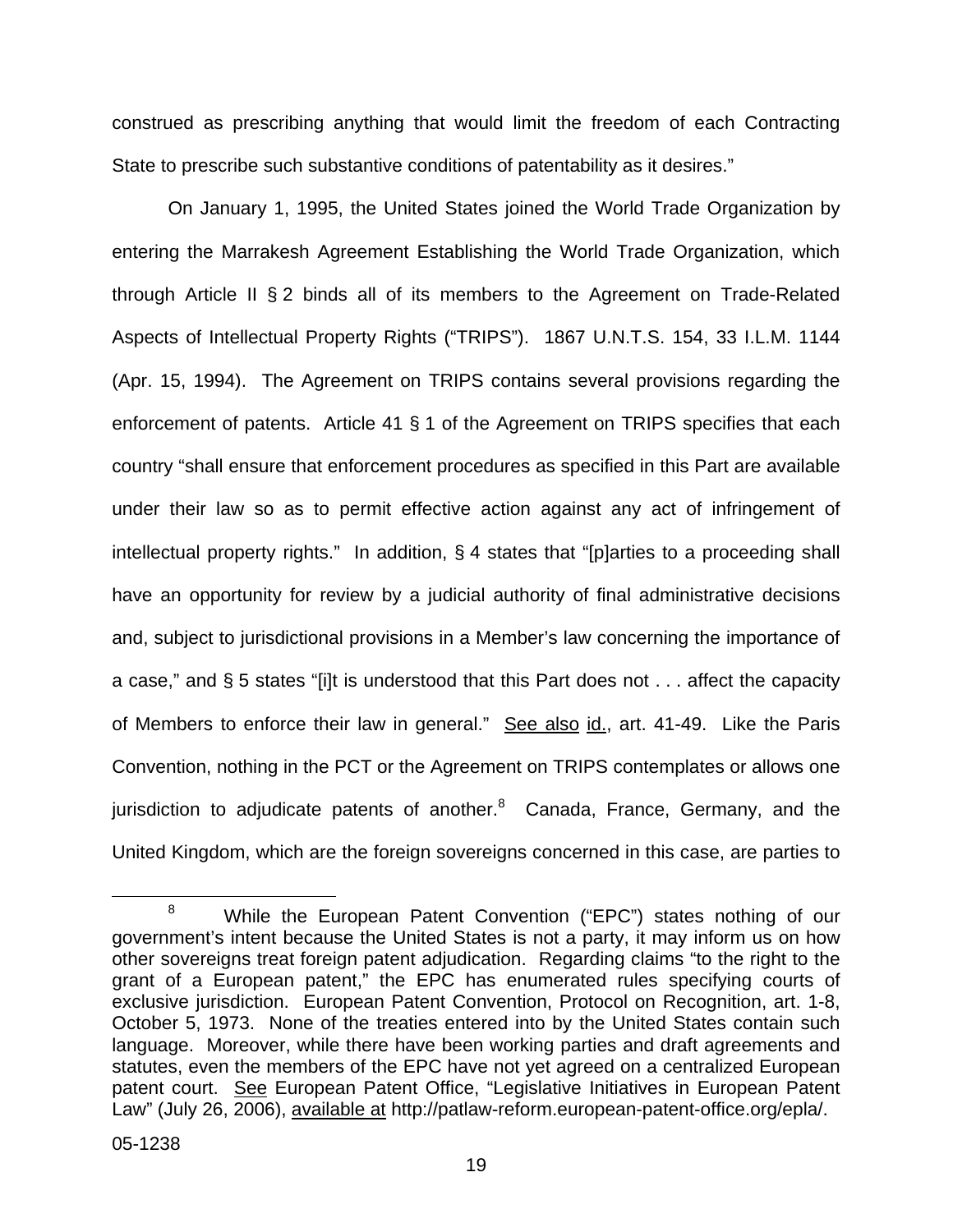construed as prescribing anything that would limit the freedom of each Contracting State to prescribe such substantive conditions of patentability as it desires."

On January 1, 1995, the United States joined the World Trade Organization by entering the Marrakesh Agreement Establishing the World Trade Organization, which through Article II § 2 binds all of its members to the Agreement on Trade-Related Aspects of Intellectual Property Rights ("TRIPS"). 1867 U.N.T.S. 154, 33 I.L.M. 1144 (Apr. 15, 1994). The Agreement on TRIPS contains several provisions regarding the enforcement of patents. Article 41 § 1 of the Agreement on TRIPS specifies that each country "shall ensure that enforcement procedures as specified in this Part are available under their law so as to permit effective action against any act of infringement of intellectual property rights." In addition, § 4 states that "[p]arties to a proceeding shall have an opportunity for review by a judicial authority of final administrative decisions and, subject to jurisdictional provisions in a Member's law concerning the importance of a case," and § 5 states "[i]t is understood that this Part does not . . . affect the capacity of Members to enforce their law in general." See also id., art. 41-49. Like the Paris Convention, nothing in the PCT or the Agreement on TRIPS contemplates or allows one jurisdiction to adjudicate patents of another.<sup>[8](#page-20-0)</sup> Canada, France, Germany, and the United Kingdom, which are the foreign sovereigns concerned in this case, are parties to

<span id="page-20-0"></span><sup>&</sup>lt;sup>8</sup> While the European Patent Convention ("EPC") states nothing of our government's intent because the United States is not a party, it may inform us on how other sovereigns treat foreign patent adjudication. Regarding claims "to the right to the grant of a European patent," the EPC has enumerated rules specifying courts of exclusive jurisdiction. European Patent Convention, Protocol on Recognition, art. 1-8, October 5, 1973. None of the treaties entered into by the United States contain such language. Moreover, while there have been working parties and draft agreements and statutes, even the members of the EPC have not yet agreed on a centralized European patent court. See European Patent Office, "Legislative Initiatives in European Patent Law" (July 26, 2006), available at http://patlaw-reform.european-patent-office.org/epla/.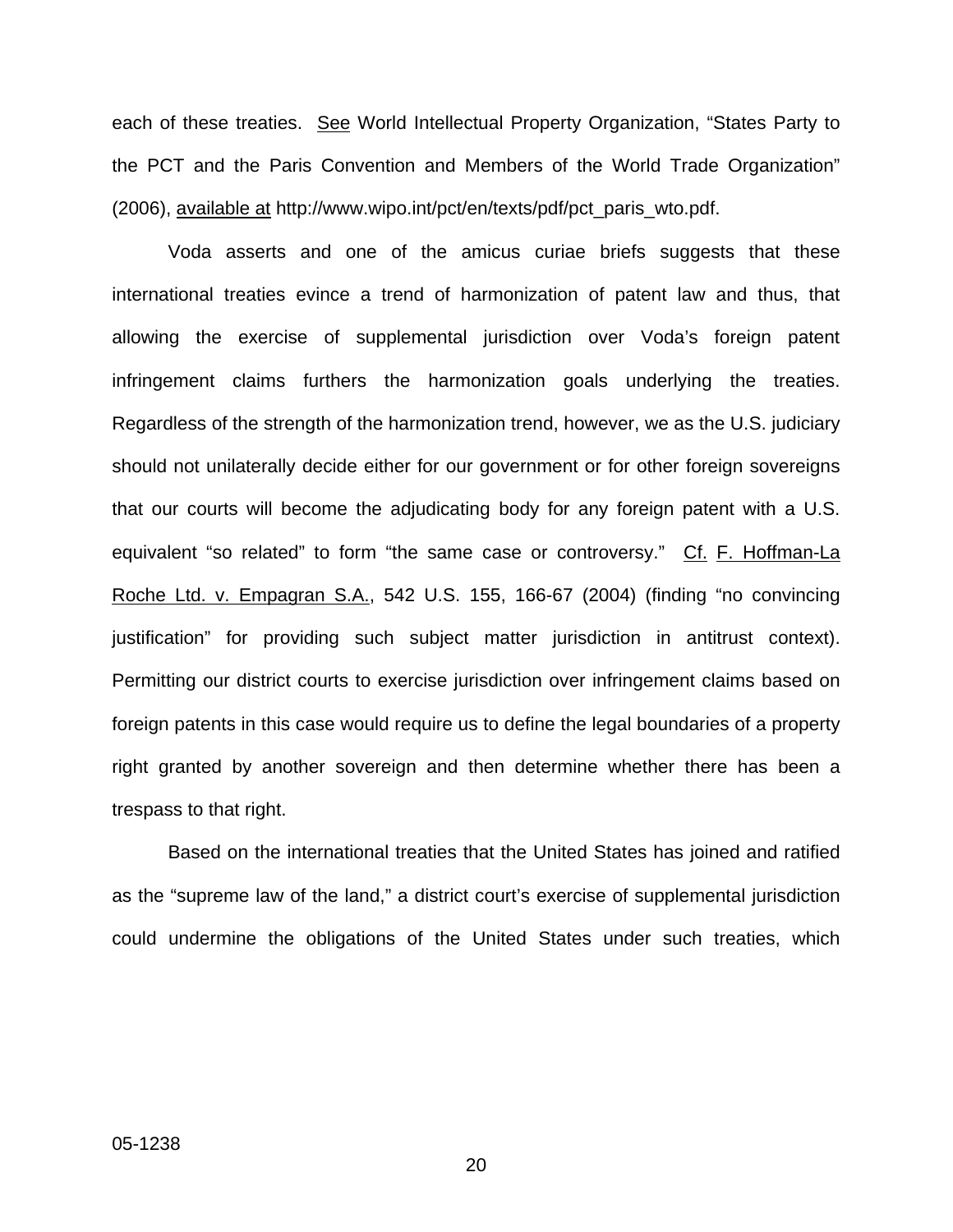each of these treaties. See World Intellectual Property Organization, "States Party to the PCT and the Paris Convention and Members of the World Trade Organization" (2006), available at http://www.wipo.int/pct/en/texts/pdf/pct\_paris\_wto.pdf.

Voda asserts and one of the amicus curiae briefs suggests that these international treaties evince a trend of harmonization of patent law and thus, that allowing the exercise of supplemental jurisdiction over Voda's foreign patent infringement claims furthers the harmonization goals underlying the treaties. Regardless of the strength of the harmonization trend, however, we as the U.S. judiciary should not unilaterally decide either for our government or for other foreign sovereigns that our courts will become the adjudicating body for any foreign patent with a U.S. equivalent "so related" to form "the same case or controversy." Cf. F. Hoffman-La Roche Ltd. v. Empagran S.A., 542 U.S. 155, 166-67 (2004) (finding "no convincing justification" for providing such subject matter jurisdiction in antitrust context). Permitting our district courts to exercise jurisdiction over infringement claims based on foreign patents in this case would require us to define the legal boundaries of a property right granted by another sovereign and then determine whether there has been a trespass to that right.

Based on the international treaties that the United States has joined and ratified as the "supreme law of the land," a district court's exercise of supplemental jurisdiction could undermine the obligations of the United States under such treaties, which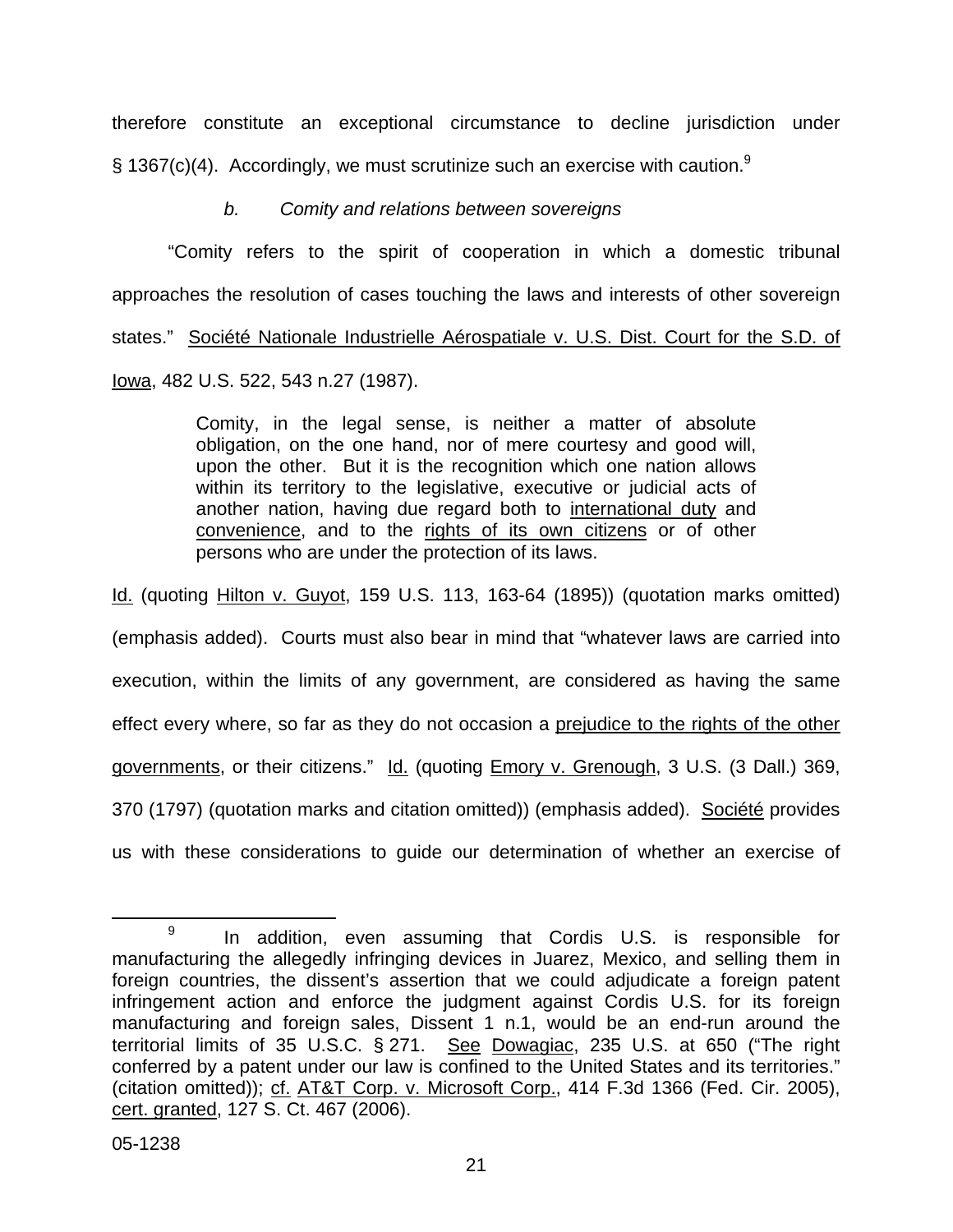therefore constitute an exceptional circumstance to decline jurisdiction under § 1367(c)(4). Accordingly, we must scrutinize such an exercise with caution.<sup>[9](#page-22-0)</sup>

# *b. Comity and relations between sovereigns*

"Comity refers to the spirit of cooperation in which a domestic tribunal approaches the resolution of cases touching the laws and interests of other sovereign states." Société Nationale Industrielle Aérospatiale v. U.S. Dist. Court for the S.D. of Iowa, 482 U.S. 522, 543 n.27 (1987).

> Comity, in the legal sense, is neither a matter of absolute obligation, on the one hand, nor of mere courtesy and good will, upon the other. But it is the recognition which one nation allows within its territory to the legislative, executive or judicial acts of another nation, having due regard both to international duty and convenience, and to the rights of its own citizens or of other persons who are under the protection of its laws.

Id. (quoting Hilton v. Guyot, 159 U.S. 113, 163-64 (1895)) (quotation marks omitted) (emphasis added). Courts must also bear in mind that "whatever laws are carried into execution, within the limits of any government, are considered as having the same effect every where, so far as they do not occasion a prejudice to the rights of the other governments, or their citizens." Id. (quoting *Emory v. Grenough*, 3 U.S. (3 Dall.) 369, 370 (1797) (quotation marks and citation omitted)) (emphasis added). Société provides us with these considerations to guide our determination of whether an exercise of

<span id="page-22-0"></span><sup>&</sup>lt;sup>9</sup> In addition, even assuming that Cordis U.S. is responsible for manufacturing the allegedly infringing devices in Juarez, Mexico, and selling them in foreign countries, the dissent's assertion that we could adjudicate a foreign patent infringement action and enforce the judgment against Cordis U.S. for its foreign manufacturing and foreign sales, Dissent 1 n.1, would be an end-run around the territorial limits of 35 U.S.C. § 271. See Dowagiac, 235 U.S. at 650 ("The right conferred by a patent under our law is confined to the United States and its territories." (citation omitted)); cf. AT&T Corp. v. Microsoft Corp., 414 F.3d 1366 (Fed. Cir. 2005), cert. granted, 127 S. Ct. 467 (2006).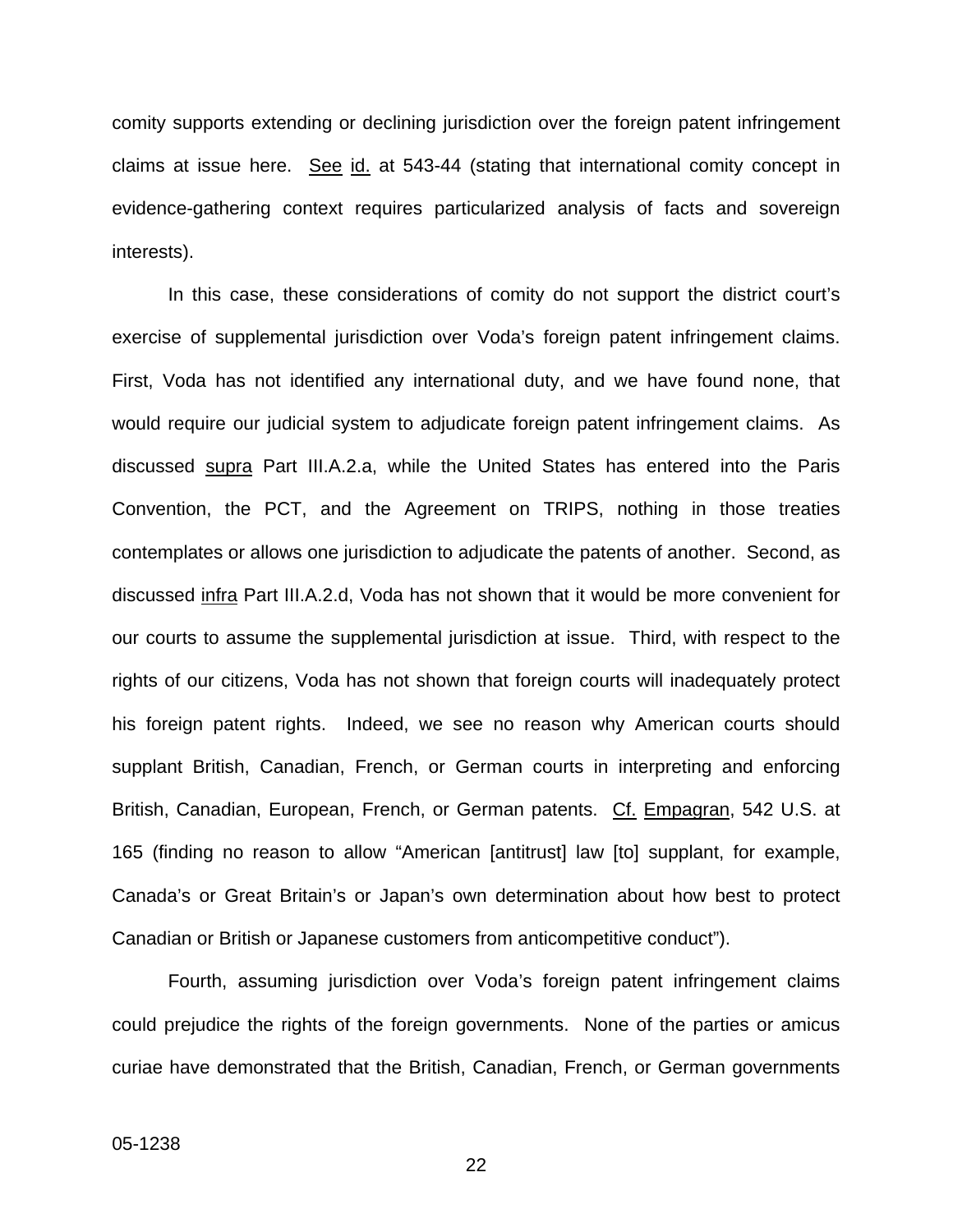comity supports extending or declining jurisdiction over the foreign patent infringement claims at issue here. See id. at 543-44 (stating that international comity concept in evidence-gathering context requires particularized analysis of facts and sovereign interests).

In this case, these considerations of comity do not support the district court's exercise of supplemental jurisdiction over Voda's foreign patent infringement claims. First, Voda has not identified any international duty, and we have found none, that would require our judicial system to adjudicate foreign patent infringement claims. As discussed supra Part III.A.2.a, while the United States has entered into the Paris Convention, the PCT, and the Agreement on TRIPS, nothing in those treaties contemplates or allows one jurisdiction to adjudicate the patents of another. Second, as discussed infra Part III.A.2.d, Voda has not shown that it would be more convenient for our courts to assume the supplemental jurisdiction at issue. Third, with respect to the rights of our citizens, Voda has not shown that foreign courts will inadequately protect his foreign patent rights. Indeed, we see no reason why American courts should supplant British, Canadian, French, or German courts in interpreting and enforcing British, Canadian, European, French, or German patents. Cf. Empagran, 542 U.S. at 165 (finding no reason to allow "American [antitrust] law [to] supplant, for example, Canada's or Great Britain's or Japan's own determination about how best to protect Canadian or British or Japanese customers from anticompetitive conduct").

Fourth, assuming jurisdiction over Voda's foreign patent infringement claims could prejudice the rights of the foreign governments. None of the parties or amicus curiae have demonstrated that the British, Canadian, French, or German governments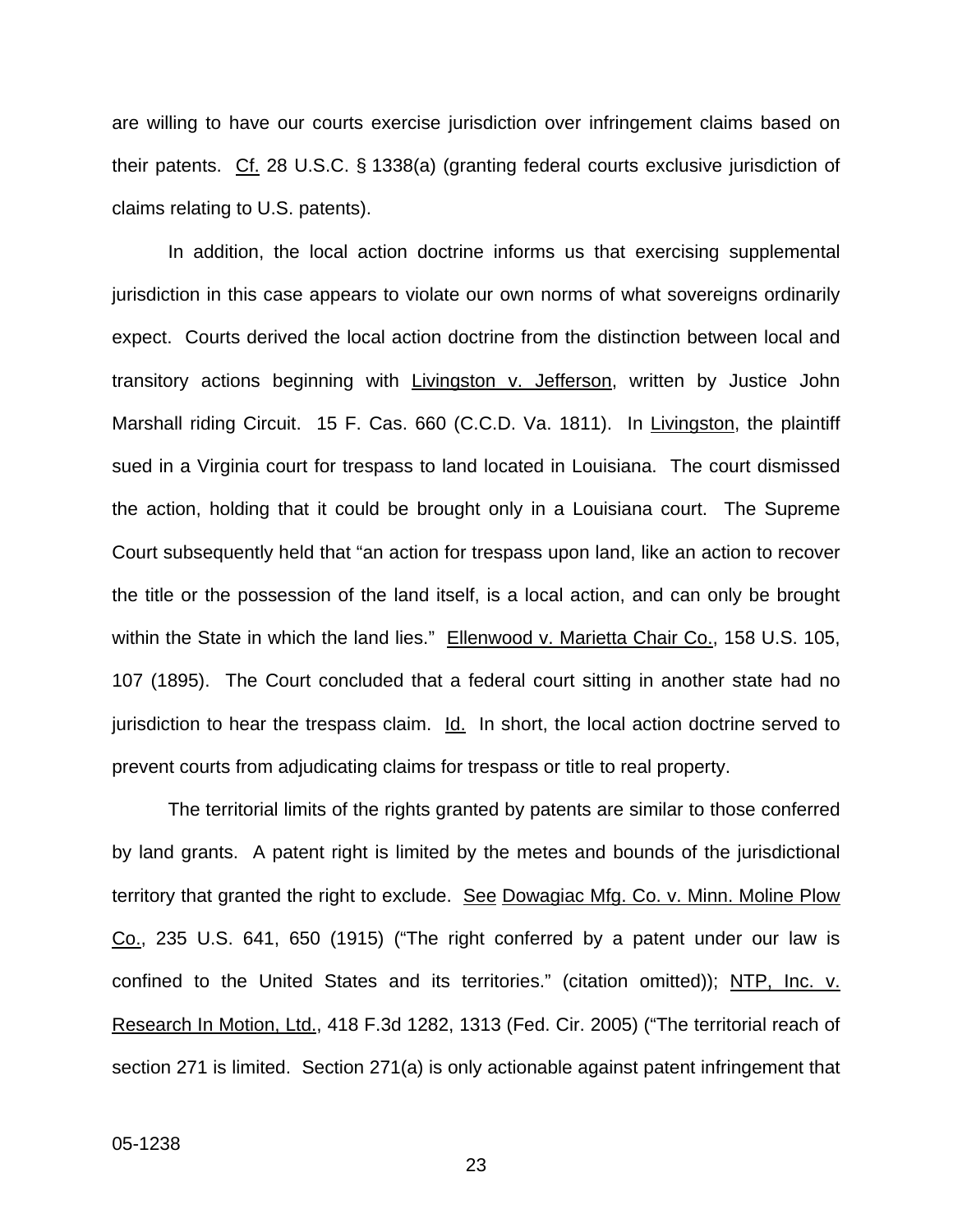are willing to have our courts exercise jurisdiction over infringement claims based on their patents. Cf. 28 U.S.C. § 1338(a) (granting federal courts exclusive jurisdiction of claims relating to U.S. patents).

In addition, the local action doctrine informs us that exercising supplemental jurisdiction in this case appears to violate our own norms of what sovereigns ordinarily expect. Courts derived the local action doctrine from the distinction between local and transitory actions beginning with Livingston v. Jefferson, written by Justice John Marshall riding Circuit. 15 F. Cas. 660 (C.C.D. Va. 1811). In Livingston, the plaintiff sued in a Virginia court for trespass to land located in Louisiana. The court dismissed the action, holding that it could be brought only in a Louisiana court. The Supreme Court subsequently held that "an action for trespass upon land, like an action to recover the title or the possession of the land itself, is a local action, and can only be brought within the State in which the land lies." Ellenwood v. Marietta Chair Co., 158 U.S. 105, 107 (1895). The Court concluded that a federal court sitting in another state had no jurisdiction to hear the trespass claim. Id. In short, the local action doctrine served to prevent courts from adjudicating claims for trespass or title to real property.

The territorial limits of the rights granted by patents are similar to those conferred by land grants. A patent right is limited by the metes and bounds of the jurisdictional territory that granted the right to exclude. See Dowagiac Mfg. Co. v. Minn. Moline Plow Co., 235 U.S. 641, 650 (1915) ("The right conferred by a patent under our law is confined to the United States and its territories." (citation omitted)); NTP, Inc. v. Research In Motion, Ltd., 418 F.3d 1282, 1313 (Fed. Cir. 2005) ("The territorial reach of section 271 is limited. Section 271(a) is only actionable against patent infringement that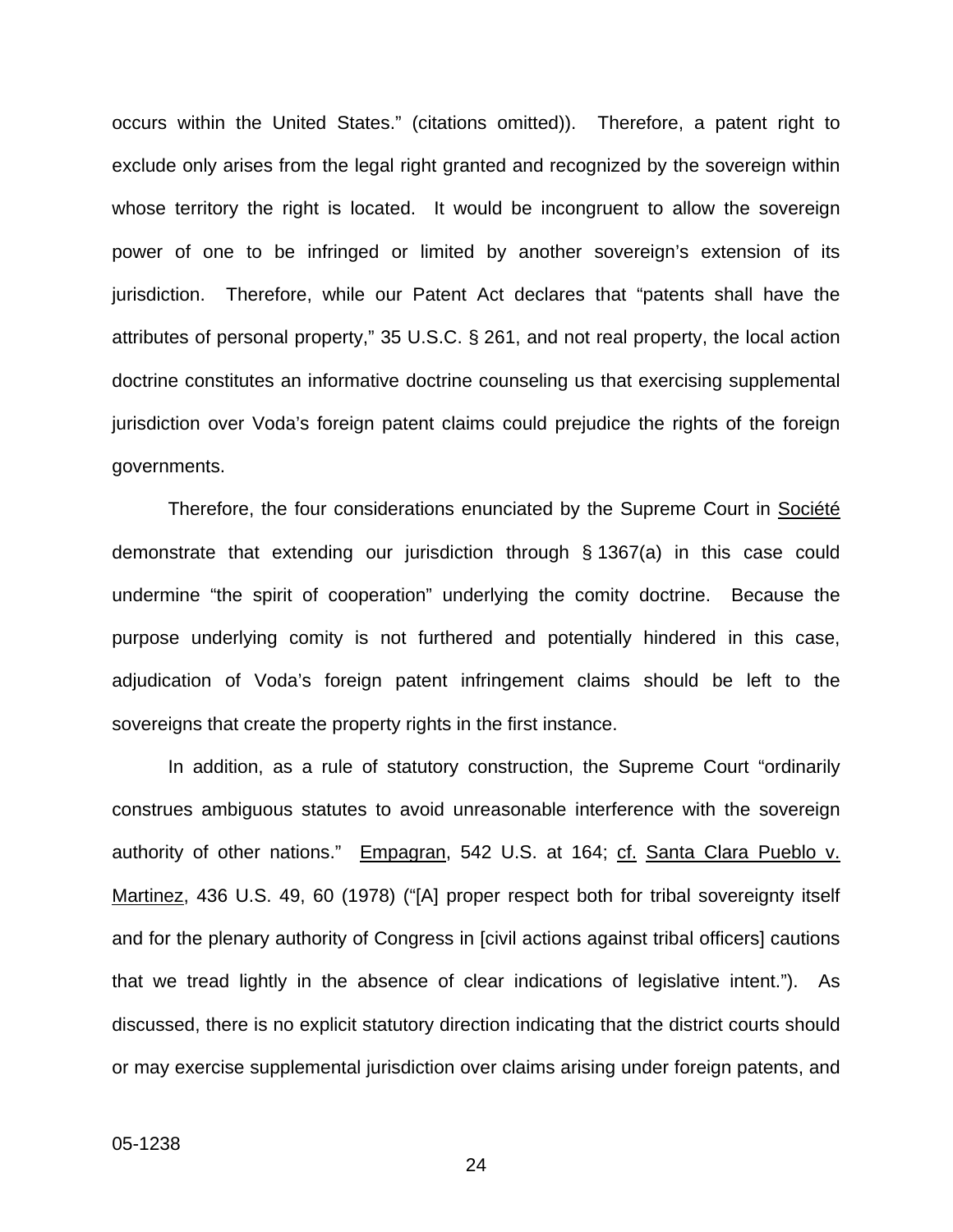occurs within the United States." (citations omitted)). Therefore, a patent right to exclude only arises from the legal right granted and recognized by the sovereign within whose territory the right is located. It would be incongruent to allow the sovereign power of one to be infringed or limited by another sovereign's extension of its jurisdiction. Therefore, while our Patent Act declares that "patents shall have the attributes of personal property," 35 U.S.C. § 261, and not real property, the local action doctrine constitutes an informative doctrine counseling us that exercising supplemental jurisdiction over Voda's foreign patent claims could prejudice the rights of the foreign governments.

Therefore, the four considerations enunciated by the Supreme Court in Société demonstrate that extending our jurisdiction through § 1367(a) in this case could undermine "the spirit of cooperation" underlying the comity doctrine. Because the purpose underlying comity is not furthered and potentially hindered in this case, adjudication of Voda's foreign patent infringement claims should be left to the sovereigns that create the property rights in the first instance.

In addition, as a rule of statutory construction, the Supreme Court "ordinarily construes ambiguous statutes to avoid unreasonable interference with the sovereign authority of other nations." Empagran, 542 U.S. at 164; cf. Santa Clara Pueblo v. Martinez, 436 U.S. 49, 60 (1978) ("[A] proper respect both for tribal sovereignty itself and for the plenary authority of Congress in [civil actions against tribal officers] cautions that we tread lightly in the absence of clear indications of legislative intent."). As discussed, there is no explicit statutory direction indicating that the district courts should or may exercise supplemental jurisdiction over claims arising under foreign patents, and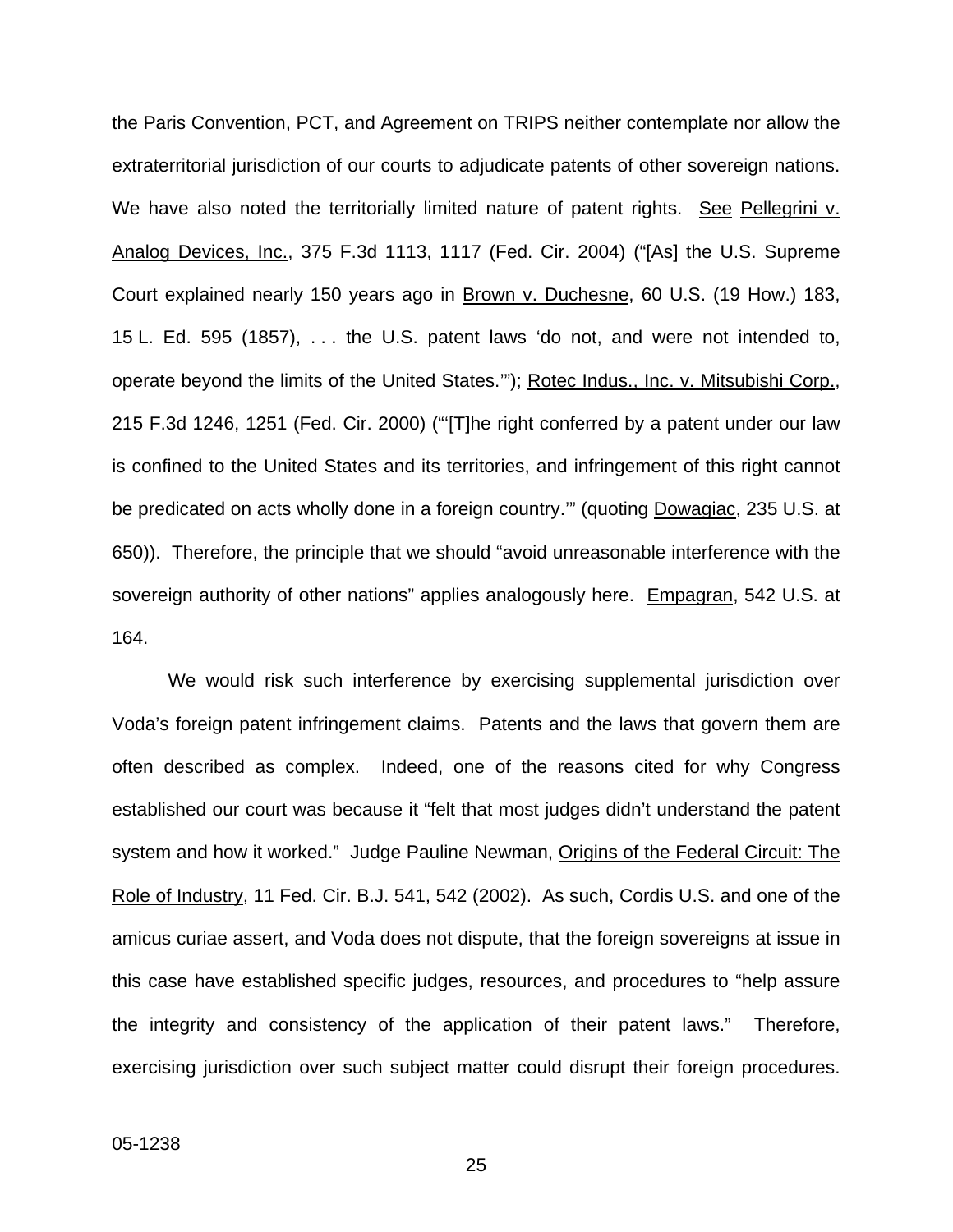the Paris Convention, PCT, and Agreement on TRIPS neither contemplate nor allow the extraterritorial jurisdiction of our courts to adjudicate patents of other sovereign nations. We have also noted the territorially limited nature of patent rights. See Pellegrini v. Analog Devices, Inc., 375 F.3d 1113, 1117 (Fed. Cir. 2004) ("[As] the U.S. Supreme Court explained nearly 150 years ago in Brown v. Duchesne, 60 U.S. (19 How.) 183, 15 L. Ed. 595 (1857), . . . the U.S. patent laws 'do not, and were not intended to, operate beyond the limits of the United States.'"); Rotec Indus., Inc. v. Mitsubishi Corp., 215 F.3d 1246, 1251 (Fed. Cir. 2000) ("'[T]he right conferred by a patent under our law is confined to the United States and its territories, and infringement of this right cannot be predicated on acts wholly done in a foreign country."" (quoting Dowagiac, 235 U.S. at 650)). Therefore, the principle that we should "avoid unreasonable interference with the sovereign authority of other nations" applies analogously here. Empagran, 542 U.S. at 164.

We would risk such interference by exercising supplemental jurisdiction over Voda's foreign patent infringement claims. Patents and the laws that govern them are often described as complex. Indeed, one of the reasons cited for why Congress established our court was because it "felt that most judges didn't understand the patent system and how it worked." Judge Pauline Newman, Origins of the Federal Circuit: The Role of Industry, 11 Fed. Cir. B.J. 541, 542 (2002). As such, Cordis U.S. and one of the amicus curiae assert, and Voda does not dispute, that the foreign sovereigns at issue in this case have established specific judges, resources, and procedures to "help assure the integrity and consistency of the application of their patent laws." Therefore, exercising jurisdiction over such subject matter could disrupt their foreign procedures.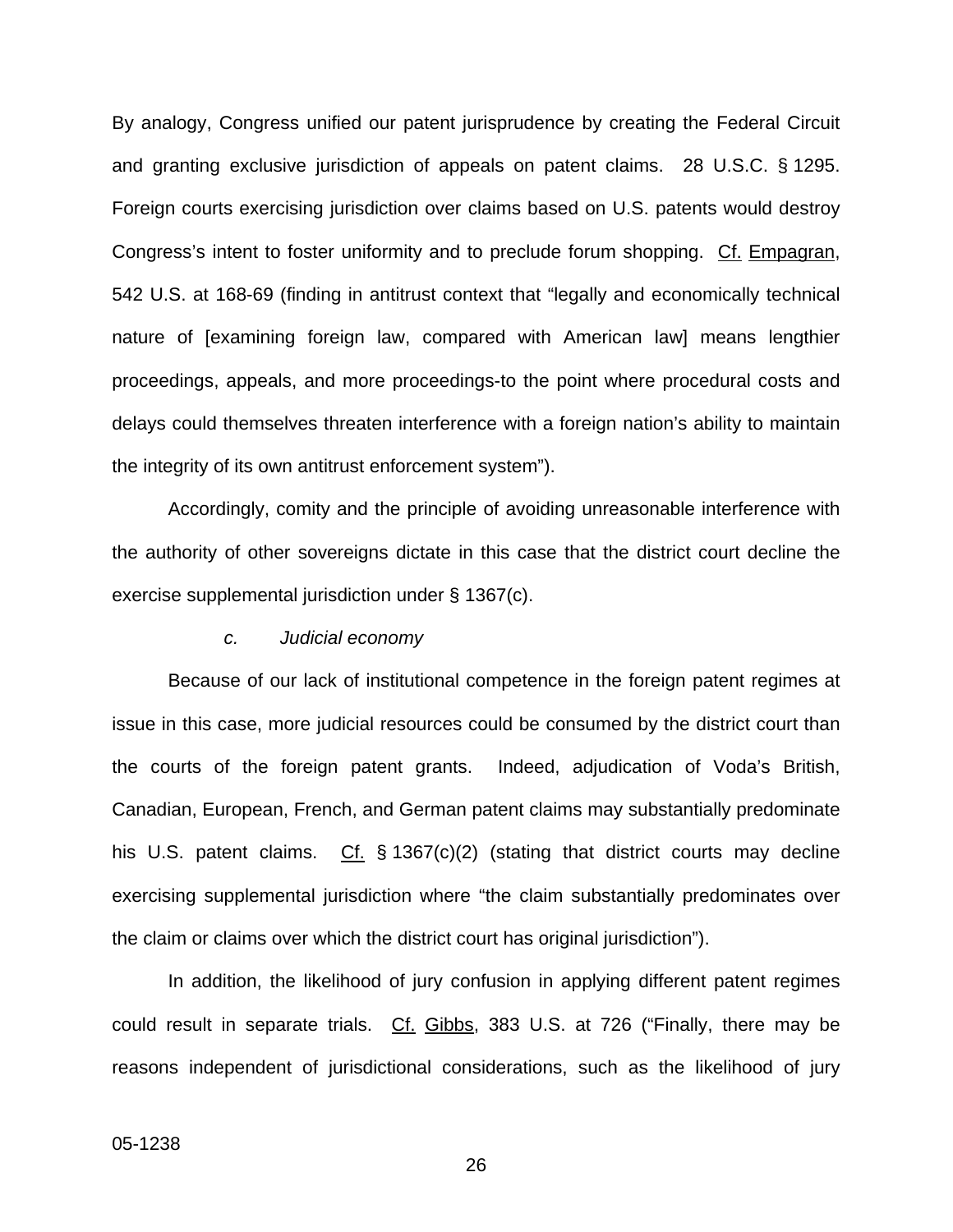By analogy, Congress unified our patent jurisprudence by creating the Federal Circuit and granting exclusive jurisdiction of appeals on patent claims. 28 U.S.C. § 1295. Foreign courts exercising jurisdiction over claims based on U.S. patents would destroy Congress's intent to foster uniformity and to preclude forum shopping. Cf. Empagran, 542 U.S. at 168-69 (finding in antitrust context that "legally and economically technical nature of [examining foreign law, compared with American law] means lengthier proceedings, appeals, and more proceedings-to the point where procedural costs and delays could themselves threaten interference with a foreign nation's ability to maintain the integrity of its own antitrust enforcement system").

Accordingly, comity and the principle of avoiding unreasonable interference with the authority of other sovereigns dictate in this case that the district court decline the exercise supplemental jurisdiction under § 1367(c).

#### *c. Judicial economy*

Because of our lack of institutional competence in the foreign patent regimes at issue in this case, more judicial resources could be consumed by the district court than the courts of the foreign patent grants. Indeed, adjudication of Voda's British, Canadian, European, French, and German patent claims may substantially predominate his U.S. patent claims. Cf. § 1367(c)(2) (stating that district courts may decline exercising supplemental jurisdiction where "the claim substantially predominates over the claim or claims over which the district court has original jurisdiction").

In addition, the likelihood of jury confusion in applying different patent regimes could result in separate trials. Cf. Gibbs, 383 U.S. at 726 ("Finally, there may be reasons independent of jurisdictional considerations, such as the likelihood of jury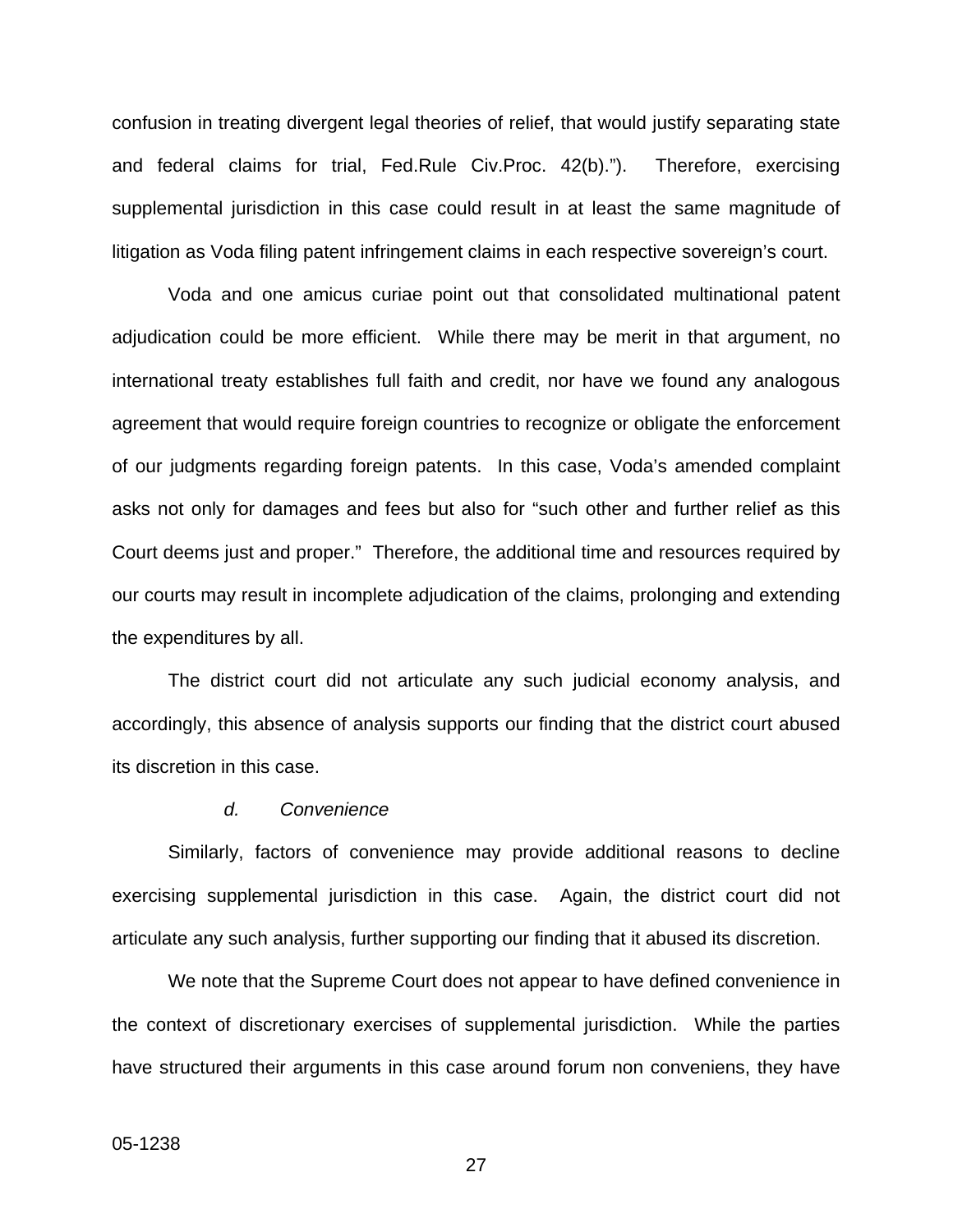confusion in treating divergent legal theories of relief, that would justify separating state and federal claims for trial, Fed.Rule Civ.Proc. 42(b)."). Therefore, exercising supplemental jurisdiction in this case could result in at least the same magnitude of litigation as Voda filing patent infringement claims in each respective sovereign's court.

Voda and one amicus curiae point out that consolidated multinational patent adjudication could be more efficient. While there may be merit in that argument, no international treaty establishes full faith and credit, nor have we found any analogous agreement that would require foreign countries to recognize or obligate the enforcement of our judgments regarding foreign patents. In this case, Voda's amended complaint asks not only for damages and fees but also for "such other and further relief as this Court deems just and proper." Therefore, the additional time and resources required by our courts may result in incomplete adjudication of the claims, prolonging and extending the expenditures by all.

The district court did not articulate any such judicial economy analysis, and accordingly, this absence of analysis supports our finding that the district court abused its discretion in this case.

#### *d. Convenience*

Similarly, factors of convenience may provide additional reasons to decline exercising supplemental jurisdiction in this case. Again, the district court did not articulate any such analysis, further supporting our finding that it abused its discretion.

We note that the Supreme Court does not appear to have defined convenience in the context of discretionary exercises of supplemental jurisdiction. While the parties have structured their arguments in this case around forum non conveniens, they have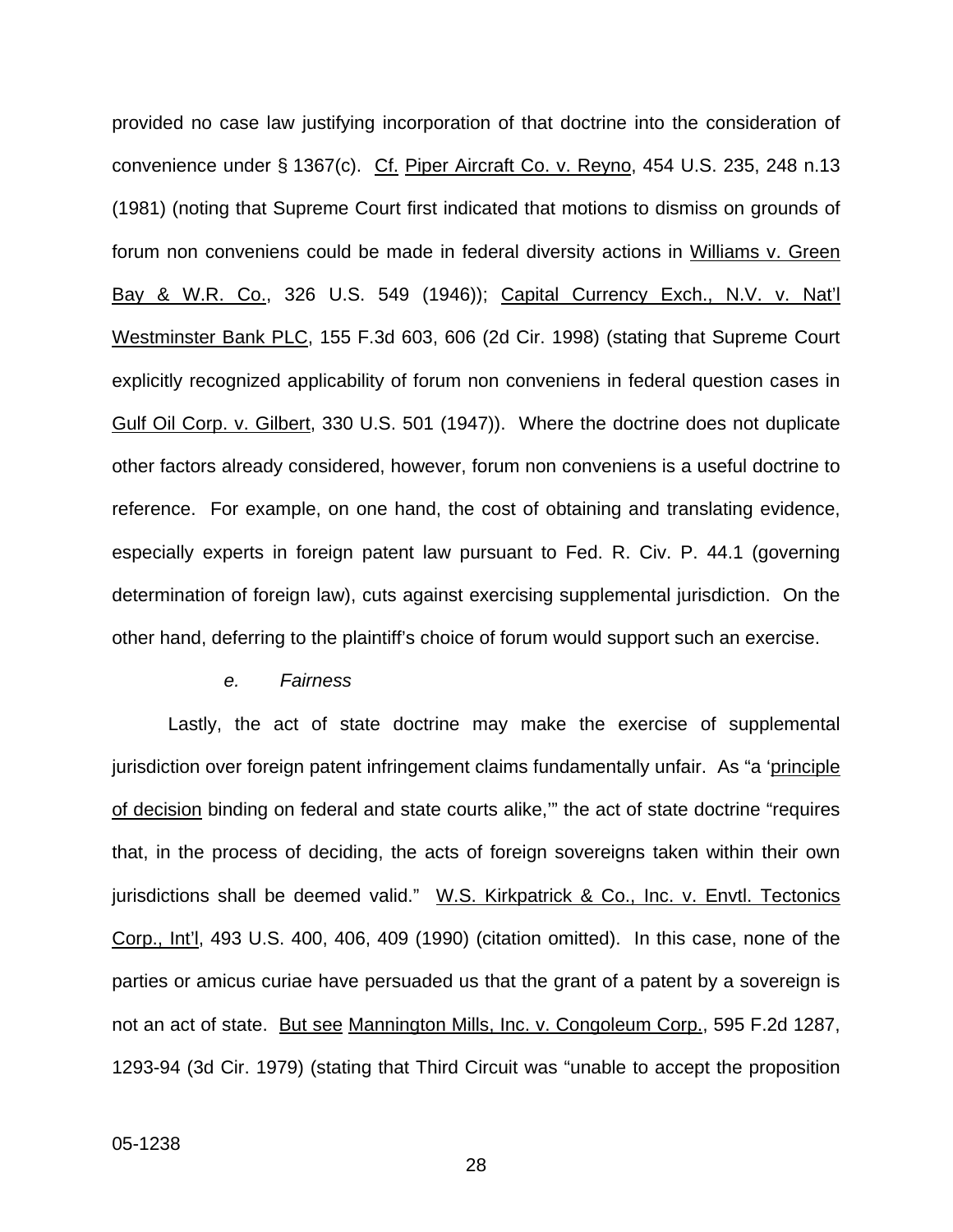provided no case law justifying incorporation of that doctrine into the consideration of convenience under § 1367(c). Cf. Piper Aircraft Co. v. Reyno, 454 U.S. 235, 248 n.13 (1981) (noting that Supreme Court first indicated that motions to dismiss on grounds of forum non conveniens could be made in federal diversity actions in Williams v. Green Bay & W.R. Co., 326 U.S. 549 (1946)); Capital Currency Exch., N.V. v. Nat'l Westminster Bank PLC, 155 F.3d 603, 606 (2d Cir. 1998) (stating that Supreme Court explicitly recognized applicability of forum non conveniens in federal question cases in Gulf Oil Corp. v. Gilbert, 330 U.S. 501 (1947)). Where the doctrine does not duplicate other factors already considered, however, forum non conveniens is a useful doctrine to reference. For example, on one hand, the cost of obtaining and translating evidence, especially experts in foreign patent law pursuant to Fed. R. Civ. P. 44.1 (governing determination of foreign law), cuts against exercising supplemental jurisdiction. On the other hand, deferring to the plaintiff's choice of forum would support such an exercise.

#### *e. Fairness*

Lastly, the act of state doctrine may make the exercise of supplemental jurisdiction over foreign patent infringement claims fundamentally unfair. As "a 'principle of decision binding on federal and state courts alike," the act of state doctrine "requires that, in the process of deciding, the acts of foreign sovereigns taken within their own jurisdictions shall be deemed valid." W.S. Kirkpatrick & Co., Inc. v. Envtl. Tectonics Corp., Int'l, 493 U.S. 400, 406, 409 (1990) (citation omitted). In this case, none of the parties or amicus curiae have persuaded us that the grant of a patent by a sovereign is not an act of state. But see Mannington Mills, Inc. v. Congoleum Corp., 595 F.2d 1287, 1293-94 (3d Cir. 1979) (stating that Third Circuit was "unable to accept the proposition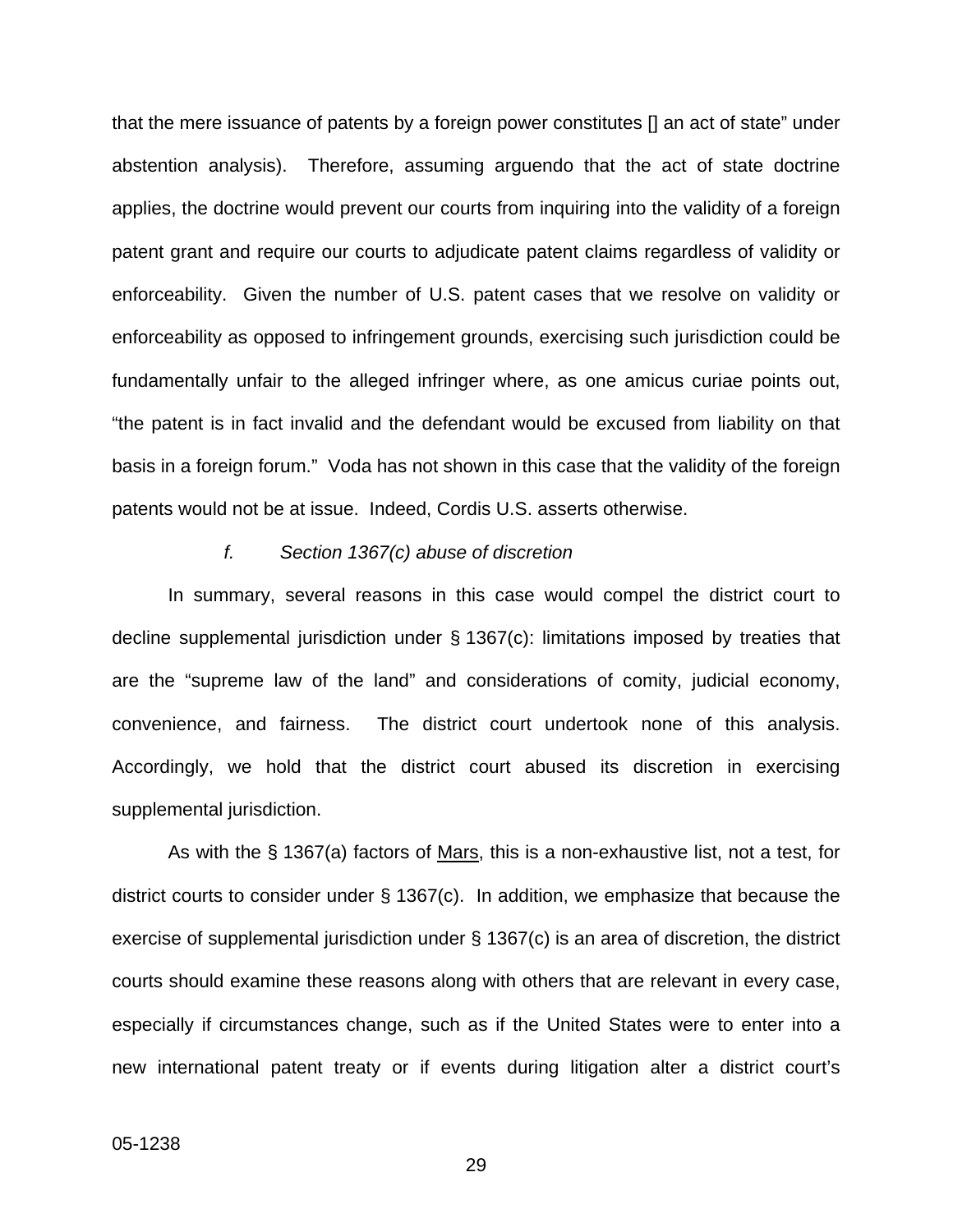that the mere issuance of patents by a foreign power constitutes [] an act of state" under abstention analysis). Therefore, assuming arguendo that the act of state doctrine applies, the doctrine would prevent our courts from inquiring into the validity of a foreign patent grant and require our courts to adjudicate patent claims regardless of validity or enforceability. Given the number of U.S. patent cases that we resolve on validity or enforceability as opposed to infringement grounds, exercising such jurisdiction could be fundamentally unfair to the alleged infringer where, as one amicus curiae points out, "the patent is in fact invalid and the defendant would be excused from liability on that basis in a foreign forum." Voda has not shown in this case that the validity of the foreign patents would not be at issue. Indeed, Cordis U.S. asserts otherwise.

#### *f. Section 1367(c) abuse of discretion*

In summary, several reasons in this case would compel the district court to decline supplemental jurisdiction under § 1367(c): limitations imposed by treaties that are the "supreme law of the land" and considerations of comity, judicial economy, convenience, and fairness. The district court undertook none of this analysis. Accordingly, we hold that the district court abused its discretion in exercising supplemental jurisdiction.

As with the § 1367(a) factors of Mars, this is a non-exhaustive list, not a test, for district courts to consider under § 1367(c). In addition, we emphasize that because the exercise of supplemental jurisdiction under § 1367(c) is an area of discretion, the district courts should examine these reasons along with others that are relevant in every case, especially if circumstances change, such as if the United States were to enter into a new international patent treaty or if events during litigation alter a district court's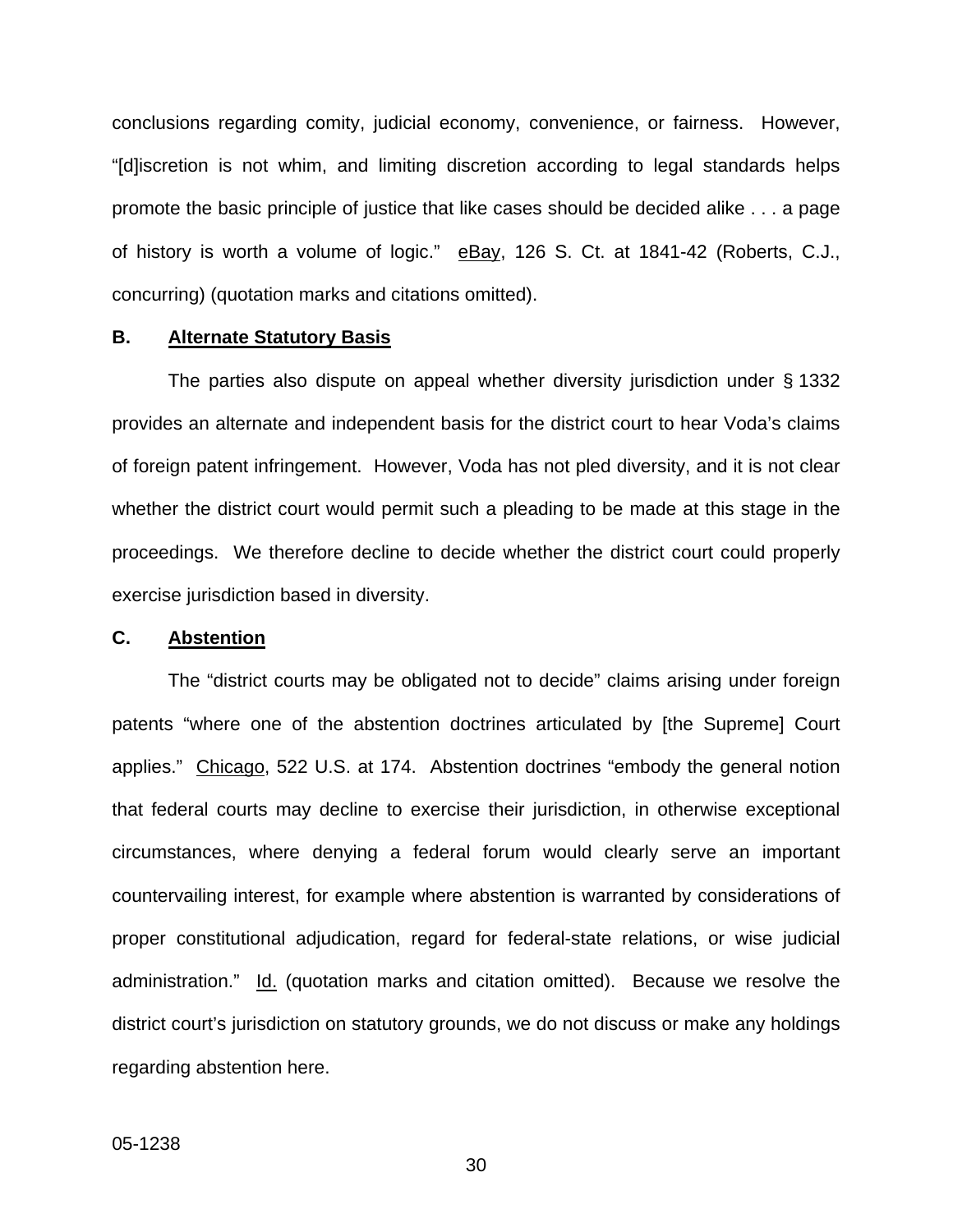conclusions regarding comity, judicial economy, convenience, or fairness. However, "[d]iscretion is not whim, and limiting discretion according to legal standards helps promote the basic principle of justice that like cases should be decided alike . . . a page of history is worth a volume of logic." eBay, 126 S. Ct. at 1841-42 (Roberts, C.J., concurring) (quotation marks and citations omitted).

### **B. Alternate Statutory Basis**

The parties also dispute on appeal whether diversity jurisdiction under § 1332 provides an alternate and independent basis for the district court to hear Voda's claims of foreign patent infringement. However, Voda has not pled diversity, and it is not clear whether the district court would permit such a pleading to be made at this stage in the proceedings. We therefore decline to decide whether the district court could properly exercise jurisdiction based in diversity.

#### **C. Abstention**

The "district courts may be obligated not to decide" claims arising under foreign patents "where one of the abstention doctrines articulated by [the Supreme] Court applies." Chicago, 522 U.S. at 174. Abstention doctrines "embody the general notion that federal courts may decline to exercise their jurisdiction, in otherwise exceptional circumstances, where denying a federal forum would clearly serve an important countervailing interest, for example where abstention is warranted by considerations of proper constitutional adjudication, regard for federal-state relations, or wise judicial administration." Id. (quotation marks and citation omitted). Because we resolve the district court's jurisdiction on statutory grounds, we do not discuss or make any holdings regarding abstention here.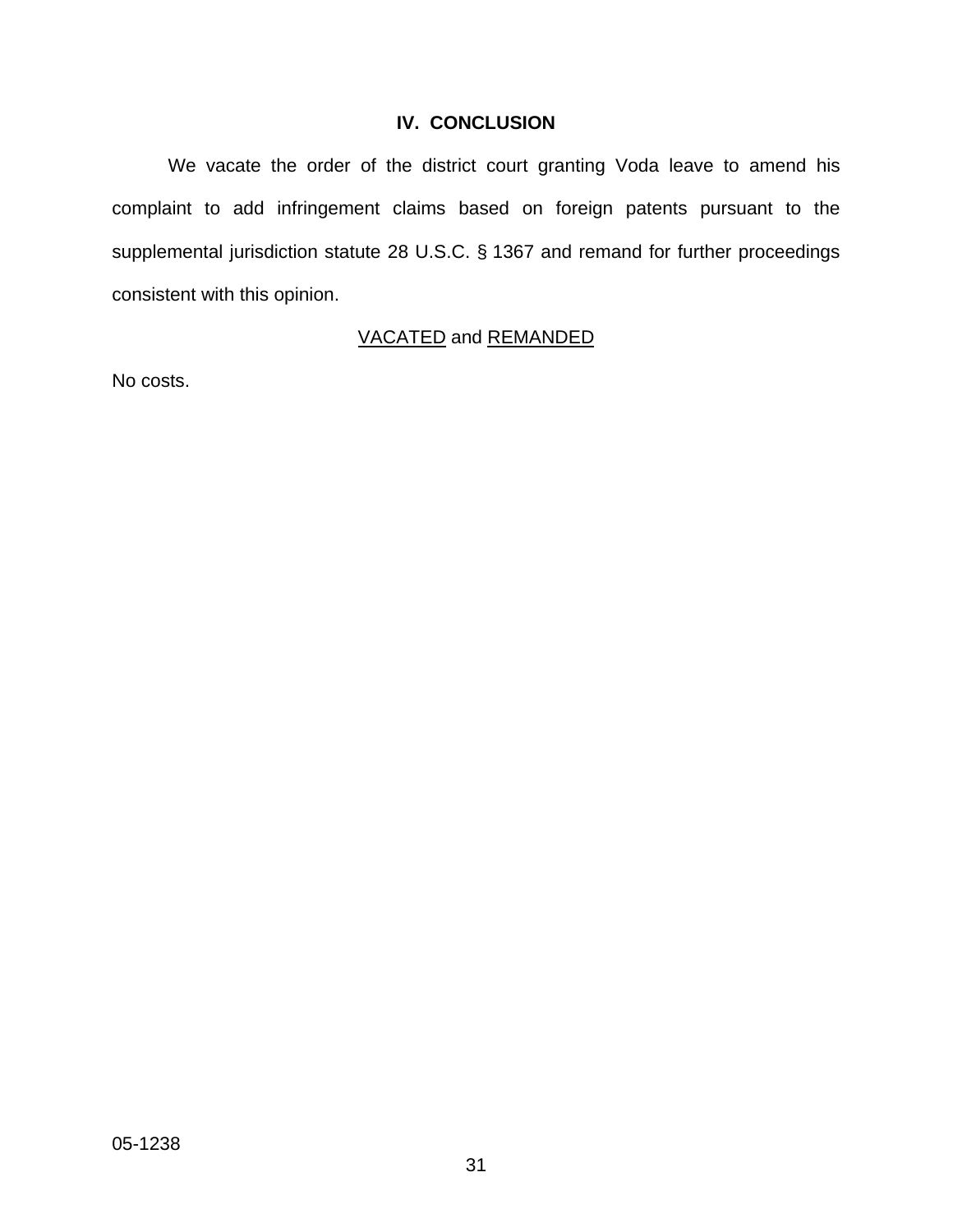# **IV. CONCLUSION**

We vacate the order of the district court granting Voda leave to amend his complaint to add infringement claims based on foreign patents pursuant to the supplemental jurisdiction statute 28 U.S.C. § 1367 and remand for further proceedings consistent with this opinion.

# VACATED and REMANDED

No costs.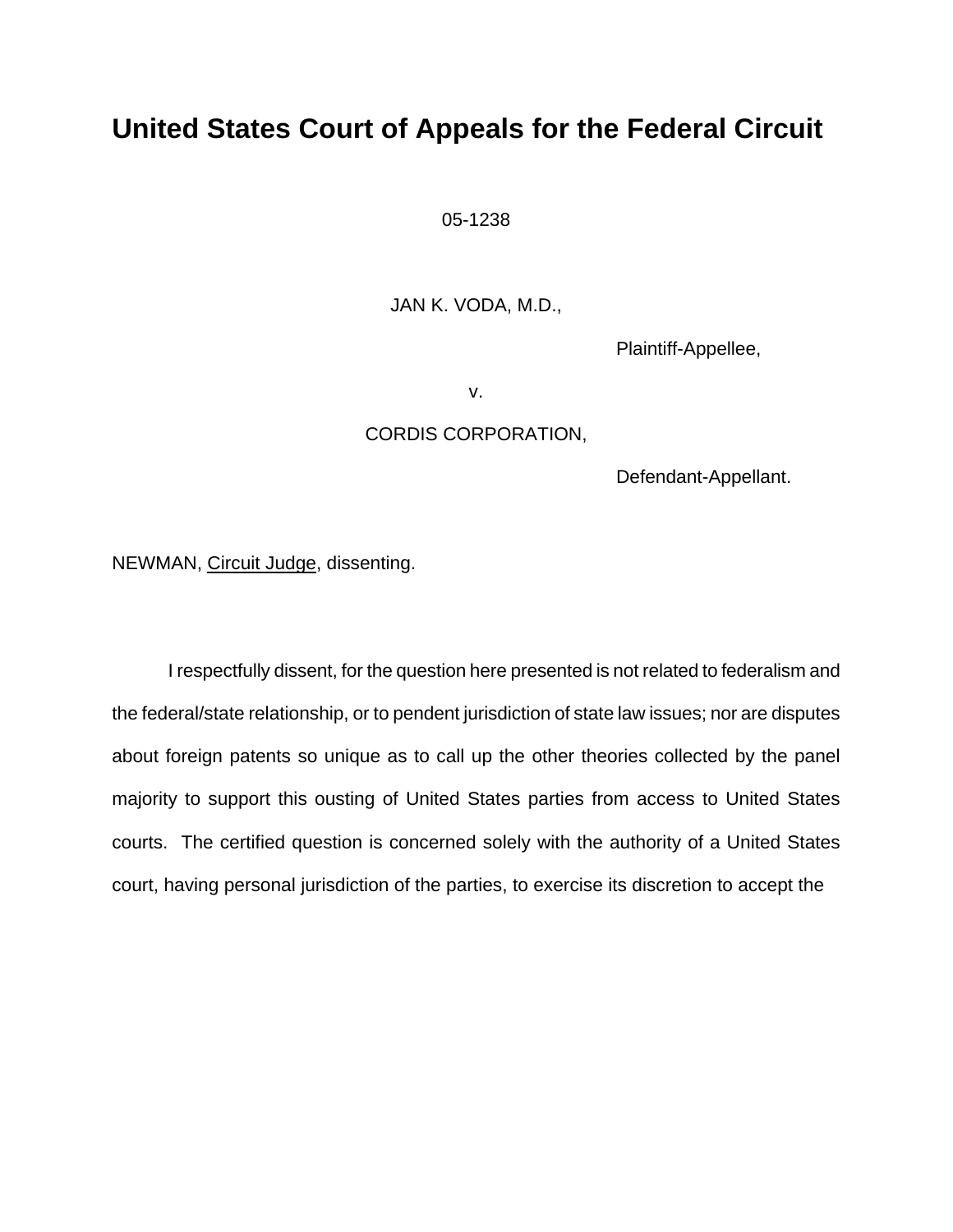# **United States Court of Appeals for the Federal Circuit**

05-1238

JAN K. VODA, M.D.,

Plaintiff-Appellee,

v.

## CORDIS CORPORATION,

Defendant-Appellant.

NEWMAN, Circuit Judge, dissenting.

I respectfully dissent, for the question here presented is not related to federalism and the federal/state relationship, or to pendent jurisdiction of state law issues; nor are disputes about foreign patents so unique as to call up the other theories collected by the panel majority to support this ousting of United States parties from access to United States courts. The certified question is concerned solely with the authority of a United States court, having personal jurisdiction of the parties, to exercise its discretion to accept the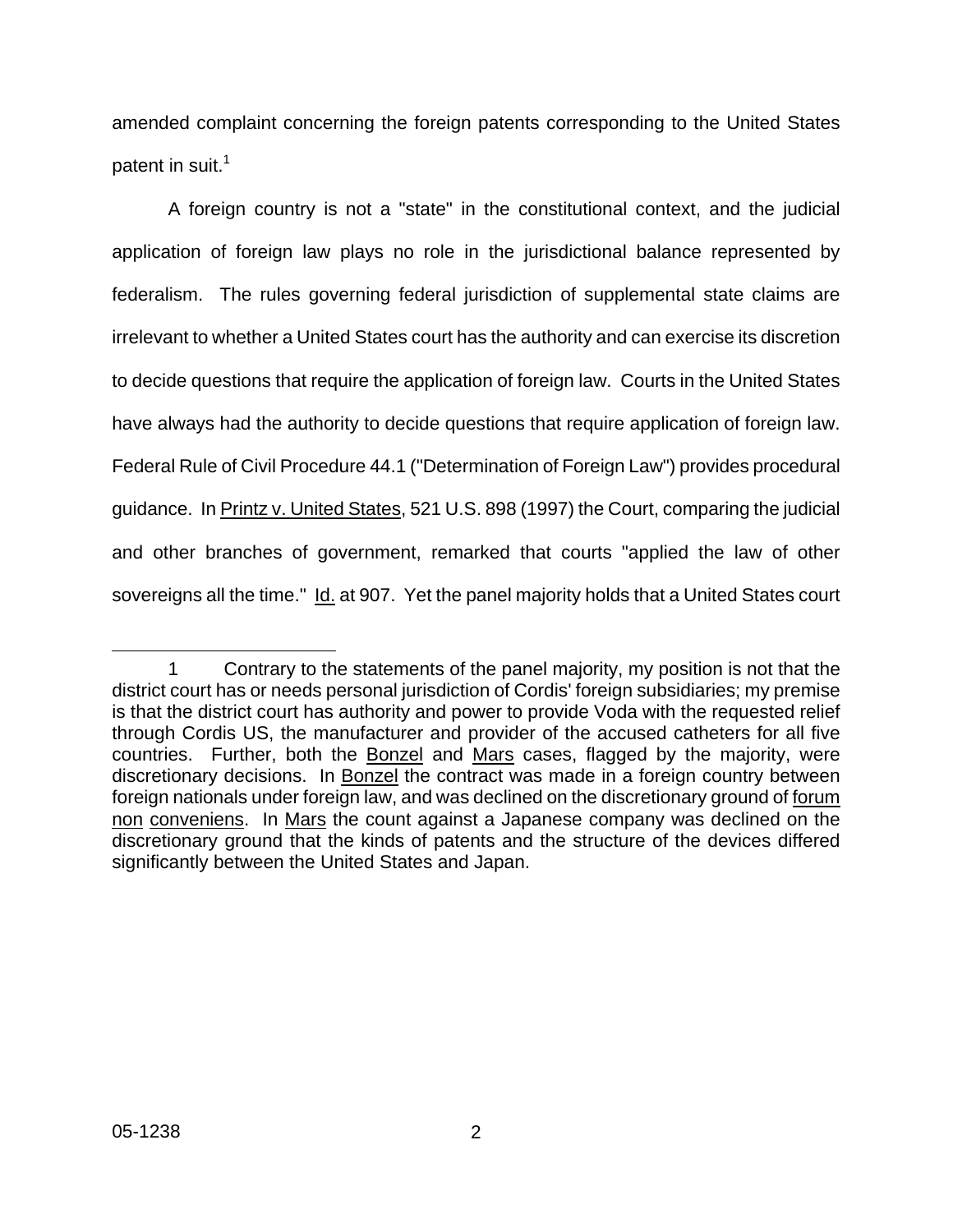amended complaint concerning the foreign patents corresponding to the United States patent in suit.<sup>1</sup>

A foreign country is not a "state" in the constitutional context, and the judicial application of foreign law plays no role in the jurisdictional balance represented by federalism. The rules governing federal jurisdiction of supplemental state claims are irrelevant to whether a United States court has the authority and can exercise its discretion to decide questions that require the application of foreign law. Courts in the United States have always had the authority to decide questions that require application of foreign law. Federal Rule of Civil Procedure 44.1 ("Determination of Foreign Law") provides procedural guidance. In Printz v. United States, 521 U.S. 898 (1997) the Court, comparing the judicial and other branches of government, remarked that courts "applied the law of other sovereigns all the time." Id. at 907. Yet the panel majority holds that a United States court

<span id="page-34-0"></span>l 1 Contrary to the statements of the panel majority, my position is not that the district court has or needs personal jurisdiction of Cordis' foreign subsidiaries; my premise is that the district court has authority and power to provide Voda with the requested relief through Cordis US, the manufacturer and provider of the accused catheters for all five countries. Further, both the Bonzel and Mars cases, flagged by the majority, were discretionary decisions. In Bonzel the contract was made in a foreign country between foreign nationals under foreign law, and was declined on the discretionary ground of forum non conveniens. In Mars the count against a Japanese company was declined on the discretionary ground that the kinds of patents and the structure of the devices differed significantly between the United States and Japan.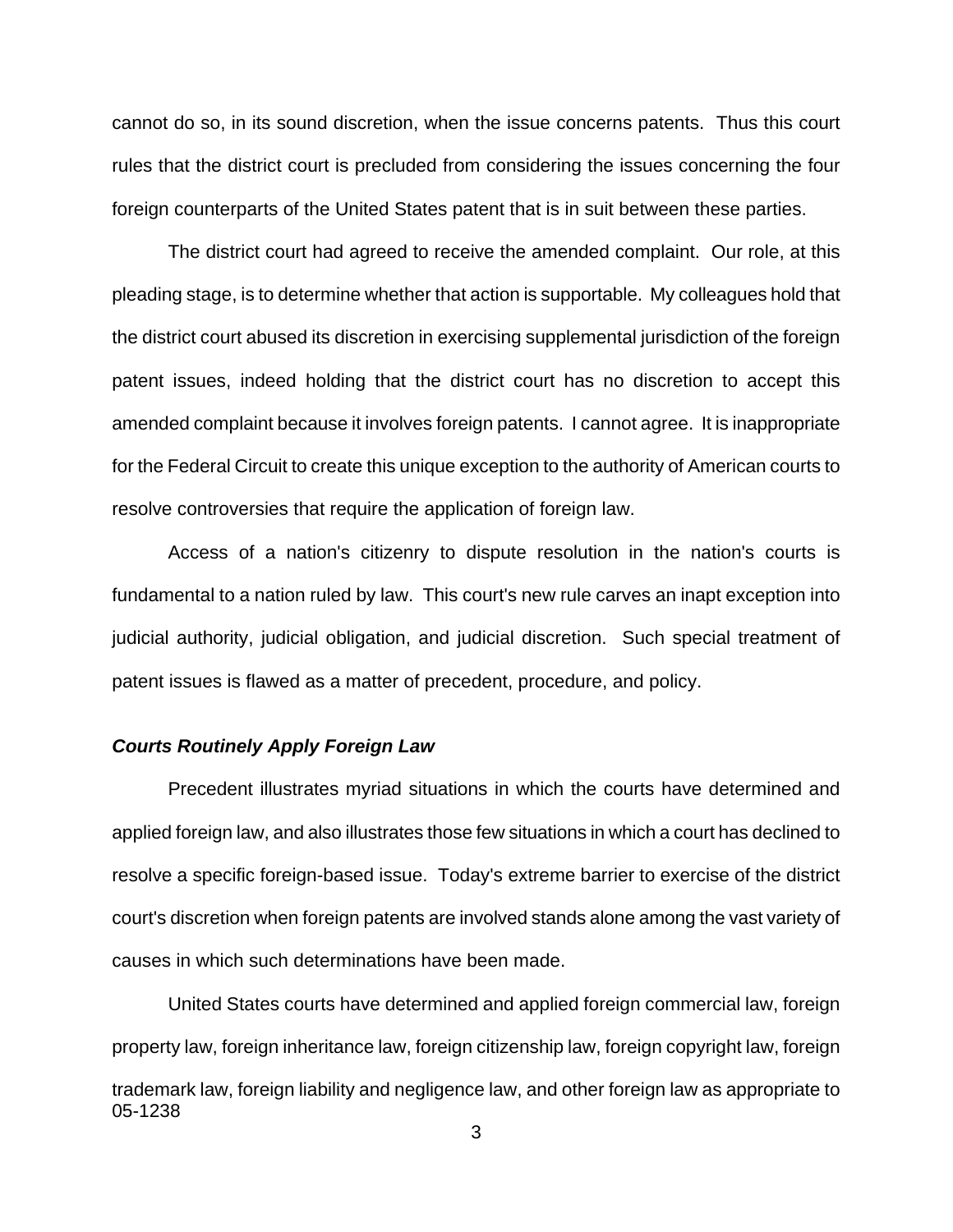cannot do so, in its sound discretion, when the issue concerns patents. Thus this court rules that the district court is precluded from considering the issues concerning the four foreign counterparts of the United States patent that is in suit between these parties.

The district court had agreed to receive the amended complaint. Our role, at this pleading stage, is to determine whether that action is supportable. My colleagues hold that the district court abused its discretion in exercising supplemental jurisdiction of the foreign patent issues, indeed holding that the district court has no discretion to accept this amended complaint because it involves foreign patents. I cannot agree. It is inappropriate for the Federal Circuit to create this unique exception to the authority of American courts to resolve controversies that require the application of foreign law.

Access of a nation's citizenry to dispute resolution in the nation's courts is fundamental to a nation ruled by law. This court's new rule carves an inapt exception into judicial authority, judicial obligation, and judicial discretion. Such special treatment of patent issues is flawed as a matter of precedent, procedure, and policy.

#### *Courts Routinely Apply Foreign Law*

Precedent illustrates myriad situations in which the courts have determined and applied foreign law, and also illustrates those few situations in which a court has declined to resolve a specific foreign-based issue. Today's extreme barrier to exercise of the district court's discretion when foreign patents are involved stands alone among the vast variety of causes in which such determinations have been made.

05-1238 United States courts have determined and applied foreign commercial law, foreign property law, foreign inheritance law, foreign citizenship law, foreign copyright law, foreign trademark law, foreign liability and negligence law, and other foreign law as appropriate to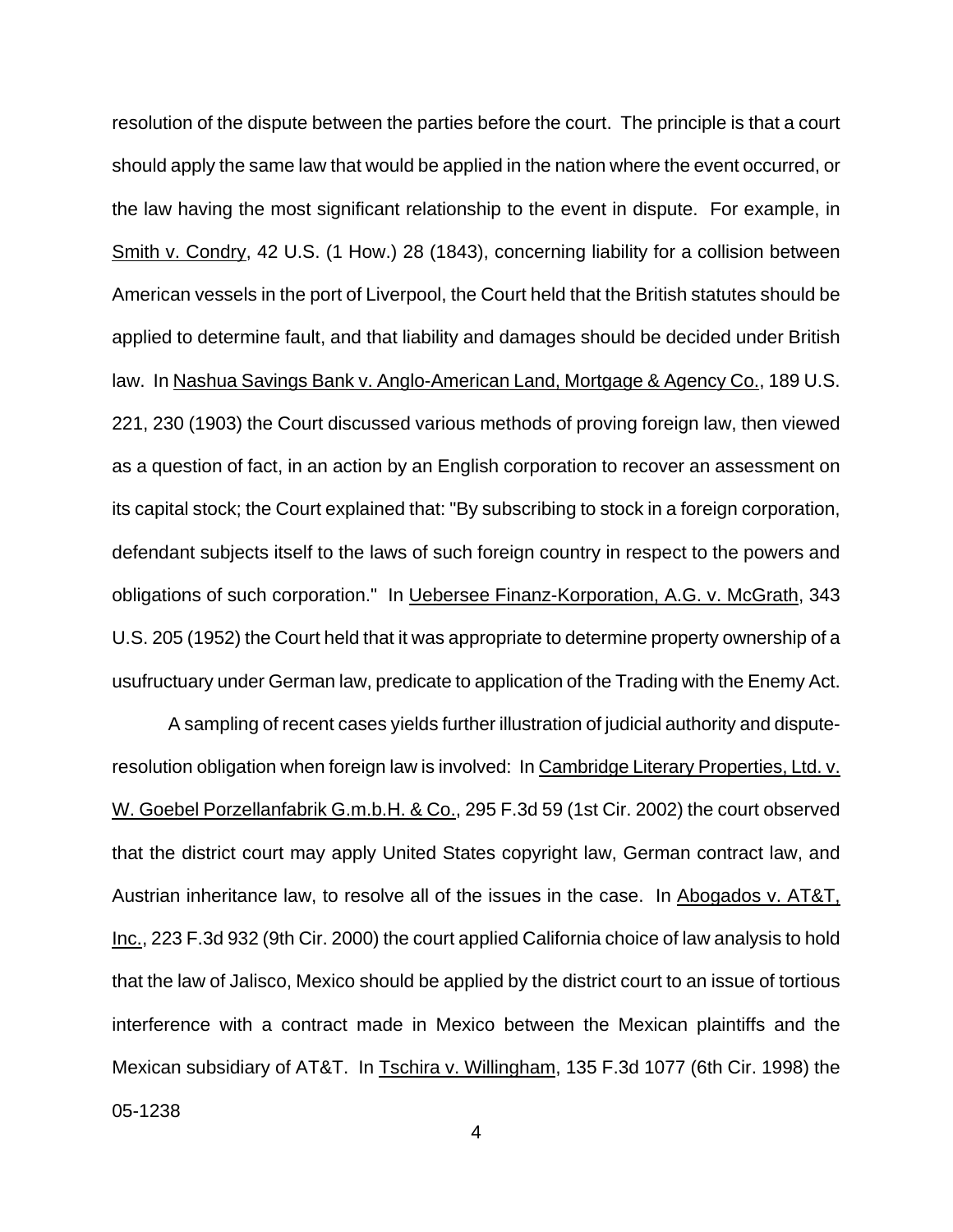resolution of the dispute between the parties before the court. The principle is that a court should apply the same law that would be applied in the nation where the event occurred, or the law having the most significant relationship to the event in dispute. For example, in Smith v. Condry, 42 U.S. (1 How.) 28 (1843), concerning liability for a collision between American vessels in the port of Liverpool, the Court held that the British statutes should be applied to determine fault, and that liability and damages should be decided under British law. In Nashua Savings Bank v. Anglo-American Land, Mortgage & Agency Co., 189 U.S. 221, 230 (1903) the Court discussed various methods of proving foreign law, then viewed as a question of fact, in an action by an English corporation to recover an assessment on its capital stock; the Court explained that: "By subscribing to stock in a foreign corporation, defendant subjects itself to the laws of such foreign country in respect to the powers and obligations of such corporation." In Uebersee Finanz-Korporation, A.G. v. McGrath, 343 U.S. 205 (1952) the Court held that it was appropriate to determine property ownership of a usufructuary under German law, predicate to application of the Trading with the Enemy Act.

A sampling of recent cases yields further illustration of judicial authority and disputeresolution obligation when foreign law is involved: In Cambridge Literary Properties, Ltd. v. W. Goebel Porzellanfabrik G.m.b.H. & Co., 295 F.3d 59 (1st Cir. 2002) the court observed that the district court may apply United States copyright law, German contract law, and Austrian inheritance law, to resolve all of the issues in the case. In Abogados v. AT&T, Inc., 223 F.3d 932 (9th Cir. 2000) the court applied California choice of law analysis to hold that the law of Jalisco, Mexico should be applied by the district court to an issue of tortious interference with a contract made in Mexico between the Mexican plaintiffs and the Mexican subsidiary of AT&T. In Tschira v. Willingham, 135 F.3d 1077 (6th Cir. 1998) the

05-1238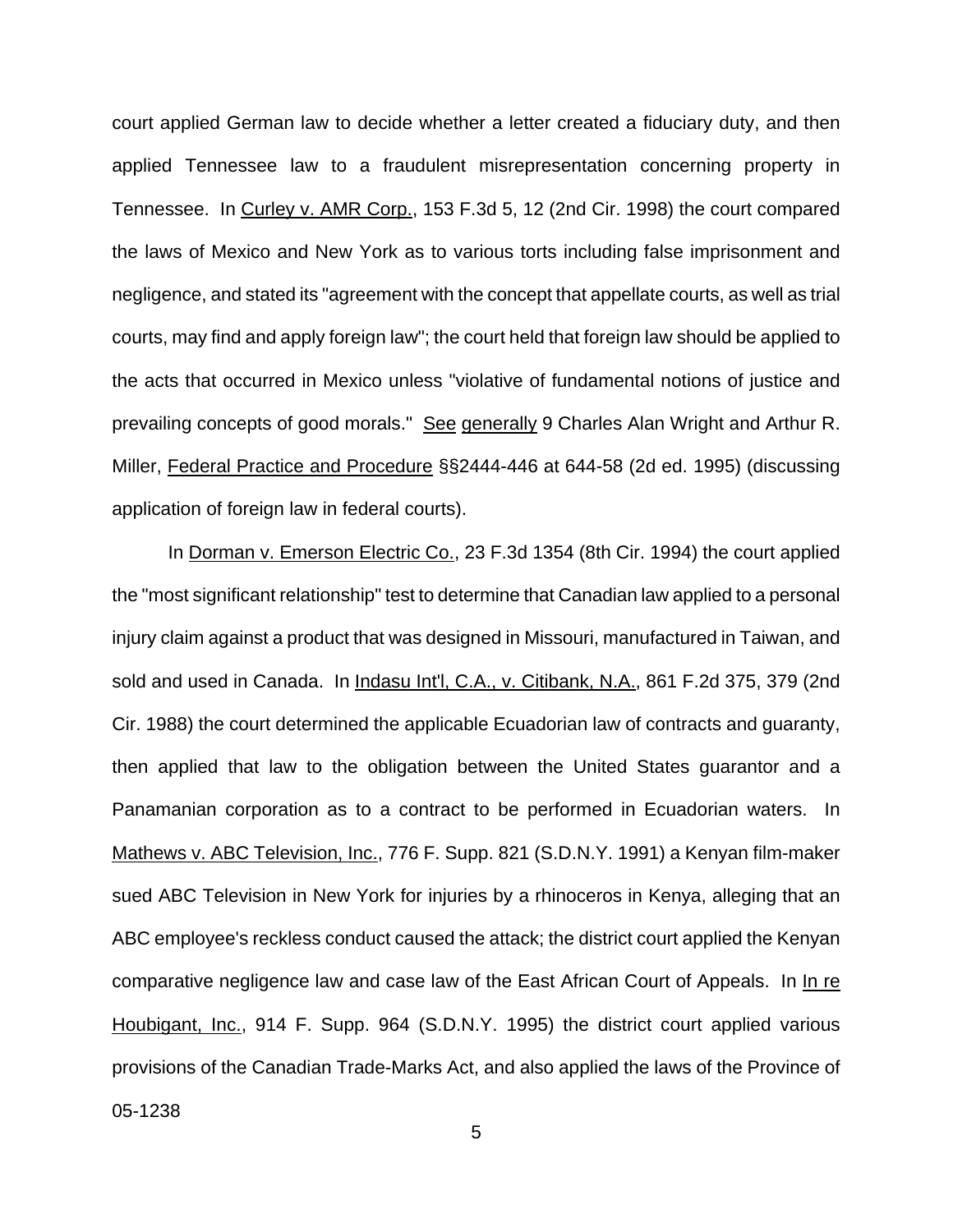court applied German law to decide whether a letter created a fiduciary duty, and then applied Tennessee law to a fraudulent misrepresentation concerning property in Tennessee. In Curley v. AMR Corp., 153 F.3d 5, 12 (2nd Cir. 1998) the court compared the laws of Mexico and New York as to various torts including false imprisonment and negligence, and stated its "agreement with the concept that appellate courts, as well as trial courts, may find and apply foreign law"; the court held that foreign law should be applied to the acts that occurred in Mexico unless "violative of fundamental notions of justice and prevailing concepts of good morals." See generally 9 Charles Alan Wright and Arthur R. Miller, Federal Practice and Procedure §§2444-446 at 644-58 (2d ed. 1995) (discussing application of foreign law in federal courts).

In Dorman v. Emerson Electric Co., 23 F.3d 1354 (8th Cir. 1994) the court applied the "most significant relationship" test to determine that Canadian law applied to a personal injury claim against a product that was designed in Missouri, manufactured in Taiwan, and sold and used in Canada. In Indasu Int'l, C.A., v. Citibank, N.A., 861 F.2d 375, 379 (2nd Cir. 1988) the court determined the applicable Ecuadorian law of contracts and guaranty, then applied that law to the obligation between the United States guarantor and a Panamanian corporation as to a contract to be performed in Ecuadorian waters. In Mathews v. ABC Television, Inc., 776 F. Supp. 821 (S.D.N.Y. 1991) a Kenyan film-maker sued ABC Television in New York for injuries by a rhinoceros in Kenya, alleging that an ABC employee's reckless conduct caused the attack; the district court applied the Kenyan comparative negligence law and case law of the East African Court of Appeals. In In re Houbigant, Inc., 914 F. Supp. 964 (S.D.N.Y. 1995) the district court applied various provisions of the Canadian Trade-Marks Act, and also applied the laws of the Province of

05-1238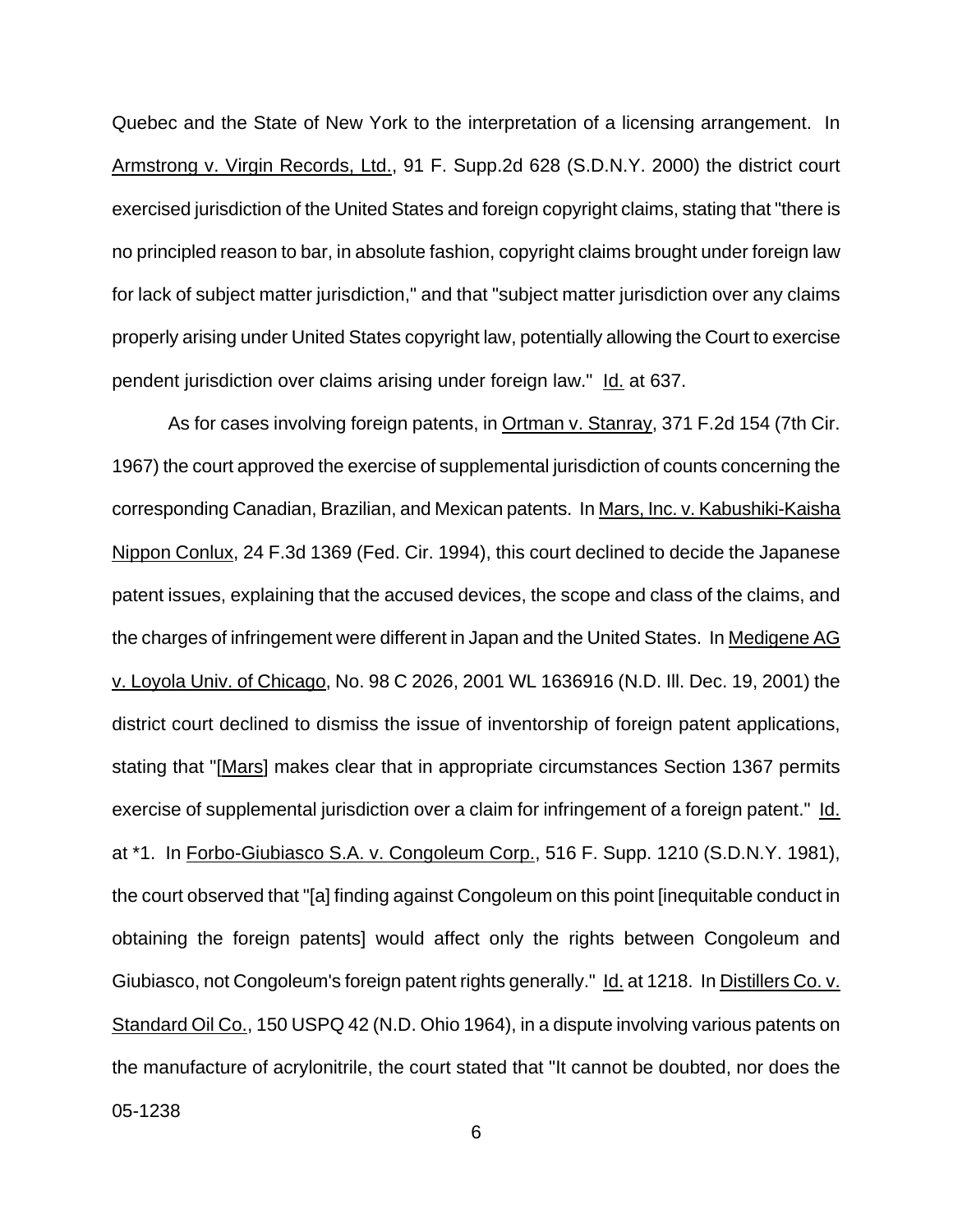Quebec and the State of New York to the interpretation of a licensing arrangement. In Armstrong v. Virgin Records, Ltd., 91 F. Supp.2d 628 (S.D.N.Y. 2000) the district court exercised jurisdiction of the United States and foreign copyright claims, stating that "there is no principled reason to bar, in absolute fashion, copyright claims brought under foreign law for lack of subject matter jurisdiction," and that "subject matter jurisdiction over any claims properly arising under United States copyright law, potentially allowing the Court to exercise pendent jurisdiction over claims arising under foreign law." Id. at 637.

05-1238 As for cases involving foreign patents, in Ortman v. Stanray, 371 F.2d 154 (7th Cir. 1967) the court approved the exercise of supplemental jurisdiction of counts concerning the corresponding Canadian, Brazilian, and Mexican patents. In Mars, Inc. v. Kabushiki-Kaisha Nippon Conlux, 24 F.3d 1369 (Fed. Cir. 1994), this court declined to decide the Japanese patent issues, explaining that the accused devices, the scope and class of the claims, and the charges of infringement were different in Japan and the United States. In Medigene AG v. Loyola Univ. of Chicago, No. 98 C 2026, 2001 WL 1636916 (N.D. Ill. Dec. 19, 2001) the district court declined to dismiss the issue of inventorship of foreign patent applications, stating that "[Mars] makes clear that in appropriate circumstances Section 1367 permits exercise of supplemental jurisdiction over a claim for infringement of a foreign patent." Id. at \*1. In Forbo-Giubiasco S.A. v. Congoleum Corp., 516 F. Supp. 1210 (S.D.N.Y. 1981), the court observed that "[a] finding against Congoleum on this point [inequitable conduct in obtaining the foreign patents] would affect only the rights between Congoleum and Giubiasco, not Congoleum's foreign patent rights generally." Id. at 1218. In Distillers Co. v. Standard Oil Co., 150 USPQ 42 (N.D. Ohio 1964), in a dispute involving various patents on the manufacture of acrylonitrile, the court stated that "It cannot be doubted, nor does the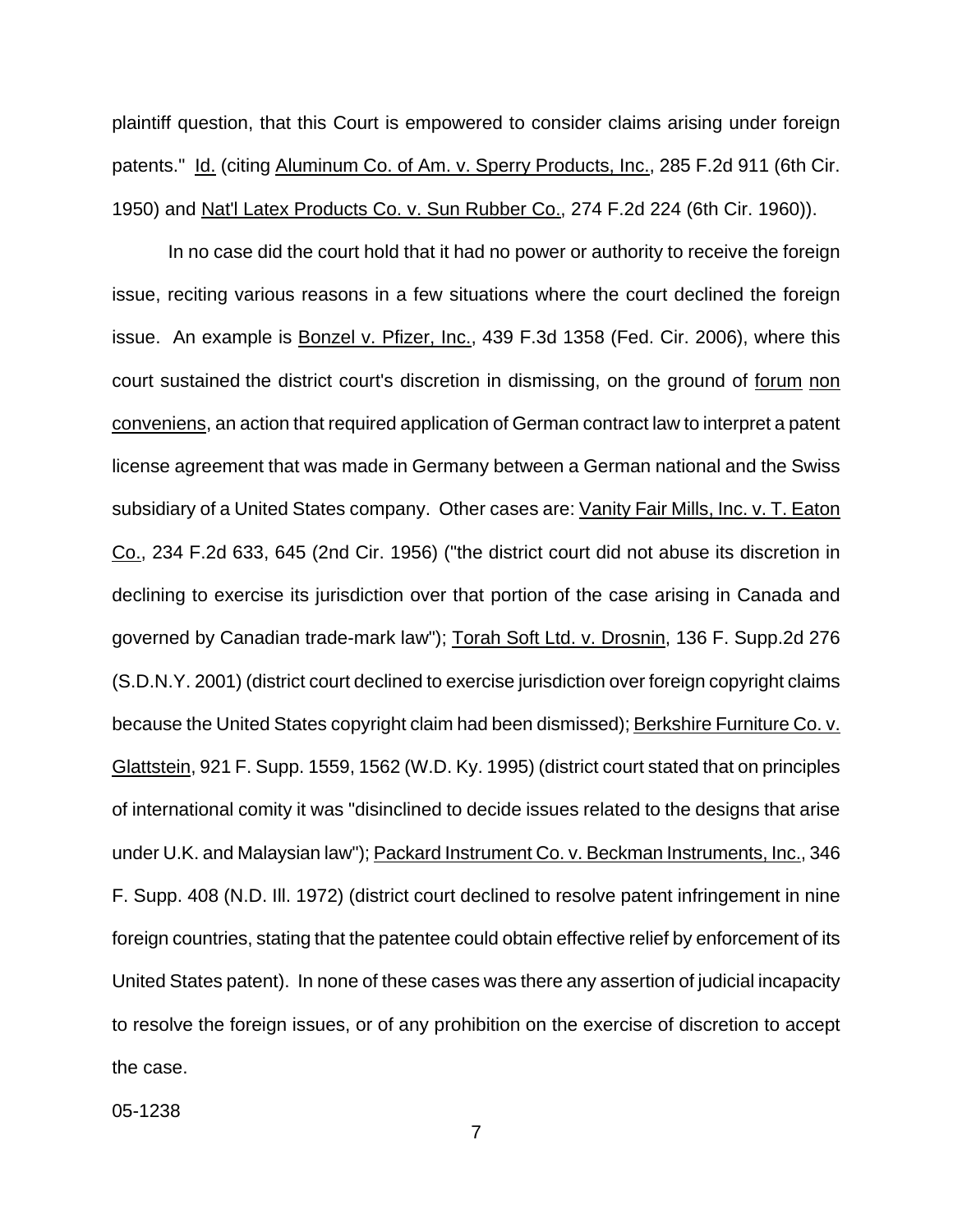plaintiff question, that this Court is empowered to consider claims arising under foreign patents." Id. (citing Aluminum Co. of Am. v. Sperry Products, Inc., 285 F.2d 911 (6th Cir. 1950) and Nat'l Latex Products Co. v. Sun Rubber Co., 274 F.2d 224 (6th Cir. 1960)).

In no case did the court hold that it had no power or authority to receive the foreign issue, reciting various reasons in a few situations where the court declined the foreign issue. An example is Bonzel v. Pfizer, Inc., 439 F.3d 1358 (Fed. Cir. 2006), where this court sustained the district court's discretion in dismissing, on the ground of forum non conveniens, an action that required application of German contract law to interpret a patent license agreement that was made in Germany between a German national and the Swiss subsidiary of a United States company. Other cases are: Vanity Fair Mills, Inc. v. T. Eaton Co., 234 F.2d 633, 645 (2nd Cir. 1956) ("the district court did not abuse its discretion in declining to exercise its jurisdiction over that portion of the case arising in Canada and governed by Canadian trade-mark law"); Torah Soft Ltd. v. Drosnin, 136 F. Supp.2d 276 (S.D.N.Y. 2001) (district court declined to exercise jurisdiction over foreign copyright claims because the United States copyright claim had been dismissed); Berkshire Furniture Co. v. Glattstein, 921 F. Supp. 1559, 1562 (W.D. Ky. 1995) (district court stated that on principles of international comity it was "disinclined to decide issues related to the designs that arise under U.K. and Malaysian law"); Packard Instrument Co. v. Beckman Instruments, Inc., 346 F. Supp. 408 (N.D. Ill. 1972) (district court declined to resolve patent infringement in nine foreign countries, stating that the patentee could obtain effective relief by enforcement of its United States patent). In none of these cases was there any assertion of judicial incapacity to resolve the foreign issues, or of any prohibition on the exercise of discretion to accept the case.

05-1238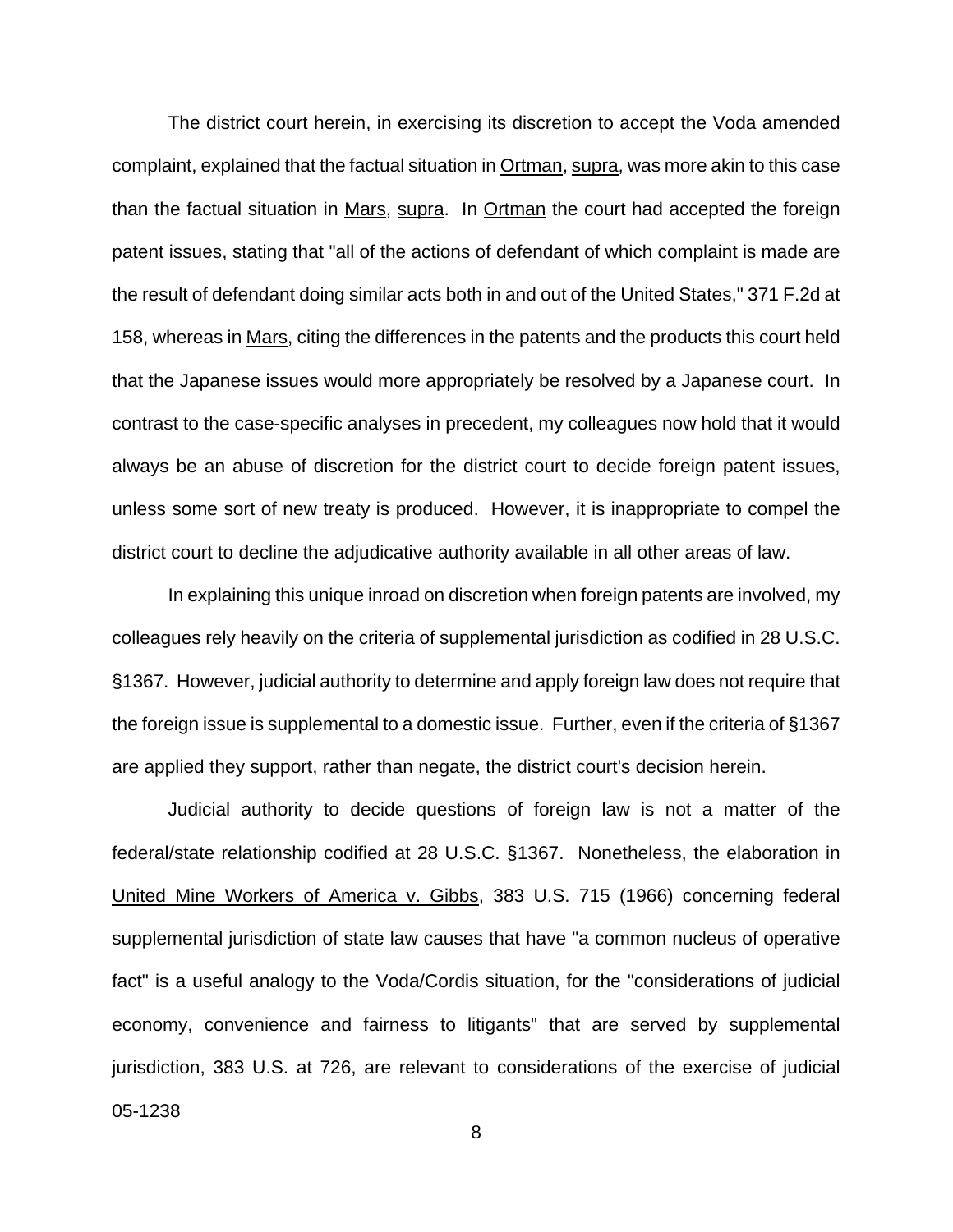The district court herein, in exercising its discretion to accept the Voda amended complaint, explained that the factual situation in Ortman, supra, was more akin to this case than the factual situation in Mars, supra. In Ortman the court had accepted the foreign patent issues, stating that "all of the actions of defendant of which complaint is made are the result of defendant doing similar acts both in and out of the United States," 371 F.2d at 158, whereas in Mars, citing the differences in the patents and the products this court held that the Japanese issues would more appropriately be resolved by a Japanese court. In contrast to the case-specific analyses in precedent, my colleagues now hold that it would always be an abuse of discretion for the district court to decide foreign patent issues, unless some sort of new treaty is produced. However, it is inappropriate to compel the district court to decline the adjudicative authority available in all other areas of law.

In explaining this unique inroad on discretion when foreign patents are involved, my colleagues rely heavily on the criteria of supplemental jurisdiction as codified in 28 U.S.C. §1367. However, judicial authority to determine and apply foreign law does not require that the foreign issue is supplemental to a domestic issue. Further, even if the criteria of §1367 are applied they support, rather than negate, the district court's decision herein.

05-1238 Judicial authority to decide questions of foreign law is not a matter of the federal/state relationship codified at 28 U.S.C. §1367. Nonetheless, the elaboration in United Mine Workers of America v. Gibbs, 383 U.S. 715 (1966) concerning federal supplemental jurisdiction of state law causes that have "a common nucleus of operative fact" is a useful analogy to the Voda/Cordis situation, for the "considerations of judicial economy, convenience and fairness to litigants" that are served by supplemental jurisdiction, 383 U.S. at 726, are relevant to considerations of the exercise of judicial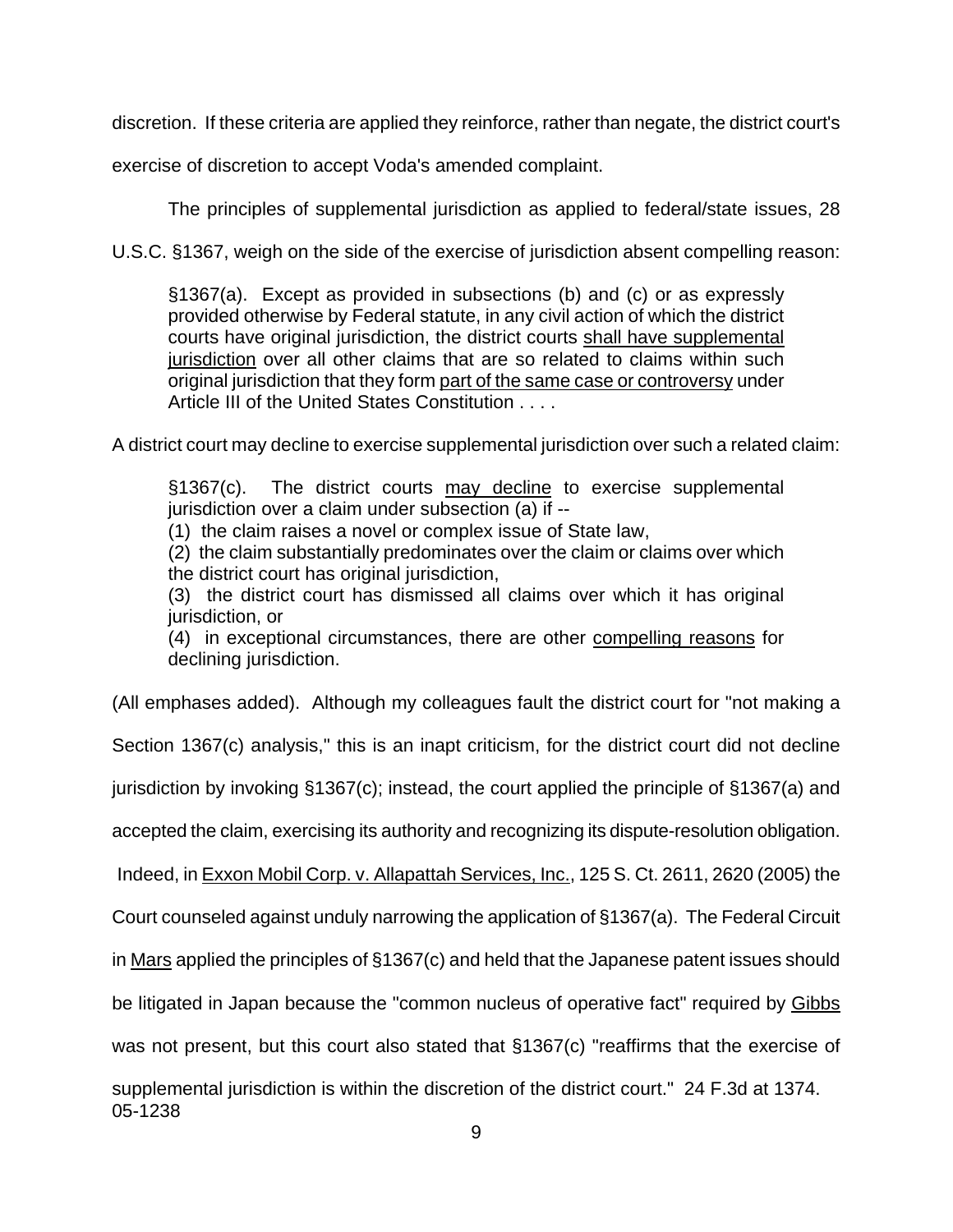discretion. If these criteria are applied they reinforce, rather than negate, the district court's

exercise of discretion to accept Voda's amended complaint.

The principles of supplemental jurisdiction as applied to federal/state issues, 28

U.S.C. §1367, weigh on the side of the exercise of jurisdiction absent compelling reason:

§1367(a). Except as provided in subsections (b) and (c) or as expressly provided otherwise by Federal statute, in any civil action of which the district courts have original jurisdiction, the district courts shall have supplemental jurisdiction over all other claims that are so related to claims within such original jurisdiction that they form part of the same case or controversy under Article III of the United States Constitution . . . .

A district court may decline to exercise supplemental jurisdiction over such a related claim:

§1367(c). The district courts may decline to exercise supplemental jurisdiction over a claim under subsection (a) if --

(1) the claim raises a novel or complex issue of State law,

(2) the claim substantially predominates over the claim or claims over which the district court has original jurisdiction,

(3) the district court has dismissed all claims over which it has original jurisdiction, or

(4) in exceptional circumstances, there are other compelling reasons for declining jurisdiction.

05-1238 (All emphases added). Although my colleagues fault the district court for "not making a Section 1367(c) analysis," this is an inapt criticism, for the district court did not decline jurisdiction by invoking §1367(c); instead, the court applied the principle of §1367(a) and accepted the claim, exercising its authority and recognizing its dispute-resolution obligation. Indeed, in Exxon Mobil Corp. v. Allapattah Services, Inc., 125 S. Ct. 2611, 2620 (2005) the Court counseled against unduly narrowing the application of §1367(a). The Federal Circuit in Mars applied the principles of §1367(c) and held that the Japanese patent issues should be litigated in Japan because the "common nucleus of operative fact" required by Gibbs was not present, but this court also stated that §1367(c) "reaffirms that the exercise of supplemental jurisdiction is within the discretion of the district court." 24 F.3d at 1374.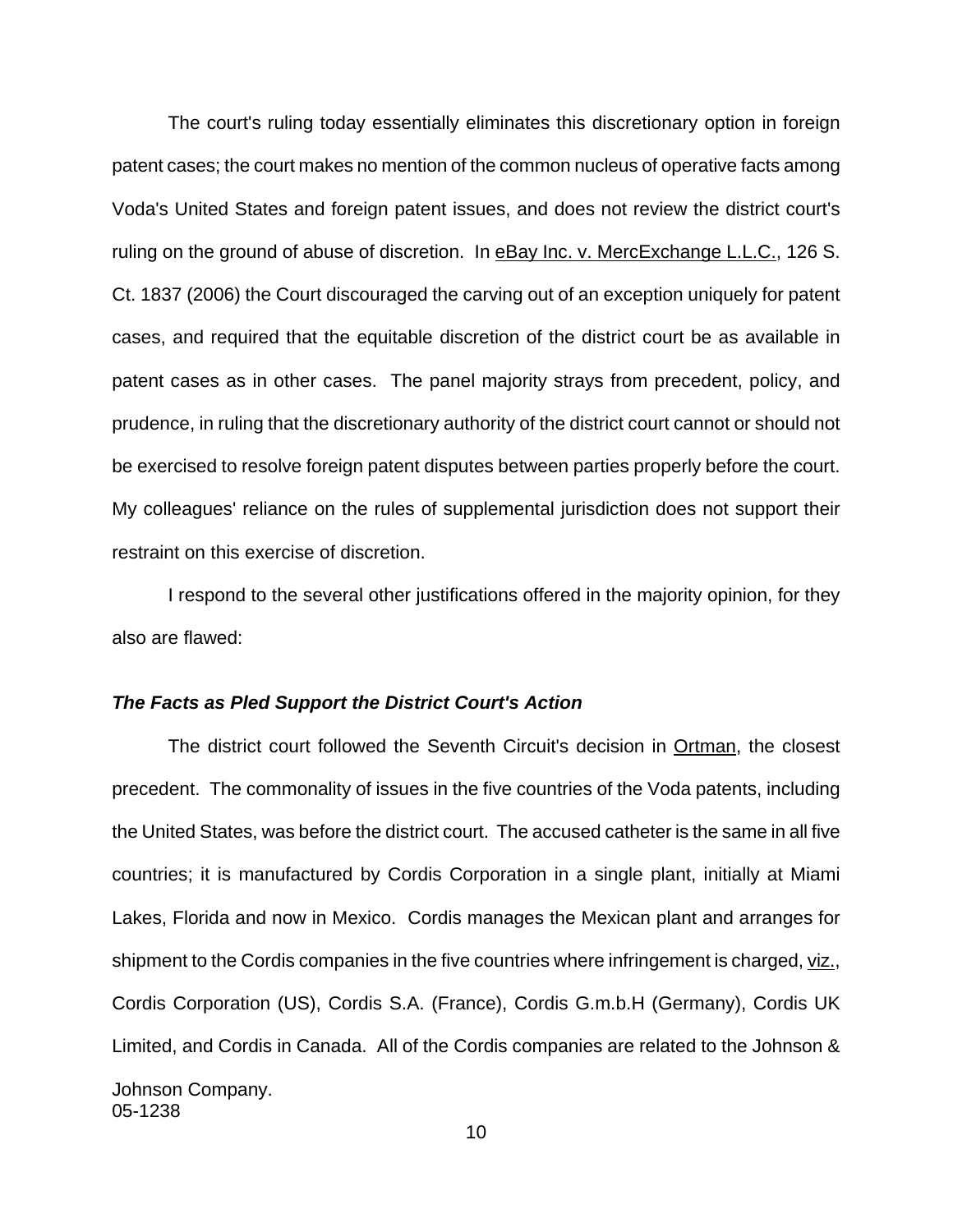The court's ruling today essentially eliminates this discretionary option in foreign patent cases; the court makes no mention of the common nucleus of operative facts among Voda's United States and foreign patent issues, and does not review the district court's ruling on the ground of abuse of discretion. In eBay Inc. v. MercExchange L.L.C., 126 S. Ct. 1837 (2006) the Court discouraged the carving out of an exception uniquely for patent cases, and required that the equitable discretion of the district court be as available in patent cases as in other cases. The panel majority strays from precedent, policy, and prudence, in ruling that the discretionary authority of the district court cannot or should not be exercised to resolve foreign patent disputes between parties properly before the court. My colleagues' reliance on the rules of supplemental jurisdiction does not support their restraint on this exercise of discretion.

I respond to the several other justifications offered in the majority opinion, for they also are flawed:

## *The Facts as Pled Support the District Court's Action*

05-1238 The district court followed the Seventh Circuit's decision in Ortman, the closest precedent. The commonality of issues in the five countries of the Voda patents, including the United States, was before the district court. The accused catheter is the same in all five countries; it is manufactured by Cordis Corporation in a single plant, initially at Miami Lakes, Florida and now in Mexico. Cordis manages the Mexican plant and arranges for shipment to the Cordis companies in the five countries where infringement is charged, viz., Cordis Corporation (US), Cordis S.A. (France), Cordis G.m.b.H (Germany), Cordis UK Limited, and Cordis in Canada. All of the Cordis companies are related to the Johnson & Johnson Company.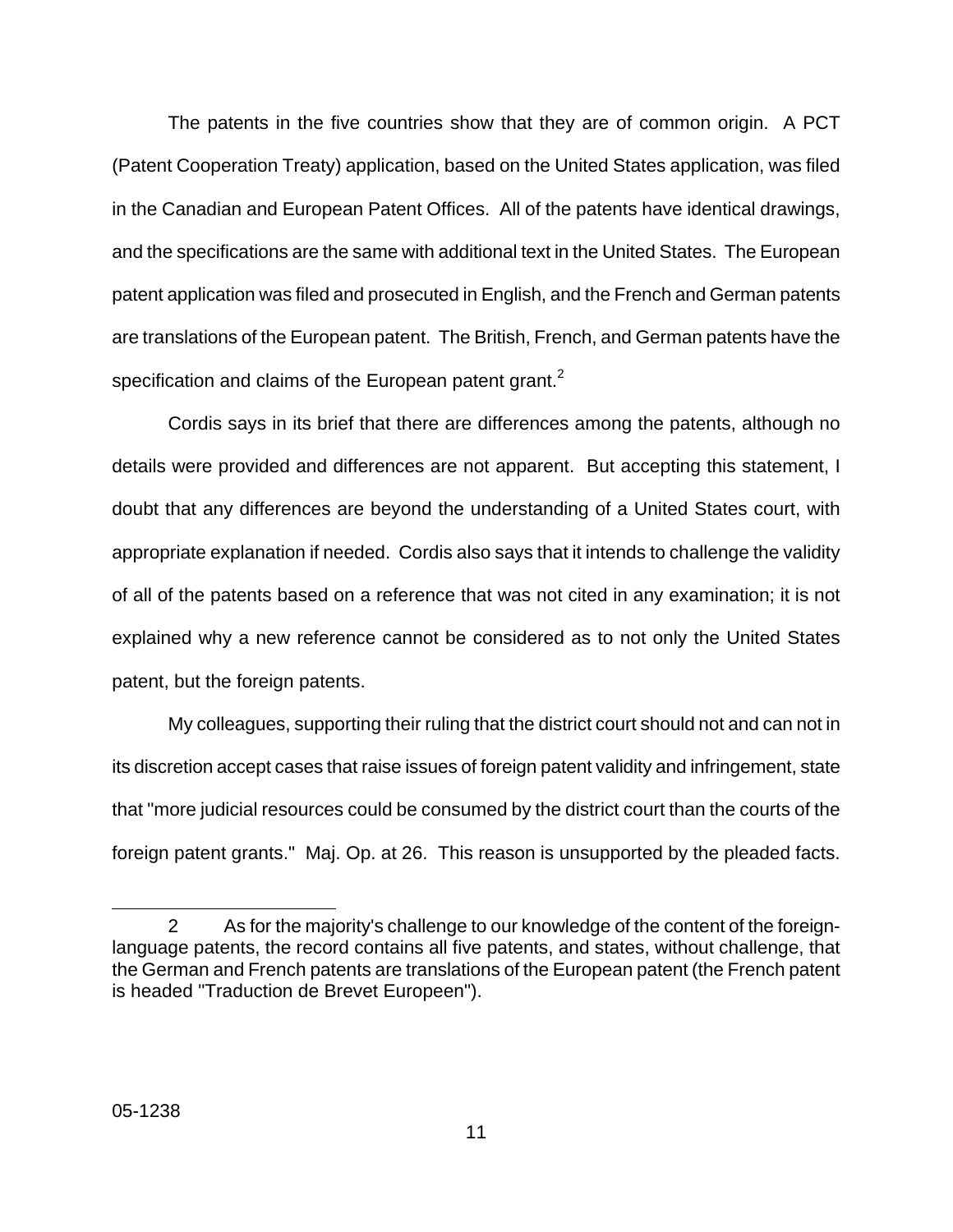The patents in the five countries show that they are of common origin. A PCT (Patent Cooperation Treaty) application, based on the United States application, was filed in the Canadian and European Patent Offices. All of the patents have identical drawings, and the specifications are the same with additional text in the United States. The European patent application was filed and prosecuted in English, and the French and German patents are translations of the European patent. The British, French, and German patents have the specification and claims of the European patent grant. $<sup>2</sup>$  $<sup>2</sup>$  $<sup>2</sup>$ </sup>

Cordis says in its brief that there are differences among the patents, although no details were provided and differences are not apparent. But accepting this statement, I doubt that any differences are beyond the understanding of a United States court, with appropriate explanation if needed. Cordis also says that it intends to challenge the validity of all of the patents based on a reference that was not cited in any examination; it is not explained why a new reference cannot be considered as to not only the United States patent, but the foreign patents.

My colleagues, supporting their ruling that the district court should not and can not in its discretion accept cases that raise issues of foreign patent validity and infringement, state that "more judicial resources could be consumed by the district court than the courts of the foreign patent grants." Maj. Op. at 26. This reason is unsupported by the pleaded facts.

<span id="page-43-0"></span>l

<sup>2</sup> As for the majority's challenge to our knowledge of the content of the foreignlanguage patents, the record contains all five patents, and states, without challenge, that the German and French patents are translations of the European patent (the French patent is headed "Traduction de Brevet Europeen").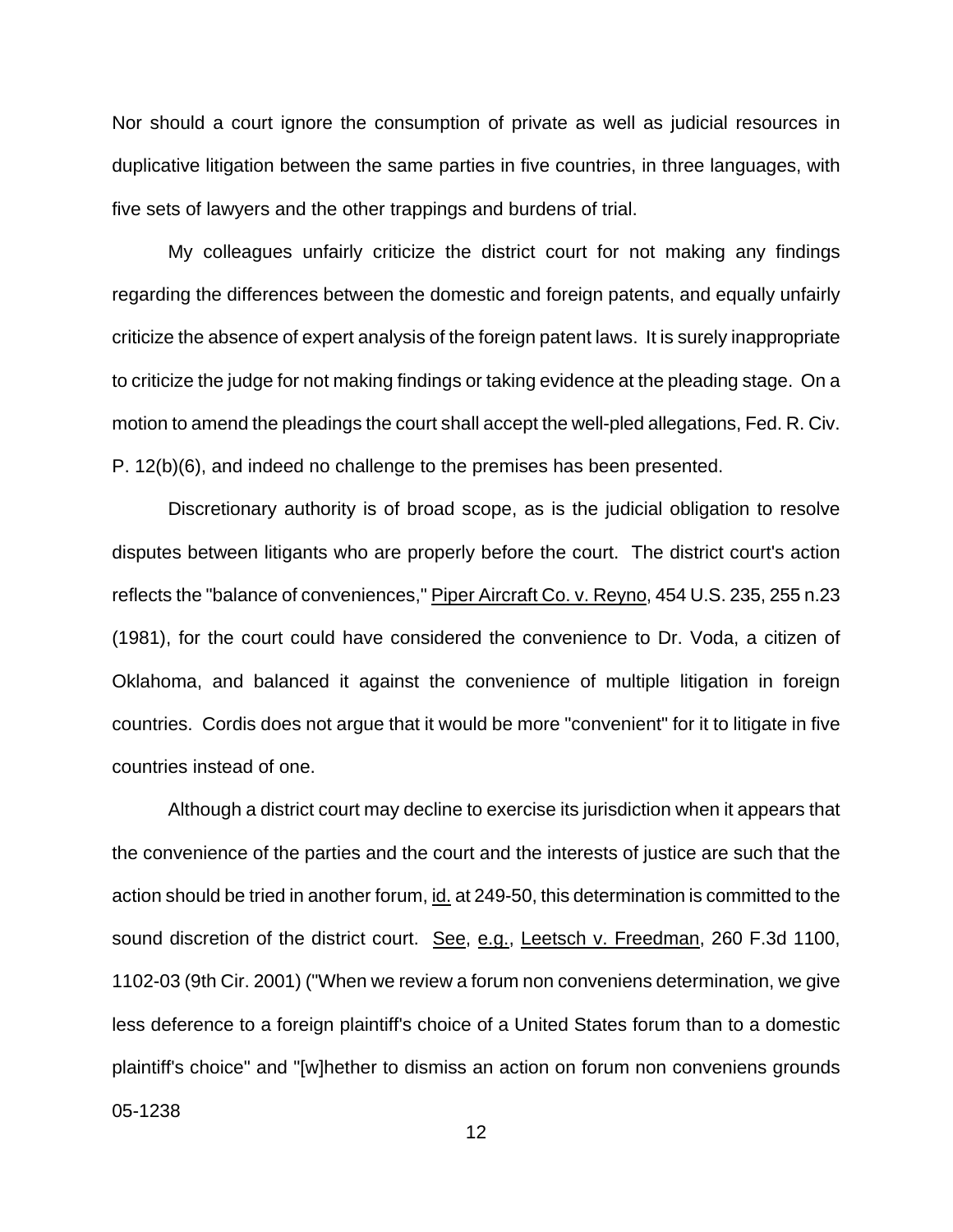Nor should a court ignore the consumption of private as well as judicial resources in duplicative litigation between the same parties in five countries, in three languages, with five sets of lawyers and the other trappings and burdens of trial.

My colleagues unfairly criticize the district court for not making any findings regarding the differences between the domestic and foreign patents, and equally unfairly criticize the absence of expert analysis of the foreign patent laws. It is surely inappropriate to criticize the judge for not making findings or taking evidence at the pleading stage. On a motion to amend the pleadings the court shall accept the well-pled allegations, Fed. R. Civ. P. 12(b)(6), and indeed no challenge to the premises has been presented.

Discretionary authority is of broad scope, as is the judicial obligation to resolve disputes between litigants who are properly before the court. The district court's action reflects the "balance of conveniences," Piper Aircraft Co. v. Reyno, 454 U.S. 235, 255 n.23 (1981), for the court could have considered the convenience to Dr. Voda, a citizen of Oklahoma, and balanced it against the convenience of multiple litigation in foreign countries. Cordis does not argue that it would be more "convenient" for it to litigate in five countries instead of one.

Although a district court may decline to exercise its jurisdiction when it appears that the convenience of the parties and the court and the interests of justice are such that the action should be tried in another forum, id. at 249-50, this determination is committed to the sound discretion of the district court. See, e.g., Leetsch v. Freedman, 260 F.3d 1100, 1102-03 (9th Cir. 2001) ("When we review a forum non conveniens determination, we give less deference to a foreign plaintiff's choice of a United States forum than to a domestic plaintiff's choice" and "[w]hether to dismiss an action on forum non conveniens grounds

05-1238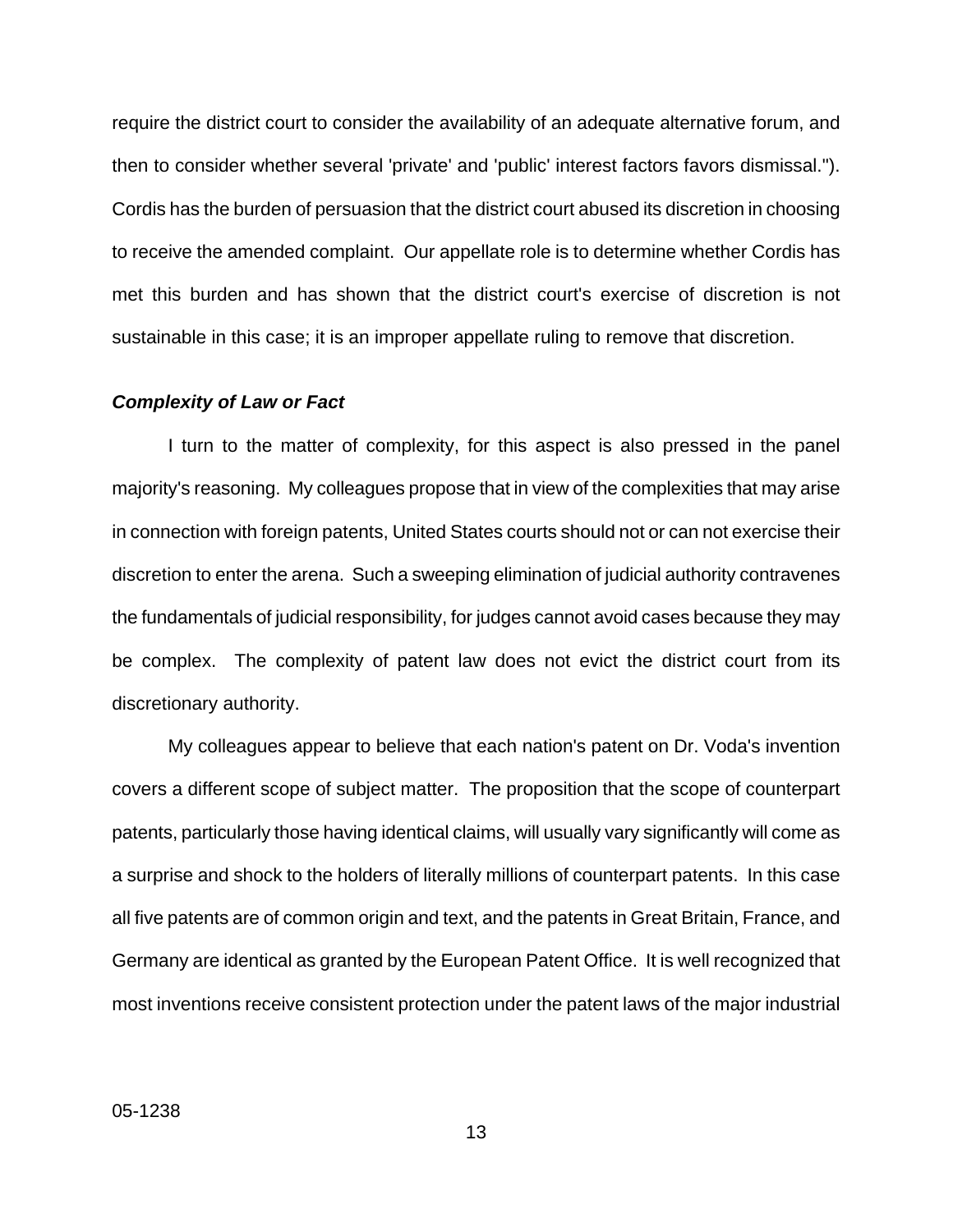require the district court to consider the availability of an adequate alternative forum, and then to consider whether several 'private' and 'public' interest factors favors dismissal."). Cordis has the burden of persuasion that the district court abused its discretion in choosing to receive the amended complaint. Our appellate role is to determine whether Cordis has met this burden and has shown that the district court's exercise of discretion is not sustainable in this case; it is an improper appellate ruling to remove that discretion.

### *Complexity of Law or Fact*

I turn to the matter of complexity, for this aspect is also pressed in the panel majority's reasoning. My colleagues propose that in view of the complexities that may arise in connection with foreign patents, United States courts should not or can not exercise their discretion to enter the arena. Such a sweeping elimination of judicial authority contravenes the fundamentals of judicial responsibility, for judges cannot avoid cases because they may be complex. The complexity of patent law does not evict the district court from its discretionary authority.

My colleagues appear to believe that each nation's patent on Dr. Voda's invention covers a different scope of subject matter. The proposition that the scope of counterpart patents, particularly those having identical claims, will usually vary significantly will come as a surprise and shock to the holders of literally millions of counterpart patents. In this case all five patents are of common origin and text, and the patents in Great Britain, France, and Germany are identical as granted by the European Patent Office. It is well recognized that most inventions receive consistent protection under the patent laws of the major industrial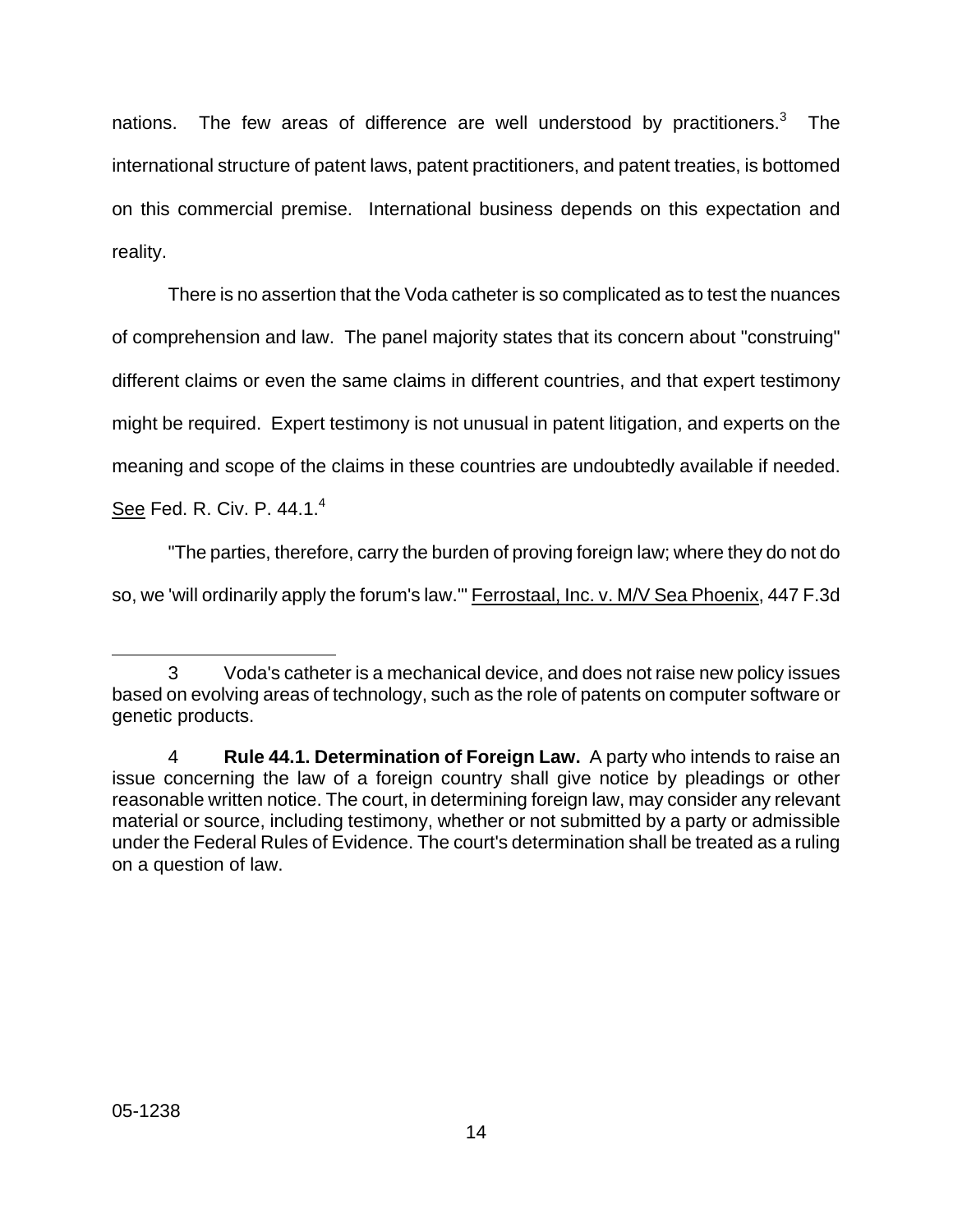nations. The few areas of difference are well understood by practitioners.<sup>[3](#page-46-0)</sup> The international structure of patent laws, patent practitioners, and patent treaties, is bottomed on this commercial premise. International business depends on this expectation and reality.

There is no assertion that the Voda catheter is so complicated as to test the nuances of comprehension and law. The panel majority states that its concern about "construing" different claims or even the same claims in different countries, and that expert testimony might be required. Expert testimony is not unusual in patent litigation, and experts on the meaning and scope of the claims in these countries are undoubtedly available if needed.

See Fed. R. Civ. P. [4](#page-46-1)4.1.<sup>4</sup>

"The parties, therefore, carry the burden of proving foreign law; where they do not do

so, we 'will ordinarily apply the forum's law." Ferrostaal, Inc. v. M/V Sea Phoenix, 447 F.3d

<span id="page-46-0"></span>l

<sup>3</sup> Voda's catheter is a mechanical device, and does not raise new policy issues based on evolving areas of technology, such as the role of patents on computer software or genetic products.

<span id="page-46-1"></span><sup>4</sup> **Rule 44.1. Determination of Foreign Law.** A party who intends to raise an issue concerning the law of a foreign country shall give notice by pleadings or other reasonable written notice. The court, in determining foreign law, may consider any relevant material or source, including testimony, whether or not submitted by a party or admissible under the Federal Rules of Evidence. The court's determination shall be treated as a ruling on a question of law.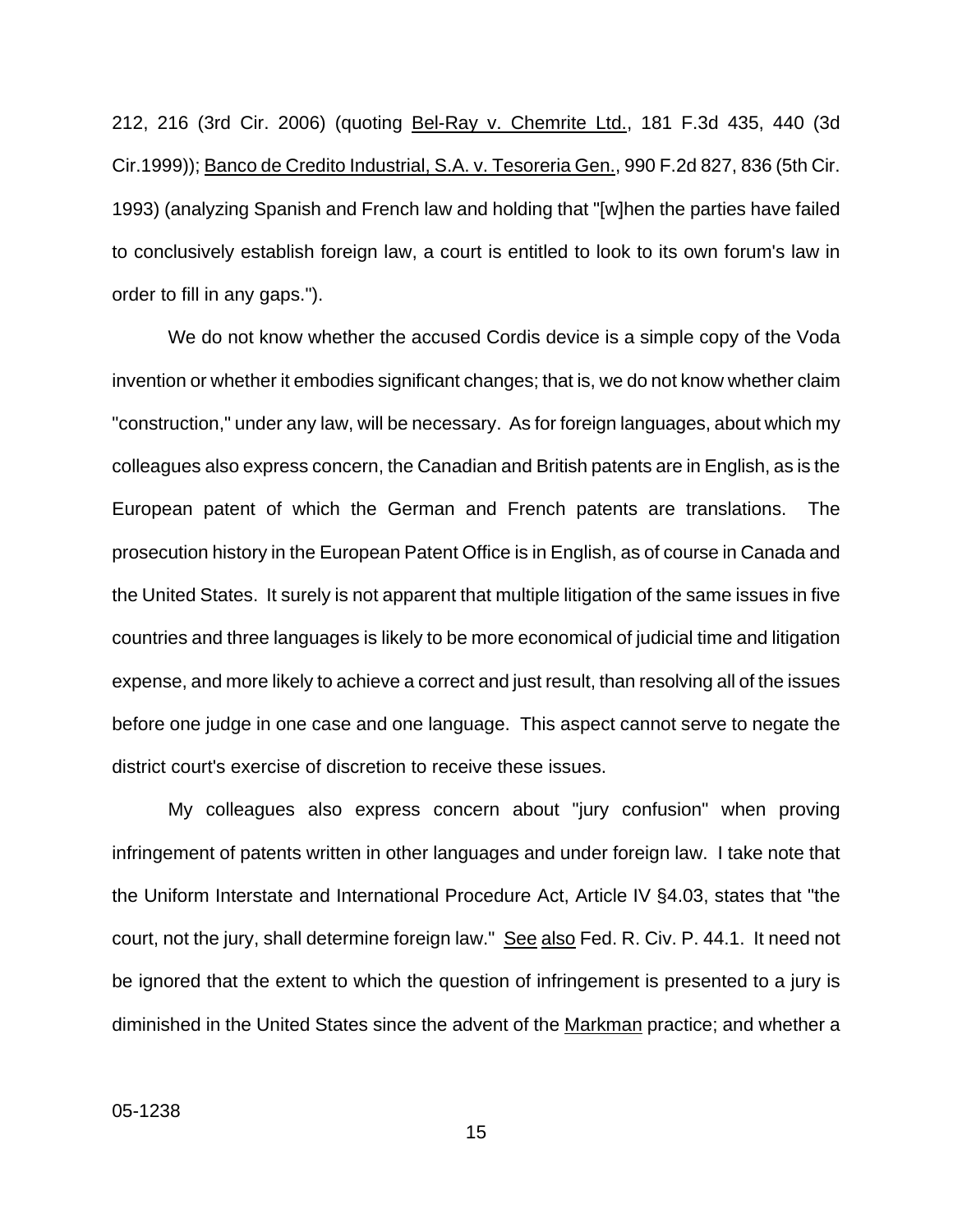212, 216 (3rd Cir. 2006) (quoting Bel-Ray v. Chemrite Ltd., 181 F.3d 435, 440 (3d Cir.1999)); Banco de Credito Industrial, S.A. v. Tesoreria Gen., 990 F.2d 827, 836 (5th Cir. 1993) (analyzing Spanish and French law and holding that "[w]hen the parties have failed to conclusively establish foreign law, a court is entitled to look to its own forum's law in order to fill in any gaps.").

We do not know whether the accused Cordis device is a simple copy of the Voda invention or whether it embodies significant changes; that is, we do not know whether claim "construction," under any law, will be necessary. As for foreign languages, about which my colleagues also express concern, the Canadian and British patents are in English, as is the European patent of which the German and French patents are translations. The prosecution history in the European Patent Office is in English, as of course in Canada and the United States. It surely is not apparent that multiple litigation of the same issues in five countries and three languages is likely to be more economical of judicial time and litigation expense, and more likely to achieve a correct and just result, than resolving all of the issues before one judge in one case and one language. This aspect cannot serve to negate the district court's exercise of discretion to receive these issues.

My colleagues also express concern about "jury confusion" when proving infringement of patents written in other languages and under foreign law. I take note that the Uniform Interstate and International Procedure Act, Article IV §4.03, states that "the court, not the jury, shall determine foreign law." See also Fed. R. Civ. P. 44.1. It need not be ignored that the extent to which the question of infringement is presented to a jury is diminished in the United States since the advent of the Markman practice; and whether a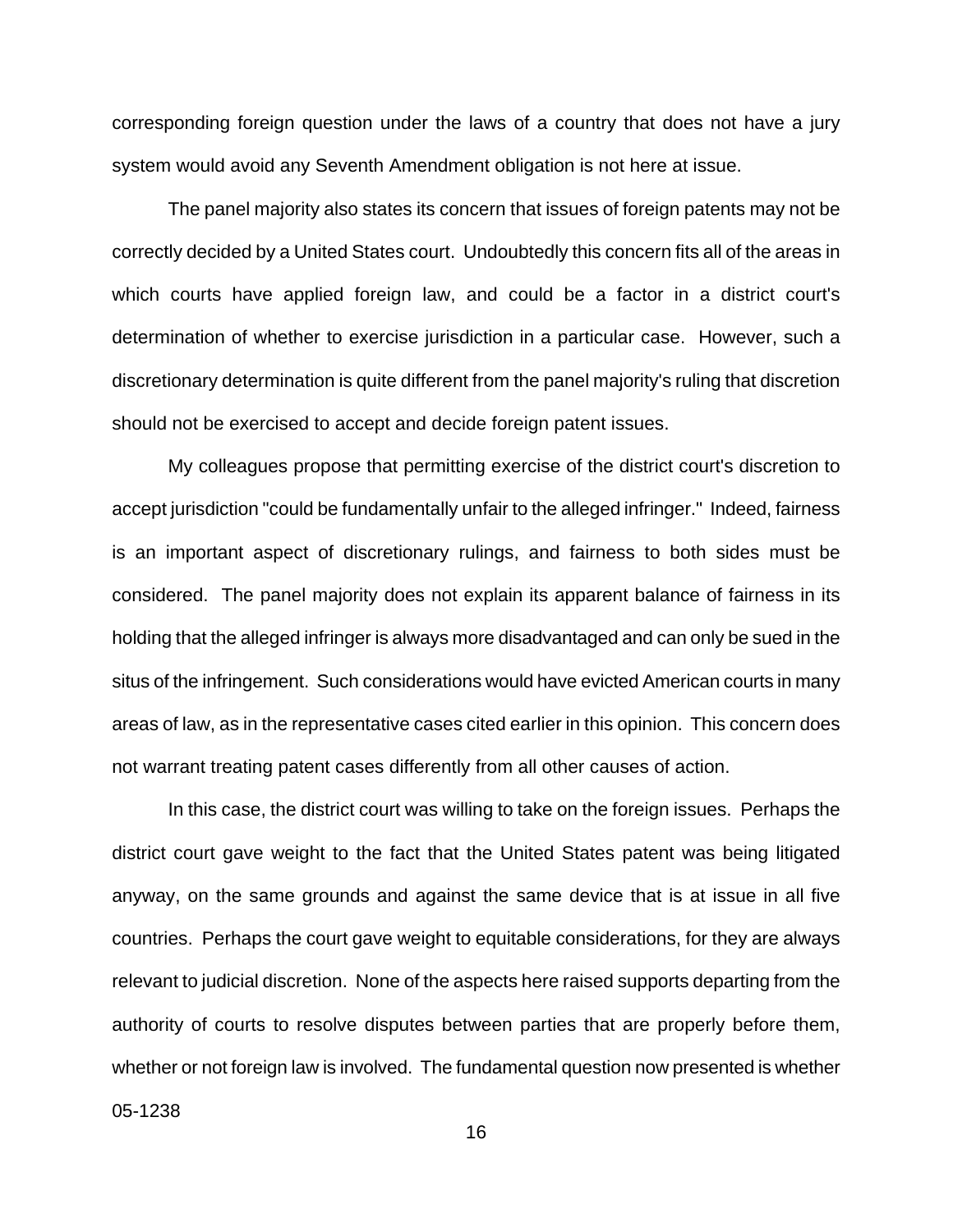corresponding foreign question under the laws of a country that does not have a jury system would avoid any Seventh Amendment obligation is not here at issue.

The panel majority also states its concern that issues of foreign patents may not be correctly decided by a United States court. Undoubtedly this concern fits all of the areas in which courts have applied foreign law, and could be a factor in a district court's determination of whether to exercise jurisdiction in a particular case. However, such a discretionary determination is quite different from the panel majority's ruling that discretion should not be exercised to accept and decide foreign patent issues.

My colleagues propose that permitting exercise of the district court's discretion to accept jurisdiction "could be fundamentally unfair to the alleged infringer." Indeed, fairness is an important aspect of discretionary rulings, and fairness to both sides must be considered. The panel majority does not explain its apparent balance of fairness in its holding that the alleged infringer is always more disadvantaged and can only be sued in the situs of the infringement. Such considerations would have evicted American courts in many areas of law, as in the representative cases cited earlier in this opinion. This concern does not warrant treating patent cases differently from all other causes of action.

In this case, the district court was willing to take on the foreign issues. Perhaps the district court gave weight to the fact that the United States patent was being litigated anyway, on the same grounds and against the same device that is at issue in all five countries. Perhaps the court gave weight to equitable considerations, for they are always relevant to judicial discretion. None of the aspects here raised supports departing from the authority of courts to resolve disputes between parties that are properly before them, whether or not foreign law is involved. The fundamental question now presented is whether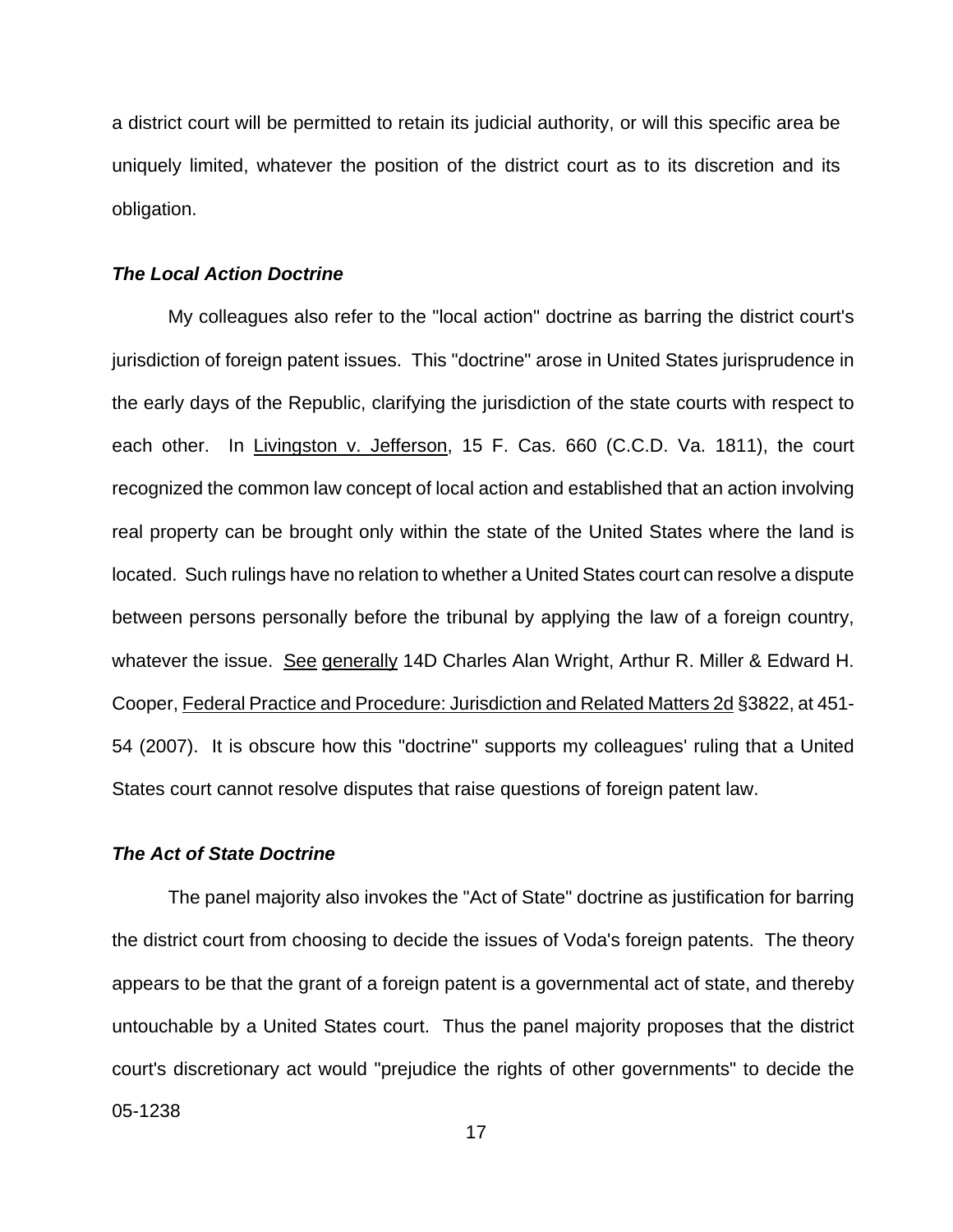a district court will be permitted to retain its judicial authority, or will this specific area be uniquely limited, whatever the position of the district court as to its discretion and its obligation.

### *The Local Action Doctrine*

My colleagues also refer to the "local action" doctrine as barring the district court's jurisdiction of foreign patent issues. This "doctrine" arose in United States jurisprudence in the early days of the Republic, clarifying the jurisdiction of the state courts with respect to each other. In Livingston v. Jefferson, 15 F. Cas. 660 (C.C.D. Va. 1811), the court recognized the common law concept of local action and established that an action involving real property can be brought only within the state of the United States where the land is located. Such rulings have no relation to whether a United States court can resolve a dispute between persons personally before the tribunal by applying the law of a foreign country, whatever the issue. See generally 14D Charles Alan Wright, Arthur R. Miller & Edward H. Cooper, Federal Practice and Procedure: Jurisdiction and Related Matters 2d §3822, at 451- 54 (2007). It is obscure how this "doctrine" supports my colleagues' ruling that a United States court cannot resolve disputes that raise questions of foreign patent law.

#### *The Act of State Doctrine*

05-1238 The panel majority also invokes the "Act of State" doctrine as justification for barring the district court from choosing to decide the issues of Voda's foreign patents. The theory appears to be that the grant of a foreign patent is a governmental act of state, and thereby untouchable by a United States court. Thus the panel majority proposes that the district court's discretionary act would "prejudice the rights of other governments" to decide the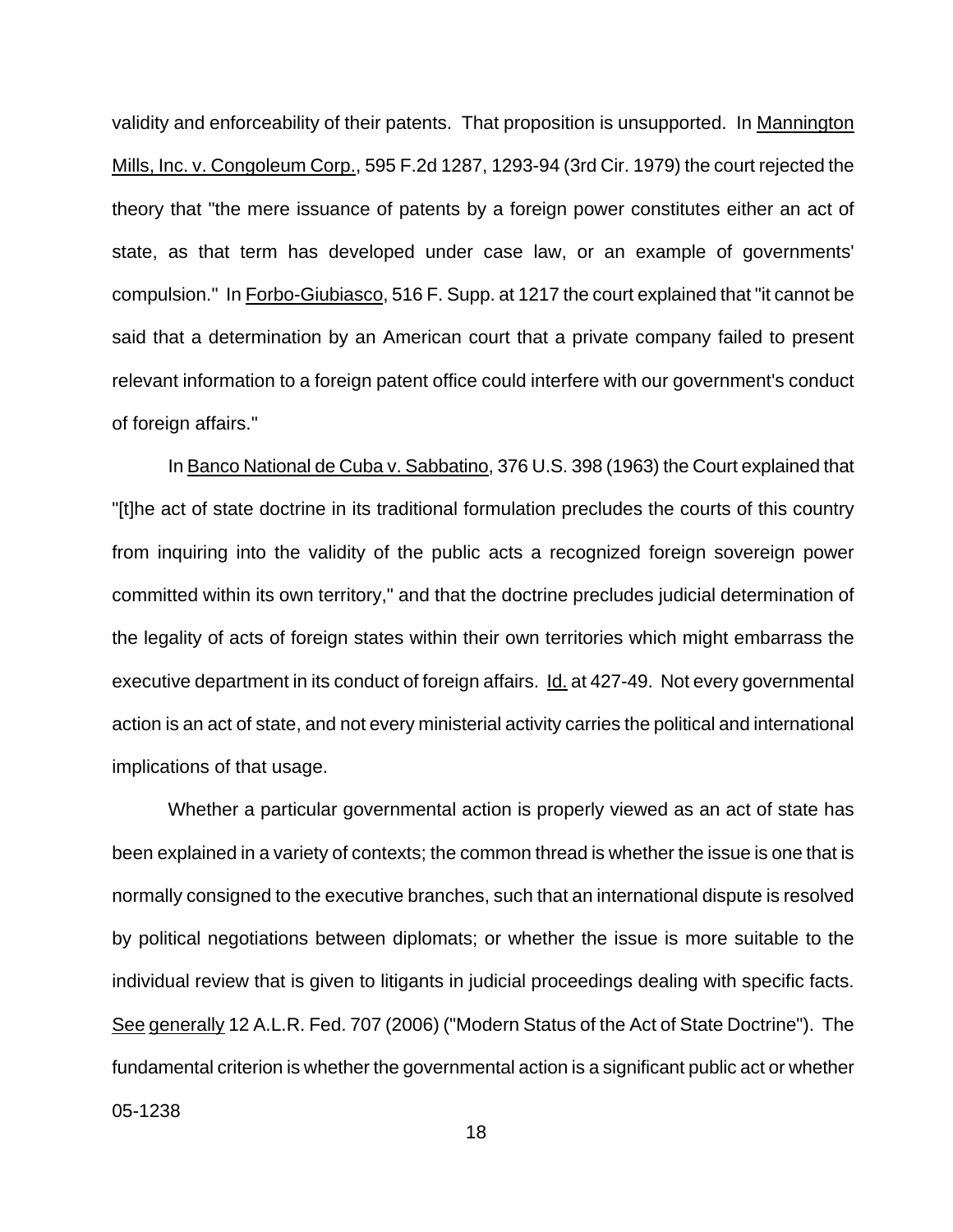validity and enforceability of their patents. That proposition is unsupported. In Mannington Mills, Inc. v. Congoleum Corp., 595 F.2d 1287, 1293-94 (3rd Cir. 1979) the court rejected the theory that "the mere issuance of patents by a foreign power constitutes either an act of state, as that term has developed under case law, or an example of governments' compulsion." In Forbo-Giubiasco, 516 F. Supp. at 1217 the court explained that "it cannot be said that a determination by an American court that a private company failed to present relevant information to a foreign patent office could interfere with our government's conduct of foreign affairs."

In Banco National de Cuba v. Sabbatino, 376 U.S. 398 (1963) the Court explained that "[t]he act of state doctrine in its traditional formulation precludes the courts of this country from inquiring into the validity of the public acts a recognized foreign sovereign power committed within its own territory," and that the doctrine precludes judicial determination of the legality of acts of foreign states within their own territories which might embarrass the executive department in its conduct of foreign affairs. Id. at 427-49. Not every governmental action is an act of state, and not every ministerial activity carries the political and international implications of that usage.

05-1238 Whether a particular governmental action is properly viewed as an act of state has been explained in a variety of contexts; the common thread is whether the issue is one that is normally consigned to the executive branches, such that an international dispute is resolved by political negotiations between diplomats; or whether the issue is more suitable to the individual review that is given to litigants in judicial proceedings dealing with specific facts. See generally 12 A.L.R. Fed. 707 (2006) ("Modern Status of the Act of State Doctrine"). The fundamental criterion is whether the governmental action is a significant public act or whether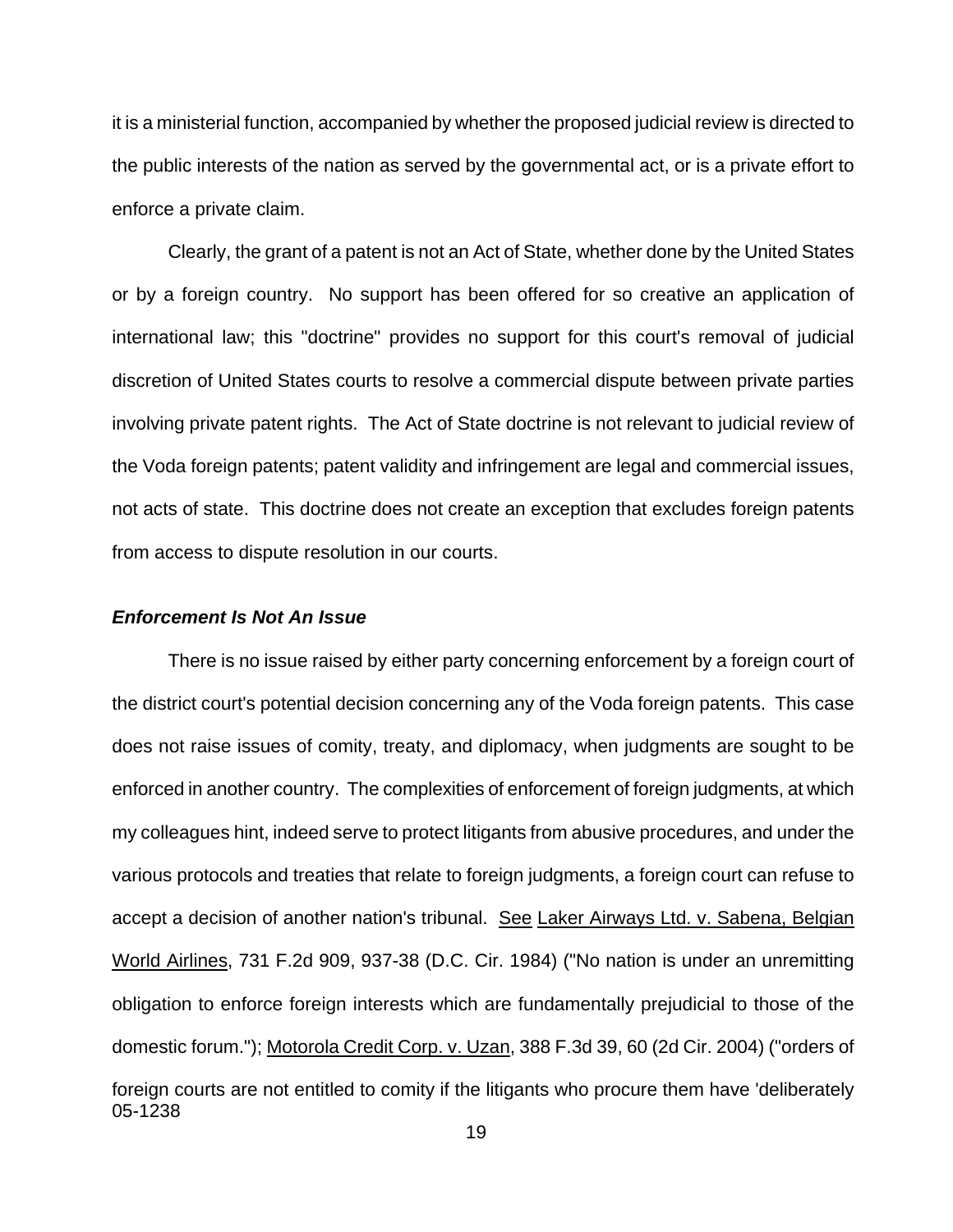it is a ministerial function, accompanied by whether the proposed judicial review is directed to the public interests of the nation as served by the governmental act, or is a private effort to enforce a private claim.

Clearly, the grant of a patent is not an Act of State, whether done by the United States or by a foreign country. No support has been offered for so creative an application of international law; this "doctrine" provides no support for this court's removal of judicial discretion of United States courts to resolve a commercial dispute between private parties involving private patent rights. The Act of State doctrine is not relevant to judicial review of the Voda foreign patents; patent validity and infringement are legal and commercial issues, not acts of state. This doctrine does not create an exception that excludes foreign patents from access to dispute resolution in our courts.

#### *Enforcement Is Not An Issue*

05-1238 There is no issue raised by either party concerning enforcement by a foreign court of the district court's potential decision concerning any of the Voda foreign patents. This case does not raise issues of comity, treaty, and diplomacy, when judgments are sought to be enforced in another country. The complexities of enforcement of foreign judgments, at which my colleagues hint, indeed serve to protect litigants from abusive procedures, and under the various protocols and treaties that relate to foreign judgments, a foreign court can refuse to accept a decision of another nation's tribunal. See Laker Airways Ltd. v. Sabena, Belgian World Airlines, 731 F.2d 909, 937-38 (D.C. Cir. 1984) ("No nation is under an unremitting obligation to enforce foreign interests which are fundamentally prejudicial to those of the domestic forum."); Motorola Credit Corp. v. Uzan, 388 F.3d 39, 60 (2d Cir. 2004) ("orders of foreign courts are not entitled to comity if the litigants who procure them have 'deliberately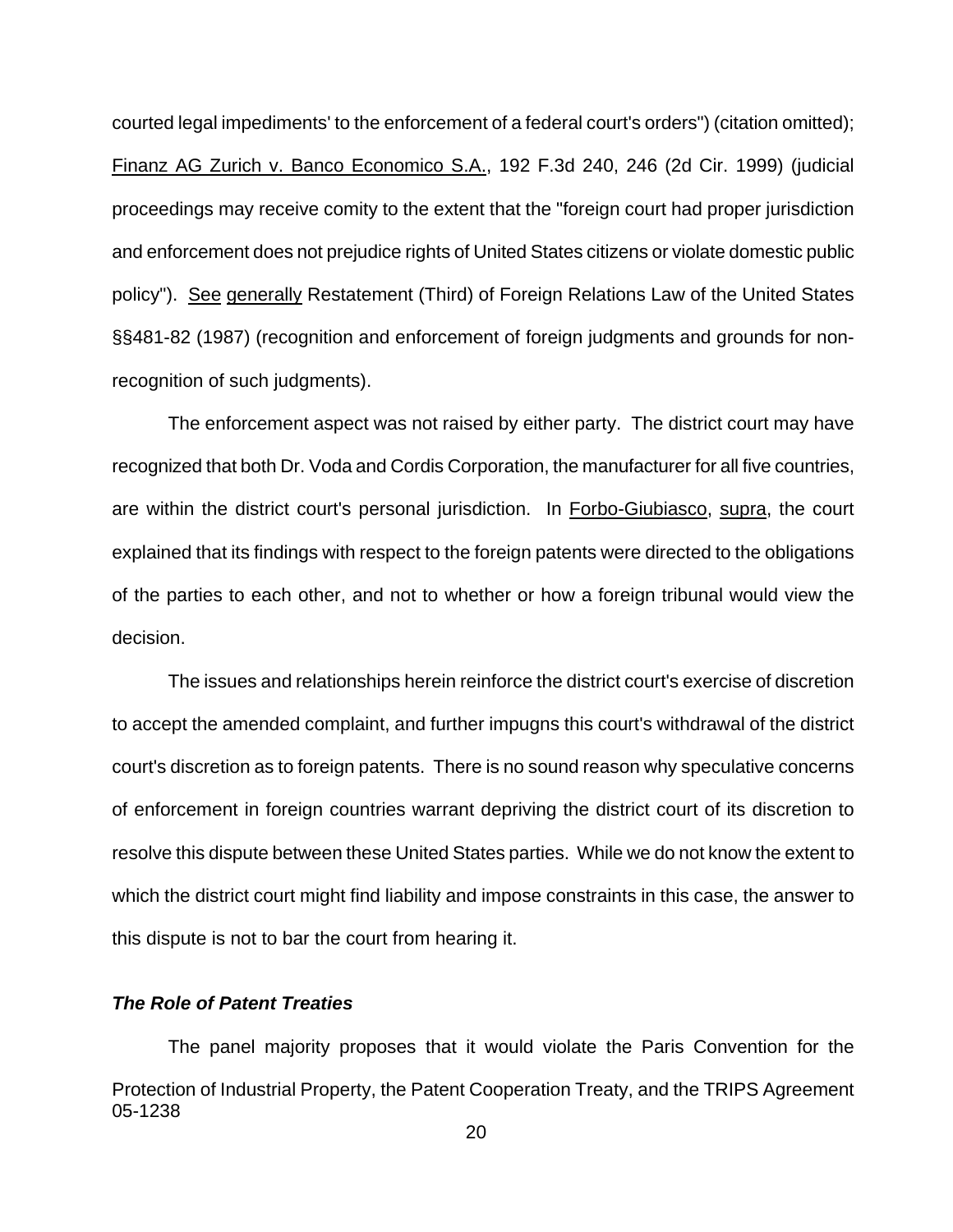courted legal impediments' to the enforcement of a federal court's orders") (citation omitted); Finanz AG Zurich v. Banco Economico S.A., 192 F.3d 240, 246 (2d Cir. 1999) (judicial proceedings may receive comity to the extent that the "foreign court had proper jurisdiction and enforcement does not prejudice rights of United States citizens or violate domestic public policy"). See generally Restatement (Third) of Foreign Relations Law of the United States §§481-82 (1987) (recognition and enforcement of foreign judgments and grounds for nonrecognition of such judgments).

The enforcement aspect was not raised by either party. The district court may have recognized that both Dr. Voda and Cordis Corporation, the manufacturer for all five countries, are within the district court's personal jurisdiction. In Forbo-Giubiasco, supra, the court explained that its findings with respect to the foreign patents were directed to the obligations of the parties to each other, and not to whether or how a foreign tribunal would view the decision.

The issues and relationships herein reinforce the district court's exercise of discretion to accept the amended complaint, and further impugns this court's withdrawal of the district court's discretion as to foreign patents. There is no sound reason why speculative concerns of enforcement in foreign countries warrant depriving the district court of its discretion to resolve this dispute between these United States parties. While we do not know the extent to which the district court might find liability and impose constraints in this case, the answer to this dispute is not to bar the court from hearing it.

## *The Role of Patent Treaties*

05-1238 The panel majority proposes that it would violate the Paris Convention for the Protection of Industrial Property, the Patent Cooperation Treaty, and the TRIPS Agreement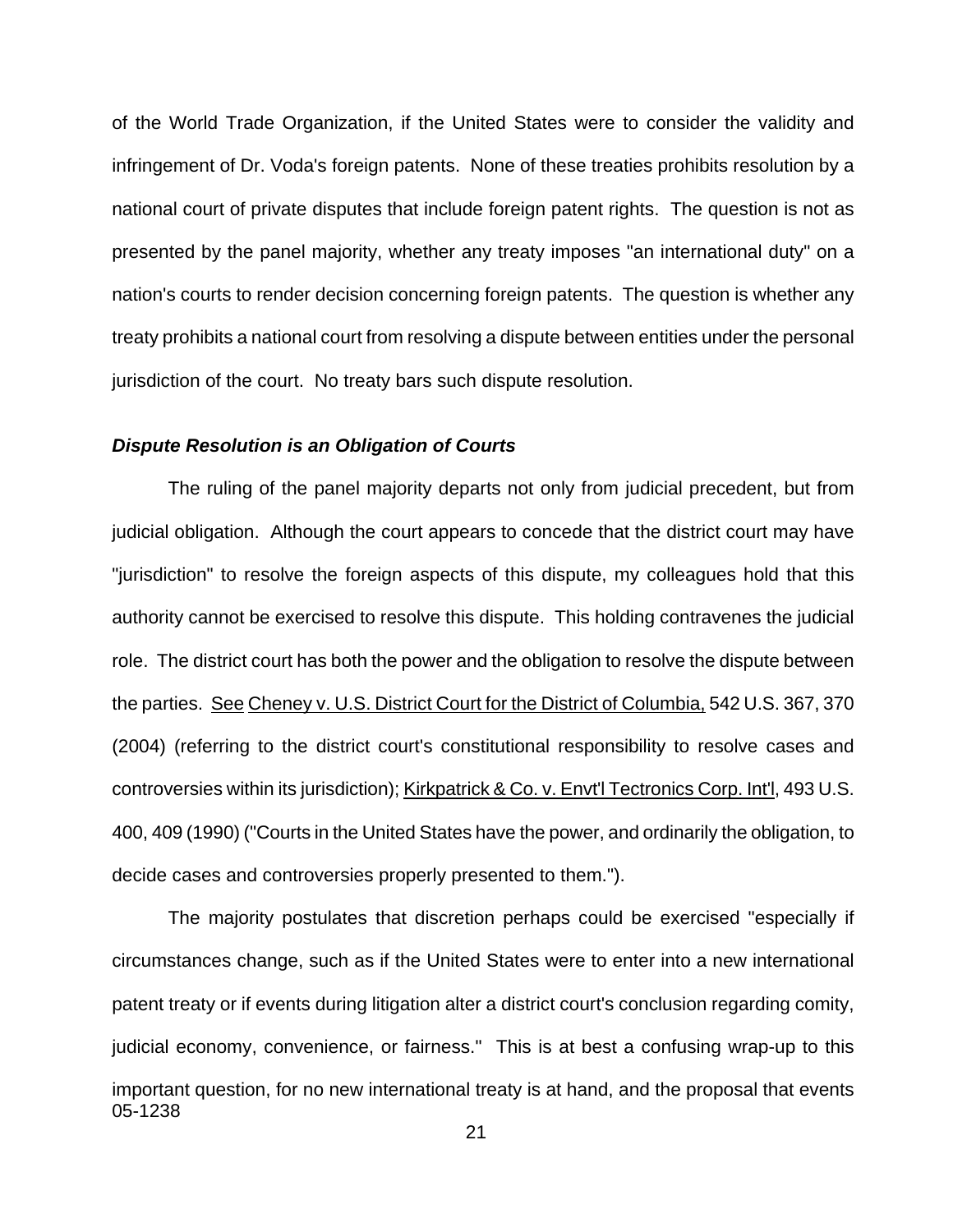of the World Trade Organization, if the United States were to consider the validity and infringement of Dr. Voda's foreign patents. None of these treaties prohibits resolution by a national court of private disputes that include foreign patent rights. The question is not as presented by the panel majority, whether any treaty imposes "an international duty" on a nation's courts to render decision concerning foreign patents. The question is whether any treaty prohibits a national court from resolving a dispute between entities under the personal jurisdiction of the court. No treaty bars such dispute resolution.

### *Dispute Resolution is an Obligation of Courts*

The ruling of the panel majority departs not only from judicial precedent, but from judicial obligation. Although the court appears to concede that the district court may have "jurisdiction" to resolve the foreign aspects of this dispute, my colleagues hold that this authority cannot be exercised to resolve this dispute. This holding contravenes the judicial role. The district court has both the power and the obligation to resolve the dispute between the parties. See Cheney v. U.S. District Court for the District of Columbia, 542 U.S. 367, 370 (2004) (referring to the district court's constitutional responsibility to resolve cases and controversies within its jurisdiction); Kirkpatrick & Co. v. Envt'l Tectronics Corp. Int'l, 493 U.S. 400, 409 (1990) ("Courts in the United States have the power, and ordinarily the obligation, to decide cases and controversies properly presented to them.").

05-1238 The majority postulates that discretion perhaps could be exercised "especially if circumstances change, such as if the United States were to enter into a new international patent treaty or if events during litigation alter a district court's conclusion regarding comity, judicial economy, convenience, or fairness." This is at best a confusing wrap-up to this important question, for no new international treaty is at hand, and the proposal that events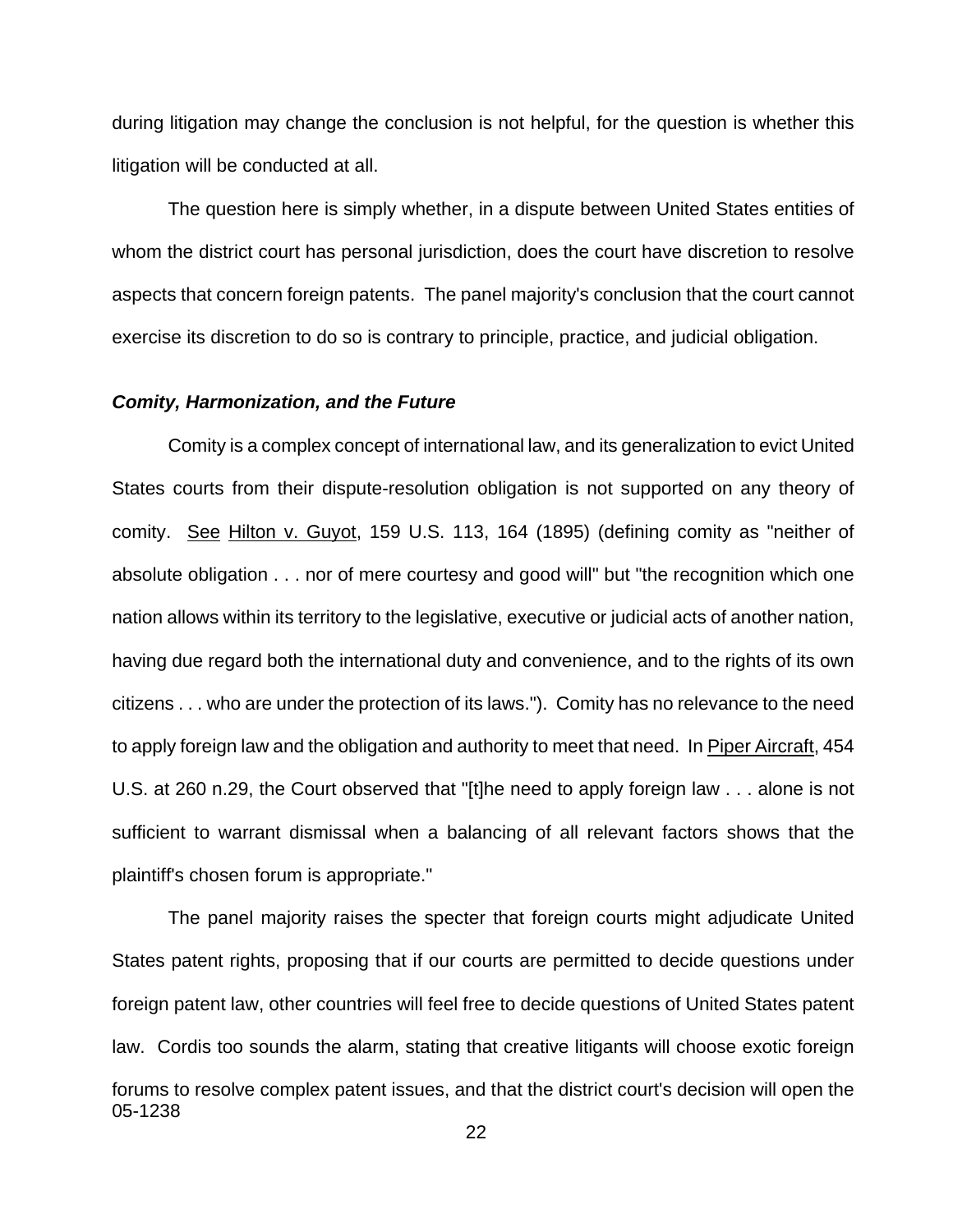during litigation may change the conclusion is not helpful, for the question is whether this litigation will be conducted at all.

The question here is simply whether, in a dispute between United States entities of whom the district court has personal jurisdiction, does the court have discretion to resolve aspects that concern foreign patents. The panel majority's conclusion that the court cannot exercise its discretion to do so is contrary to principle, practice, and judicial obligation.

#### *Comity, Harmonization, and the Future*

Comity is a complex concept of international law, and its generalization to evict United States courts from their dispute-resolution obligation is not supported on any theory of comity. See Hilton v. Guyot, 159 U.S. 113, 164 (1895) (defining comity as "neither of absolute obligation . . . nor of mere courtesy and good will" but "the recognition which one nation allows within its territory to the legislative, executive or judicial acts of another nation, having due regard both the international duty and convenience, and to the rights of its own citizens . . . who are under the protection of its laws."). Comity has no relevance to the need to apply foreign law and the obligation and authority to meet that need. In Piper Aircraft, 454 U.S. at 260 n.29, the Court observed that "[t]he need to apply foreign law . . . alone is not sufficient to warrant dismissal when a balancing of all relevant factors shows that the plaintiff's chosen forum is appropriate."

05-1238 The panel majority raises the specter that foreign courts might adjudicate United States patent rights, proposing that if our courts are permitted to decide questions under foreign patent law, other countries will feel free to decide questions of United States patent law. Cordis too sounds the alarm, stating that creative litigants will choose exotic foreign forums to resolve complex patent issues, and that the district court's decision will open the